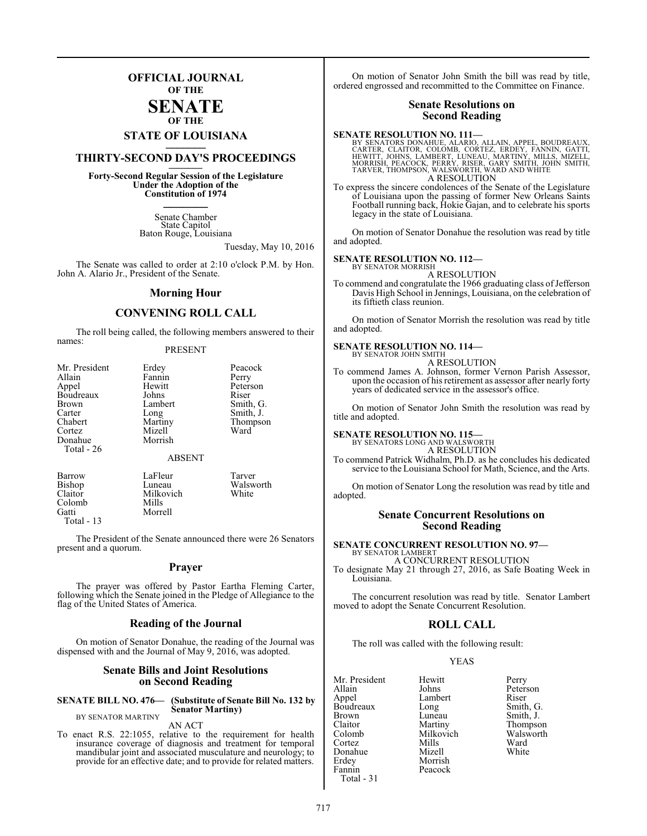# **OFFICIAL JOURNAL OF THE**

# **SENATE OF THE**

# **STATE OF LOUISIANA \_\_\_\_\_\_\_**

# **THIRTY-SECOND DAY'S PROCEEDINGS \_\_\_\_\_\_\_**

**Forty-Second Regular Session of the Legislature Under the Adoption of the Constitution of 1974 \_\_\_\_\_\_\_**

> Senate Chamber State Capitol Baton Rouge, Louisiana

> > Tuesday, May 10, 2016

The Senate was called to order at 2:10 o'clock P.M. by Hon. John A. Alario Jr., President of the Senate.

# **Morning Hour**

# **CONVENING ROLL CALL**

The roll being called, the following members answered to their names:

# PRESENT

| Mr. President | Erdey         | Peacock   |
|---------------|---------------|-----------|
| Allain        | Fannin        | Perry     |
| Appel         | Hewitt        | Peterson  |
| Boudreaux     | Johns         | Riser     |
| Brown         | Lambert       | Smith, G. |
| Carter        | Long          | Smith, J. |
| Chabert       | Martiny       | Thompson  |
| Cortez        | Mizell        | Ward      |
| Donahue       | Morrish       |           |
| Total - 26    |               |           |
|               | <b>ABSENT</b> |           |
| Barrow        | LaFleur       | Tarver    |
| Bishop        | Luneau        | Walsworth |
| Claitor       | Milkovich     | White     |

Morrell

Colomb Mills<br>Gatti Morre

Total - 13

The President of the Senate announced there were 26 Senators present and a quorum.

# **Prayer**

The prayer was offered by Pastor Eartha Fleming Carter, following which the Senate joined in the Pledge of Allegiance to the flag of the United States of America.

# **Reading of the Journal**

On motion of Senator Donahue, the reading of the Journal was dispensed with and the Journal of May 9, 2016, was adopted.

# **Senate Bills and Joint Resolutions on Second Reading**

### **SENATE BILL NO. 476— (Substitute of Senate Bill No. 132 by Senator Martiny)** BY SENATOR MARTINY

AN ACT

To enact R.S. 22:1055, relative to the requirement for health insurance coverage of diagnosis and treatment for temporal mandibular joint and associated musculature and neurology; to provide for an effective date; and to provide for related matters.

On motion of Senator John Smith the bill was read by title, ordered engrossed and recommitted to the Committee on Finance.

# **Senate Resolutions on Second Reading**

# **SENATE RESOLUTION NO. 111—**

BY SENATORS DONAHUE, ALARIO, ALLAIN, APPEL, BOUDREAUX,<br>CARTER, CLAITOR, COLOMB, CORTEZ, ERDEY, FANNIN, GATTI,<br>HEWITT, JOHNS, LAMBERT, LUNEAU, MARTINY, MILLS, MIZELL,<br>MORRISH, PEACOCK, PERRY, RISER, GARY SMITH, JOHN SMITH,<br> A RESOLUTION

To express the sincere condolences of the Senate of the Legislature of Louisiana upon the passing of former New Orleans Saints Football running back, Hokie Gajan, and to celebrate his sports legacy in the state of Louisiana.

On motion of Senator Donahue the resolution was read by title and adopted.

## **SENATE RESOLUTION NO. 112—**

BY SENATOR MORRISH A RESOLUTION

To commend and congratulate the 1966 graduating class of Jefferson Davis High School in Jennings, Louisiana, on the celebration of its fiftieth class reunion.

On motion of Senator Morrish the resolution was read by title and adopted.

# **SENATE RESOLUTION NO. 114—**<br>BY SENATOR JOHN SMITH

A RESOLUTION

To commend James A. Johnson, former Vernon Parish Assessor, upon the occasion of his retirement as assessor after nearly forty years of dedicated service in the assessor's office.

On motion of Senator John Smith the resolution was read by title and adopted.

### **SENATE RESOLUTION NO. 115—** BY SENATORS LONG AND WALSWORTH

A RESOLUTION

To commend Patrick Widhalm, Ph.D. as he concludes his dedicated service to the Louisiana School for Math, Science, and the Arts.

On motion of Senator Long the resolution was read by title and adopted.

# **Senate Concurrent Resolutions on Second Reading**

### **SENATE CONCURRENT RESOLUTION NO. 97—** BY SENATOR LAMBERT

A CONCURRENT RESOLUTION

To designate May 21 through 27, 2016, as Safe Boating Week in Louisiana.

The concurrent resolution was read by title. Senator Lambert moved to adopt the Senate Concurrent Resolution.

# **ROLL CALL**

The roll was called with the following result:

Peacock

# YEAS

Mr. President Hewitt Perry<br>Allain Johns Peters Allain Johns Peterson<br>
Appel Lambert Riser Boudreaux Long<br>Brown Luneau Brown Luneau Smith, J.<br>Claitor Martiny Thompso Claitor Martiny Thompson<br>Colomb Milkovich Walsworth Cortez Mills Ward Donahue<br>Erdey Erdey Morrish<br>Fannin Peacock Total - 31

Lambert Riser<br>
Long Smith, G. Milkovich Walsworth<br>
Mills Ward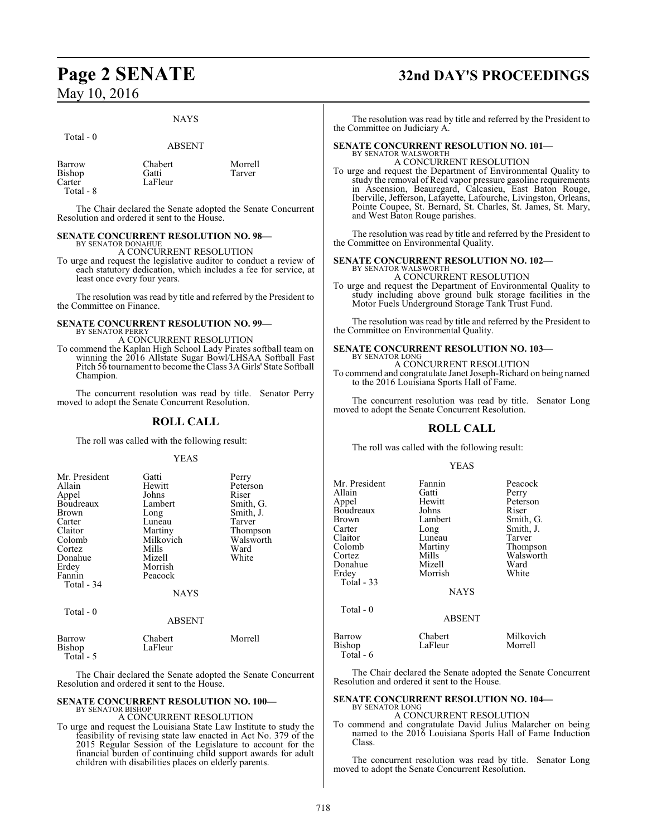Total - 0

# NAYS

|                                         | <b>ABSENT</b>               |                   |
|-----------------------------------------|-----------------------------|-------------------|
| Barrow<br>Bishop<br>Carter<br>Total - 8 | Chabert<br>Gatti<br>LaFleur | Morrell<br>Tarver |

The Chair declared the Senate adopted the Senate Concurrent Resolution and ordered it sent to the House.

### **SENATE CONCURRENT RESOLUTION NO. 98—** BY SENATOR DONAHUE

A CONCURRENT RESOLUTION

To urge and request the legislative auditor to conduct a review of each statutory dedication, which includes a fee for service, at least once every four years.

The resolution was read by title and referred by the President to the Committee on Finance.

## **SENATE CONCURRENT RESOLUTION NO. 99—** BY SENATOR PERRY

A CONCURRENT RESOLUTION

To commend the Kaplan High School Lady Pirates softball team on winning the 2016 Allstate Sugar Bowl/LHSAA Softball Fast Pitch 56 tournament to become the Class 3A Girls' State Softball Champion.

The concurrent resolution was read by title. Senator Perry moved to adopt the Senate Concurrent Resolution.

# **ROLL CALL**

The roll was called with the following result:

# YEAS

| Mr. President<br>Allain<br>Appel<br>Boudreaux<br>Brown<br>Carter<br>Claitor<br>Colomb<br>Cortez<br>Donahue<br>Erdey<br>Fannin<br>Total - 34<br>Total $-0$ | Gatti<br>Hewitt<br>Johns<br>Lambert<br>Long<br>Luneau<br>Martiny<br>Milkovich<br>Mills<br>Mizell<br>Morrish<br>Peacock<br><b>NAYS</b><br><b>ABSENT</b> | Perry<br>Peterson<br>Riser<br>Smith, G.<br>Smith, J.<br>Tarver<br>Thompson<br>Walsworth<br>Ward<br>White |
|-----------------------------------------------------------------------------------------------------------------------------------------------------------|--------------------------------------------------------------------------------------------------------------------------------------------------------|----------------------------------------------------------------------------------------------------------|
| Barrow<br>Bishop                                                                                                                                          | Chabert<br>LaFleur                                                                                                                                     | Morrell                                                                                                  |

Total - 5

The Chair declared the Senate adopted the Senate Concurrent Resolution and ordered it sent to the House.

## **SENATE CONCURRENT RESOLUTION NO. 100—** BY SENATOR BISHOP

# A CONCURRENT RESOLUTION

To urge and request the Louisiana State Law Institute to study the feasibility of revising state law enacted in Act No. 379 of the 2015 Regular Session of the Legislature to account for the financial burden of continuing child support awards for adult children with disabilities places on elderly parents.

# **Page 2 SENATE 32nd DAY'S PROCEEDINGS**

The resolution was read by title and referred by the President to the Committee on Judiciary A.

## **SENATE CONCURRENT RESOLUTION NO. 101—** BY SENATOR WALSWORT

A CONCURRENT RESOLUTION

To urge and request the Department of Environmental Quality to study the removal of Reid vapor pressure gasoline requirements in Ascension, Beauregard, Calcasieu, East Baton Rouge, Iberville, Jefferson, Lafayette, Lafourche, Livingston, Orleans, Pointe Coupee, St. Bernard, St. Charles, St. James, St. Mary, and West Baton Rouge parishes.

The resolution was read by title and referred by the President to the Committee on Environmental Quality.

# **SENATE CONCURRENT RESOLUTION NO. 102—**

BY SENATOR WALSWORTH A CONCURRENT RESOLUTION

To urge and request the Department of Environmental Quality to study including above ground bulk storage facilities in the Motor Fuels Underground Storage Tank Trust Fund.

The resolution was read by title and referred by the President to the Committee on Environmental Quality.

## **SENATE CONCURRENT RESOLUTION NO. 103—** BY SENATOR LONG

A CONCURRENT RESOLUTION To commend and congratulate Janet Joseph-Richard on being named to the 2016 Louisiana Sports Hall of Fame.

The concurrent resolution was read by title. Senator Long moved to adopt the Senate Concurrent Resolution.

# **ROLL CALL**

The roll was called with the following result:

# YEAS

| Mr. President | Fannin        | Peacock   |
|---------------|---------------|-----------|
| Allain        | Gatti         | Perry     |
| Appel         | Hewitt        | Peterson  |
| Boudreaux     | Johns         | Riser     |
| <b>Brown</b>  | Lambert       | Smith, G. |
| Carter        | Long          | Smith, J. |
| Claitor       | Luneau        | Tarver    |
| Colomb        | Martiny       | Thompson  |
| Cortez        | Mills         | Walsworth |
| Donahue       | Mizell        | Ward      |
| Erdey         | Morrish       | White     |
| Total - 33    |               |           |
|               | <b>NAYS</b>   |           |
| $Total - 0$   |               |           |
|               | <b>ABSENT</b> |           |
| Barrow        | Chabert       | Milkovich |
| Bishop        | LaFleur       | Morrell   |

The Chair declared the Senate adopted the Senate Concurrent Resolution and ordered it sent to the House.

## **SENATE CONCURRENT RESOLUTION NO. 104—** BY SENATOR LONG

A CONCURRENT RESOLUTION

To commend and congratulate David Julius Malarcher on being named to the 2016 Louisiana Sports Hall of Fame Induction Class.

The concurrent resolution was read by title. Senator Long moved to adopt the Senate Concurrent Resolution.

Total - 6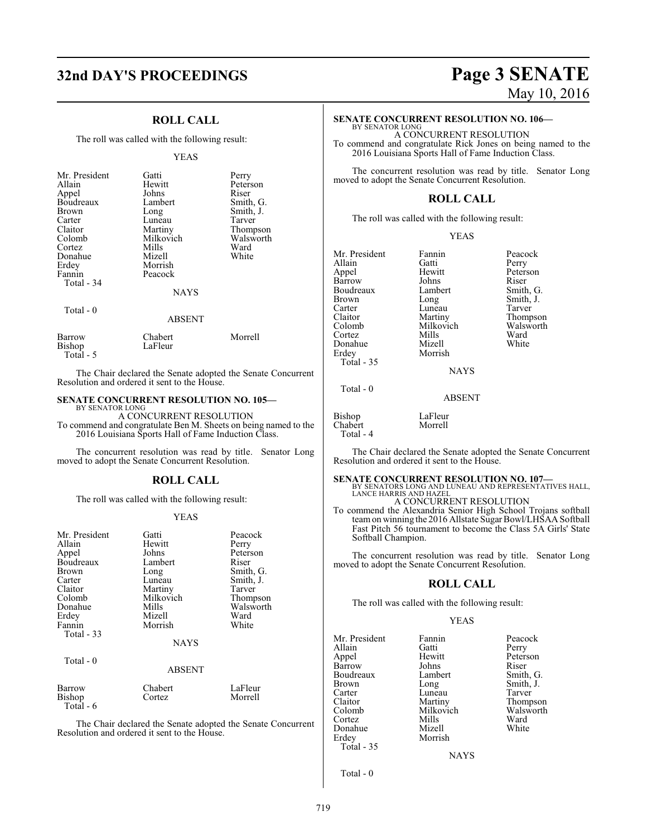# **32nd DAY'S PROCEEDINGS Page 3 SENATE**

# **ROLL CALL**

The roll was called with the following result:

## YEAS

| Mr. President<br>Allain<br>Appel<br>Boudreaux<br>Brown<br>Carter<br>Claitor<br>Colomb<br>Cortez<br>Donahue<br>Erdey<br>Fannin<br>Total - 34 | Gatti<br>Hewitt<br>Johns<br>Lambert<br>Long<br>Luneau<br>Martiny<br>Milkovich<br>Mills<br>Mizell<br>Morrish<br>Peacock | Perry<br>Peterson<br>Riser<br>Smith, G.<br>Smith, J.<br>Tarver<br>Thompson<br>Walsworth<br>Ward<br>White |
|---------------------------------------------------------------------------------------------------------------------------------------------|------------------------------------------------------------------------------------------------------------------------|----------------------------------------------------------------------------------------------------------|
|                                                                                                                                             | <b>NAYS</b>                                                                                                            |                                                                                                          |
| Total $-0$                                                                                                                                  | <b>ABSENT</b>                                                                                                          |                                                                                                          |
| Barrow<br>Bishop                                                                                                                            | Chabert<br>LaFleur                                                                                                     | Morrell                                                                                                  |

The Chair declared the Senate adopted the Senate Concurrent Resolution and ordered it sent to the House.

# **SENATE CONCURRENT RESOLUTION NO. 105—**

Total - 5

BY SENATOR LONG A CONCURRENT RESOLUTION

To commend and congratulate Ben M. Sheets on being named to the 2016 Louisiana Sports Hall of Fame Induction Class.

The concurrent resolution was read by title. Senator Long moved to adopt the Senate Concurrent Resolution.

# **ROLL CALL**

The roll was called with the following result:

## YEAS

| Mr. President<br>Allain<br>Appel<br>Boudreaux<br>Brown<br>Carter<br>Claitor<br>Colomb<br>Donahue<br>Erdey<br>Fannin<br>Total - 33 | Gatti<br>Hewitt<br>Johns<br>Lambert<br>Long<br>Luneau<br>Martiny<br>Milkovich<br>Mills<br>Mizell<br>Morrish<br><b>NAYS</b> | Peacock<br>Perry<br>Peterson<br>Riser<br>Smith, G.<br>Smith, J.<br>Tarver<br>Thompson<br>Walsworth<br>Ward<br>White |
|-----------------------------------------------------------------------------------------------------------------------------------|----------------------------------------------------------------------------------------------------------------------------|---------------------------------------------------------------------------------------------------------------------|
|                                                                                                                                   |                                                                                                                            |                                                                                                                     |
| Total - 0                                                                                                                         | <b>ABSENT</b>                                                                                                              |                                                                                                                     |
| Barrow<br>Bishop<br>Total - 6                                                                                                     | Chabert<br>Cortez                                                                                                          | LaFleur<br>Morrell                                                                                                  |

The Chair declared the Senate adopted the Senate Concurrent Resolution and ordered it sent to the House.

# May 10, 2016

# **SENATE CONCURRENT RESOLUTION NO. 106—**

BY SENATOR LONG A CONCURRENT RESOLUTION To commend and congratulate Rick Jones on being named to the 2016 Louisiana Sports Hall of Fame Induction Class.

The concurrent resolution was read by title. Senator Long moved to adopt the Senate Concurrent Resolution.

# **ROLL CALL**

The roll was called with the following result:

|--|

| Mr. President<br>Allain<br>Appel<br>Barrow<br>Boudreaux<br><b>Brown</b><br>Carter | Fannin<br>Gatti<br>Hewitt<br>Johns<br>Lambert<br>Long<br>Luneau | Peacock<br>Perry<br>Peterson<br>Riser<br>Smith, G.<br>Smith, J.<br>Tarver |
|-----------------------------------------------------------------------------------|-----------------------------------------------------------------|---------------------------------------------------------------------------|
| Claitor<br>Colomb<br>Cortez<br>Donahue<br>Erdey                                   | Martiny<br>Milkovich<br>Mills<br>Mizell<br>Morrish              | Thompson<br>Walsworth<br>Ward<br>White                                    |
| <b>Total - 35</b>                                                                 |                                                                 |                                                                           |

NAYS

ABSENT

Bishop LaFleur Chabert Total - 4

Total - 0

The Chair declared the Senate adopted the Senate Concurrent Resolution and ordered it sent to the House.

## **SENATE CONCURRENT RESOLUTION NO. 107—**

BY SENATORS LONG AND LUNEAU AND REPRESENTATIVES HALL, LANCE HARRIS AND HAZEL

A CONCURRENT RESOLUTION

To commend the Alexandria Senior High School Trojans softball team on winning the 2016 Allstate Sugar Bowl/LHSAA Softball Fast Pitch 56 tournament to become the Class 5A Girls' State Softball Champion.

The concurrent resolution was read by title. Senator Long moved to adopt the Senate Concurrent Resolution.

# **ROLL CALL**

The roll was called with the following result:

## YEAS

| Mr. President | Fannin         | Peacock   |
|---------------|----------------|-----------|
| Allain        | Gatti          | Perry     |
| Appel         | Hewitt         | Peterson  |
| Barrow        | Johns          | Riser     |
| Boudreaux     | Lambert        | Smith, C  |
| <b>Brown</b>  | Long           | Smith, J. |
| Carter        | Luneau         | Tarver    |
| Claitor       | Martiny        | Thomps    |
| Colomb        | Milkovich      | Walswor   |
| Cortez        | Mills          | Ward      |
| Donahue       | Mizell         | White     |
| Erdey         | Morrish        |           |
| Total - 35    |                |           |
|               | <b>ATA STO</b> |           |

Peterson<br>Riser Smith, G. Smith, J. Tarver Thompson Walsworth<br>Ward

NAYS

Total - 0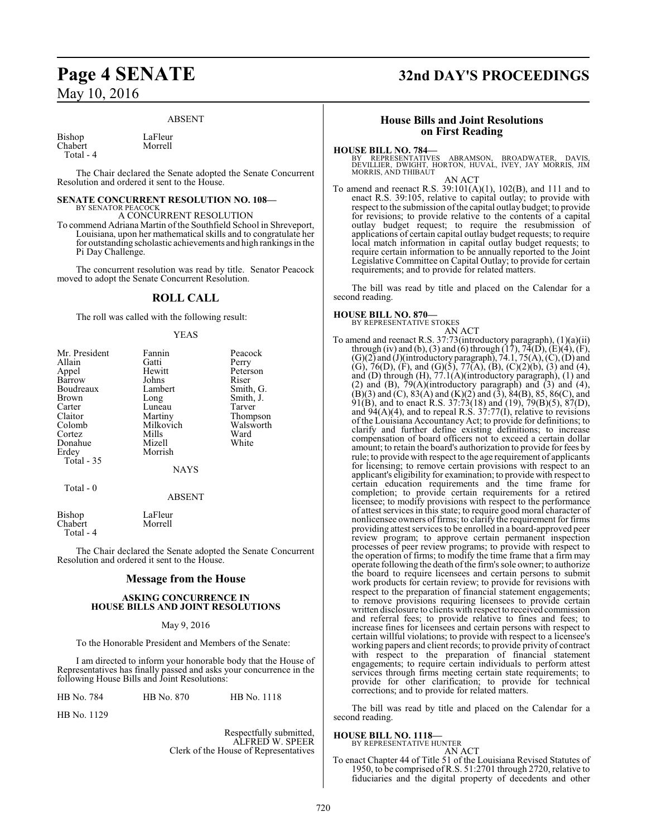## ABSENT

Bishop LaFleur<br>Chabert Morrell Chabert Total - 4

The Chair declared the Senate adopted the Senate Concurrent Resolution and ordered it sent to the House.

# **SENATE CONCURRENT RESOLUTION NO. 108—**

BY SENATOR PEACOCK A CONCURRENT RESOLUTION

To commend Adriana Martin of the Southfield School in Shreveport, Louisiana, upon her mathematical skills and to congratulate her for outstanding scholastic achievements and high rankings in the Pi Day Challenge.

The concurrent resolution was read by title. Senator Peacock moved to adopt the Senate Concurrent Resolution.

# **ROLL CALL**

The roll was called with the following result:

## YEAS

| Mr. President     | Fannin        | Peacock   |
|-------------------|---------------|-----------|
| Allain            | Gatti         | Perry     |
| Appel             | Hewitt        | Peterson  |
| Barrow            | Johns         | Riser     |
| Boudreaux         | Lambert       | Smith, G. |
| <b>Brown</b>      | Long          | Smith, J. |
| Carter            | Luneau        | Tarver    |
| Claitor           | Martiny       | Thompson  |
| Colomb            | Milkovich     | Walsworth |
| Cortez            | Mills         | Ward      |
| Donahue           | Mizell        | White     |
| Erdey             | Morrish       |           |
| <b>Total - 35</b> |               |           |
|                   | <b>NAYS</b>   |           |
| Total $-0$        |               |           |
|                   | <b>ABSENT</b> |           |
|                   |               |           |

Bishop LaFleur Chabert Total - 4

The Chair declared the Senate adopted the Senate Concurrent Resolution and ordered it sent to the House.

# **Message from the House**

## **ASKING CONCURRENCE IN HOUSE BILLS AND JOINT RESOLUTIONS**

# May 9, 2016

To the Honorable President and Members of the Senate:

I am directed to inform your honorable body that the House of Representatives has finally passed and asks your concurrence in the following House Bills and Joint Resolutions:

HB No. 784 HB No. 870 HB No. 1118

HB No. 1129

Respectfully submitted, ALFRED W. SPEER Clerk of the House of Representatives

# **Page 4 SENATE 32nd DAY'S PROCEEDINGS**

# **House Bills and Joint Resolutions on First Reading**

**HOUSE BILL NO. 784—**<br>BY REPRESENTATIVES ABRAMSON, BROADWATER, DAVIS,<br>DEVILLIER, DWIGHT, HORTON, HUVAL, IVEY, JAY MORRIS, JIM<br>MORRIS, AND THIBAUT

AN ACT

To amend and reenact R.S. 39:101(A)(1), 102(B), and 111 and to enact R.S. 39:105, relative to capital outlay; to provide with respect to the submission of the capital outlay budget; to provide for revisions; to provide relative to the contents of a capital outlay budget request; to require the resubmission of applications of certain capital outlay budget requests; to require local match information in capital outlay budget requests; to require certain information to be annually reported to the Joint Legislative Committee on Capital Outlay; to provide for certain requirements; and to provide for related matters.

The bill was read by title and placed on the Calendar for a second reading.

**HOUSE BILL NO. 870—**

BY REPRESENTATIVE STOKES

AN ACT To amend and reenact R.S. 37:73(introductory paragraph), (1)(a)(ii) through (iv) and (b), (3) and (6) through  $(17)$ ,  $74(D)$ ,  $(E)(4)$ ,  $(F)$ ,  $(G)(2)$  and  $(J)($ introductory paragraph), 74.1, 75(A),  $(C)$ ,  $(D)$  and (G), 76(D), (F), and (G)(5), 77(A), (B), (C)(2)(b), (3) and (4), and (D) through (H), 77.1(A)(introductory paragraph), (1) and (2) and (B),  $\bar{7}9(A)$ (introductory paragraph) and (3) and (4),  $(B)(3)$  and  $(C)$ ,  $83(A)$  and  $(K)(2)$  and  $(3)$ ,  $84(B)$ ,  $85$ ,  $86(C)$ , and  $91(B)$ , and to enact R.S. 37:73(18) and (19), 79(B)(5), 87(D), and 94(A)(4), and to repeal R.S. 37:77(I), relative to revisions of the Louisiana Accountancy Act; to provide for definitions; to clarify and further define existing definitions; to increase compensation of board officers not to exceed a certain dollar amount; to retain the board's authorization to provide for fees by rule; to provide with respect to the age requirement of applicants for licensing; to remove certain provisions with respect to an applicant's eligibility for examination; to provide with respect to certain education requirements and the time frame for completion; to provide certain requirements for a retired licensee; to modify provisions with respect to the performance of attest services in this state; to require good moral character of nonlicensee owners offirms; to clarify the requirement for firms providing attest services to be enrolled in a board-approved peer review program; to approve certain permanent inspection processes of peer review programs; to provide with respect to the operation of firms; to modify the time frame that a firm may operate following the death ofthe firm's sole owner; to authorize the board to require licensees and certain persons to submit work products for certain review; to provide for revisions with respect to the preparation of financial statement engagements; to remove provisions requiring licensees to provide certain written disclosure to clients with respect to received commission and referral fees; to provide relative to fines and fees; to increase fines for licensees and certain persons with respect to certain willful violations; to provide with respect to a licensee's working papers and client records; to provide privity of contract with respect to the preparation of financial statement engagements; to require certain individuals to perform attest services through firms meeting certain state requirements; to provide for other clarification; to provide for technical corrections; and to provide for related matters.

The bill was read by title and placed on the Calendar for a second reading.

# **HOUSE BILL NO. 1118—**

BY REPRESENTATIVE HUNTER

AN ACT To enact Chapter 44 of Title 51 of the Louisiana Revised Statutes of 1950, to be comprised ofR.S. 51:2701 through 2720, relative to fiduciaries and the digital property of decedents and other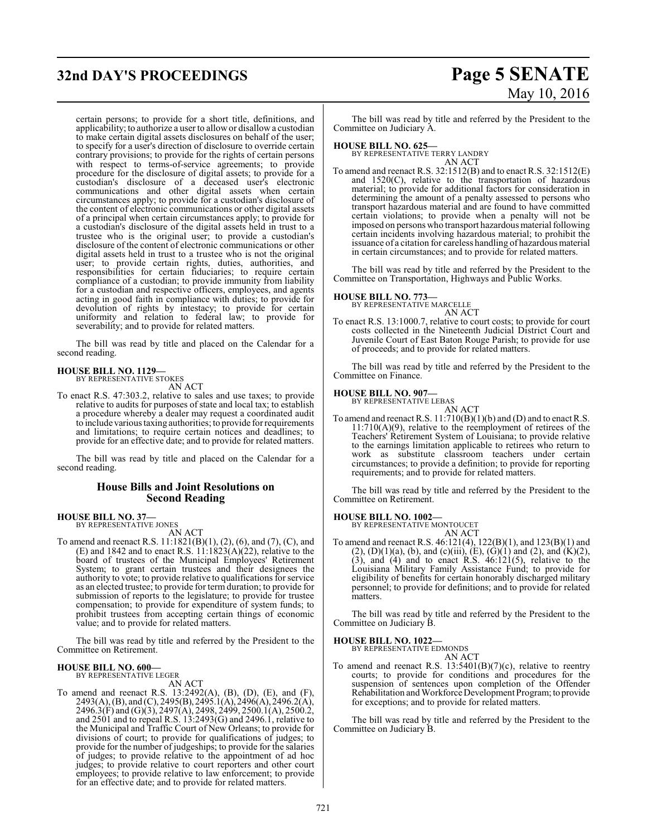# **32nd DAY'S PROCEEDINGS Page 5 SENATE**

certain persons; to provide for a short title, definitions, and applicability; to authorize a user to allowor disallow a custodian to make certain digital assets disclosures on behalf of the user; to specify for a user's direction of disclosure to override certain contrary provisions; to provide for the rights of certain persons with respect to terms-of-service agreements; to provide procedure for the disclosure of digital assets; to provide for a custodian's disclosure of a deceased user's electronic communications and other digital assets when certain circumstances apply; to provide for a custodian's disclosure of the content of electronic communications or other digital assets of a principal when certain circumstances apply; to provide for a custodian's disclosure of the digital assets held in trust to a trustee who is the original user; to provide a custodian's disclosure of the content of electronic communications or other digital assets held in trust to a trustee who is not the original user; to provide certain rights, duties, authorities, and responsibilities for certain fiduciaries; to require certain compliance of a custodian; to provide immunity from liability for a custodian and respective officers, employees, and agents acting in good faith in compliance with duties; to provide for devolution of rights by intestacy; to provide for certain uniformity and relation to federal law; to provide for severability; and to provide for related matters.

The bill was read by title and placed on the Calendar for a second reading.

# **HOUSE BILL NO. 1129—**

BY REPRESENTATIVE STOKES

- AN ACT
- To enact R.S. 47:303.2, relative to sales and use taxes; to provide relative to audits for purposes of state and local tax; to establish a procedure whereby a dealer may request a coordinated audit to include various taxing authorities; to provide for requirements and limitations; to require certain notices and deadlines; to provide for an effective date; and to provide for related matters.

The bill was read by title and placed on the Calendar for a second reading.

# **House Bills and Joint Resolutions on Second Reading**

# **HOUSE BILL NO. 37—** BY REPRESENTATIVE JONES

AN ACT

To amend and reenact R.S. 11:1821(B)(1), (2), (6), and (7), (C), and (E) and 1842 and to enact R.S.  $11:1823(A)(22)$ , relative to the board of trustees of the Municipal Employees' Retirement System; to grant certain trustees and their designees the authority to vote; to provide relative to qualifications for service as an elected trustee; to provide for term duration; to provide for submission of reports to the legislature; to provide for trustee compensation; to provide for expenditure of system funds; to prohibit trustees from accepting certain things of economic value; and to provide for related matters.

The bill was read by title and referred by the President to the Committee on Retirement.

## **HOUSE BILL NO. 600—** BY REPRESENTATIVE LEGER

AN ACT

To amend and reenact R.S. 13:2492(A), (B), (D), (E), and (F), 2493(A), (B), and (C), 2495(B), 2495.1(A), 2496(A), 2496.2(A), 2496.3(F) and (G)(3), 2497(A), 2498, 2499, 2500.1(A), 2500.2, and 2501 and to repeal R.S. 13:2493(G) and 2496.1, relative to the Municipal and Traffic Court of New Orleans; to provide for divisions of court; to provide for qualifications of judges; to provide for the number of judgeships; to provide for the salaries of judges; to provide relative to the appointment of ad hoc judges; to provide relative to court reporters and other court employees; to provide relative to law enforcement; to provide for an effective date; and to provide for related matters.

# May 10, 2016

The bill was read by title and referred by the President to the Committee on Judiciary A.

**HOUSE BILL NO. 625—**

BY REPRESENTATIVE TERRY LANDRY AN ACT

To amend and reenact R.S. 32:1512(B) and to enact R.S. 32:1512(E) and 1520(C), relative to the transportation of hazardous material; to provide for additional factors for consideration in determining the amount of a penalty assessed to persons who transport hazardous material and are found to have committed certain violations; to provide when a penalty will not be imposed on persons who transport hazardous material following certain incidents involving hazardous material; to prohibit the issuance of a citation for careless handling of hazardous material in certain circumstances; and to provide for related matters.

The bill was read by title and referred by the President to the Committee on Transportation, Highways and Public Works.

# **HOUSE BILL NO. 773—** BY REPRESENTATIVE MARCELLE

AN ACT

To enact R.S. 13:1000.7, relative to court costs; to provide for court costs collected in the Nineteenth Judicial District Court and Juvenile Court of East Baton Rouge Parish; to provide for use of proceeds; and to provide for related matters.

The bill was read by title and referred by the President to the Committee on Finance.

# **HOUSE BILL NO. 907—**

BY REPRESENTATIVE LEBAS

AN ACT To amend and reenact R.S.  $11:710(B)(1)(b)$  and (D) and to enact R.S. 11:710(A)(9), relative to the reemployment of retirees of the Teachers' Retirement System of Louisiana; to provide relative to the earnings limitation applicable to retirees who return to work as substitute classroom teachers under certain circumstances; to provide a definition; to provide for reporting requirements; and to provide for related matters.

The bill was read by title and referred by the President to the Committee on Retirement.

**HOUSE BILL NO. 1002—** BY REPRESENTATIVE MONTOUCET AN ACT

To amend and reenact R.S. 46:121(4), 122(B)(1), and 123(B)(1) and  $(2)$ ,  $(D)(1)(a)$ ,  $(b)$ , and  $(c)(iii)$ ,  $(E)$ ,  $(G)(1)$  and  $(2)$ , and  $(K)(2)$ ,  $(3)$ , and  $(4)$  and to enact R.S.  $46:121(5)$ , relative to the Louisiana Military Family Assistance Fund; to provide for eligibility of benefits for certain honorably discharged military personnel; to provide for definitions; and to provide for related matters.

The bill was read by title and referred by the President to the Committee on Judiciary B.

# **HOUSE BILL NO. 1022—**

BY REPRESENTATIVE EDMONDS AN ACT

To amend and reenact R.S.  $13:5401(B)(7)(c)$ , relative to reentry courts; to provide for conditions and procedures for the suspension of sentences upon completion of the Offender Rehabilitation andWorkforce Development Program; to provide for exceptions; and to provide for related matters.

The bill was read by title and referred by the President to the Committee on Judiciary B.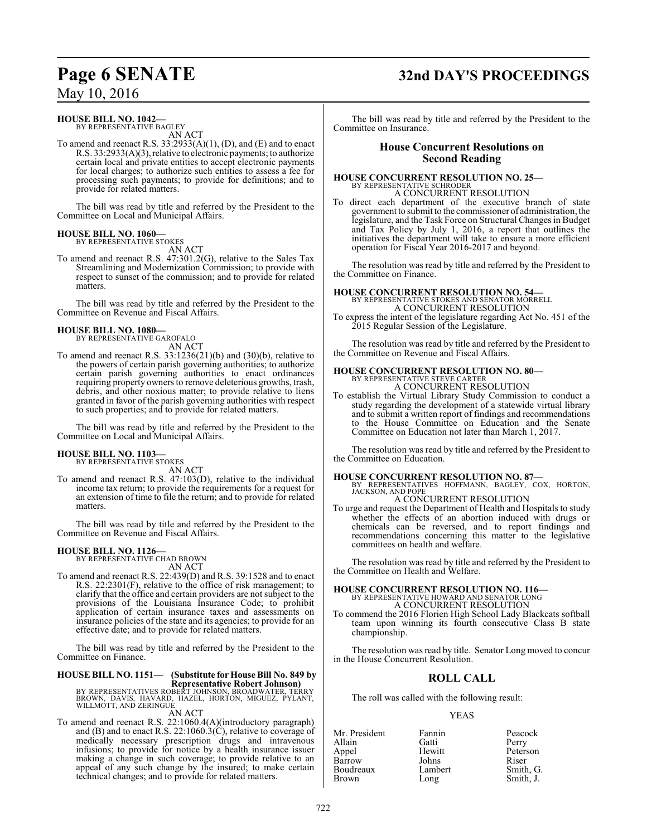# **Page 6 SENATE 32nd DAY'S PROCEEDINGS**

May 10, 2016

# **HOUSE BILL NO. 1042—**

BY REPRESENTATIVE BAGLEY AN ACT

To amend and reenact R.S. 33:2933(A)(1), (D), and (E) and to enact R.S. 33:2933(A)(3), relative to electronic payments; to authorize certain local and private entities to accept electronic payments for local charges; to authorize such entities to assess a fee for processing such payments; to provide for definitions; and to provide for related matters.

The bill was read by title and referred by the President to the Committee on Local and Municipal Affairs.

## **HOUSE BILL NO. 1060—** BY REPRESENTATIVE STOKES

AN ACT

To amend and reenact R.S. 47:301.2(G), relative to the Sales Tax Streamlining and Modernization Commission; to provide with respect to sunset of the commission; and to provide for related matters.

The bill was read by title and referred by the President to the Committee on Revenue and Fiscal Affairs.

# **HOUSE BILL NO. 1080—**

BY REPRESENTATIVE GAROFALO

AN ACT To amend and reenact R.S. 33:1236(21)(b) and (30)(b), relative to the powers of certain parish governing authorities; to authorize certain parish governing authorities to enact ordinances requiring property owners to remove deleterious growths, trash, debris, and other noxious matter; to provide relative to liens granted in favor of the parish governing authorities with respect to such properties; and to provide for related matters.

The bill was read by title and referred by the President to the Committee on Local and Municipal Affairs.

# **HOUSE BILL NO. 1103—**

BY REPRESENTATIVE STOKES AN ACT

To amend and reenact R.S. 47:103(D), relative to the individual income tax return; to provide the requirements for a request for an extension of time to file the return; and to provide for related matters.

The bill was read by title and referred by the President to the Committee on Revenue and Fiscal Affairs.

# **HOUSE BILL NO. 1126—** BY REPRESENTATIVE CHAD BROWN

AN ACT

To amend and reenact R.S. 22:439(D) and R.S. 39:1528 and to enact R.S. 22:2301(F), relative to the office of risk management; to clarify that the office and certain providers are not subject to the provisions of the Louisiana Insurance Code; to prohibit application of certain insurance taxes and assessments on insurance policies of the state and its agencies; to provide for an effective date; and to provide for related matters.

The bill was read by title and referred by the President to the Committee on Finance.

# **HOUSE BILL NO. 1151— (Substitute for House Bill No. 849 by**

**Representative Robert Johnson)<br>BY REPRESENTATIVES ROBERT JOHNSON, BROADWATER, TERRY<br>BROWN, DAVIS, HAVARD, HAZEL, HORTON, MIGUEZ, PYLANT,<br>WILLMOTT, AND ZERINGUE** AN ACT

To amend and reenact R.S. 22:1060.4(A)(introductory paragraph) and (B) and to enact R.S. 22:1060.3(C), relative to coverage of medically necessary prescription drugs and intravenous infusions; to provide for notice by a health insurance issuer making a change in such coverage; to provide relative to an appeal of any such change by the insured; to make certain technical changes; and to provide for related matters.

The bill was read by title and referred by the President to the Committee on Insurance.

# **House Concurrent Resolutions on Second Reading**

# **HOUSE CONCURRENT RESOLUTION NO. 25—** BY REPRESENTATIVE SCHRODER

A CONCURRENT RESOLUTION

To direct each department of the executive branch of state government to submit to the commissioner of administration, the legislature, and the Task Force on Structural Changes in Budget and Tax Policy by July 1, 2016, a report that outlines the initiatives the department will take to ensure a more efficient operation for Fiscal Year 2016-2017 and beyond.

The resolution was read by title and referred by the President to the Committee on Finance.

# **HOUSE CONCURRENT RESOLUTION NO. 54—** BY REPRESENTATIVE STOKES AND SENATOR MORRELL A CONCURRENT RESOLUTION

To express the intent of the legislature regarding Act No. 451 of the 2015 Regular Session of the Legislature.

The resolution was read by title and referred by the President to the Committee on Revenue and Fiscal Affairs.

## **HOUSE CONCURRENT RESOLUTION NO. 80—** BY REPRESENTATIVE STEVE CARTER

A CONCURRENT RESOLUTION

To establish the Virtual Library Study Commission to conduct a study regarding the development of a statewide virtual library and to submit a written report of findings and recommendations to the House Committee on Education and the Senate Committee on Education not later than March 1, 2017.

The resolution was read by title and referred by the President to the Committee on Education.

# **HOUSE CONCURRENT RESOLUTION NO. 87—**

BY REPRESENTATIVES HOFFMANN, BAGLEY, COX, HORTON, JACKSON, AND POPE

# A CONCURRENT RESOLUTION

To urge and request the Department of Health and Hospitals to study whether the effects of an abortion induced with drugs or chemicals can be reversed, and to report findings and recommendations concerning this matter to the legislative committees on health and welfare.

The resolution was read by title and referred by the President to the Committee on Health and Welfare.

# **HOUSE CONCURRENT RESOLUTION NO. 116—**<br>BY REPRESENTATIVE HOWARD AND SENATOR LONG A CONCURRENT RESOLUTION

To commend the 2016 Florien High School Lady Blackcats softball team upon winning its fourth consecutive Class B state championship.

The resolution was read by title. Senator Long moved to concur in the House Concurrent Resolution.

# **ROLL CALL**

The roll was called with the following result:

# YEAS

| Mr. President | Fannin  | Peacock   |
|---------------|---------|-----------|
| Allain        | Gatti   | Perry     |
| Appel         | Hewitt  | Peterson  |
| Barrow        | Johns   | Riser     |
| Boudreaux     | Lambert | Smith, G. |
| <b>Brown</b>  | Long    | Smith, J. |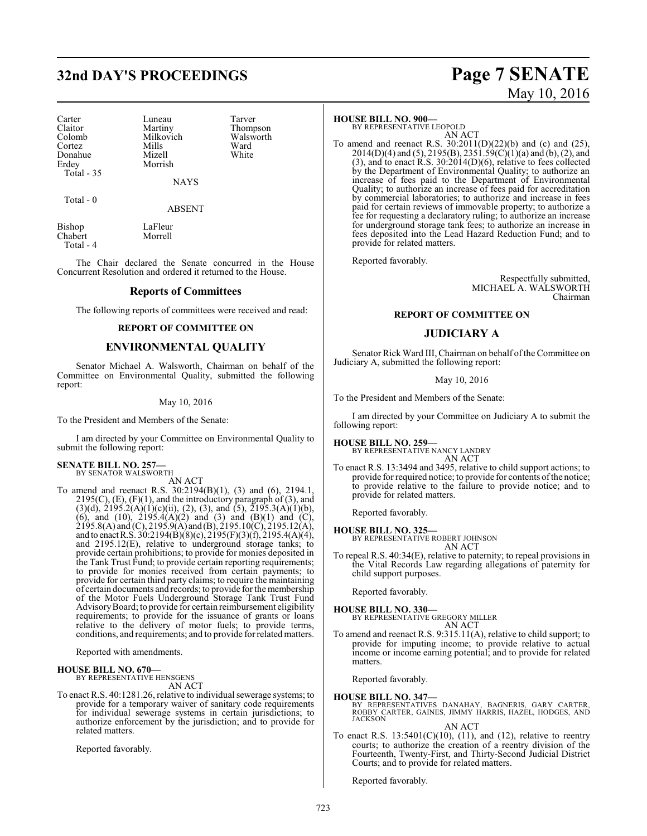# **32nd DAY'S PROCEEDINGS Page 7 SENATE**

Carter Luneau Tarver<br>
Claitor Martiny Thomp Claitor Martiny Thompson<br>Colomb Milkovich Walsworth Colomb Milkovich Walsworth Walsworth Walsworth Walsworth Walsworth Walsworth Walsworth Walsworth Milkovich Milkovich Milkovich Milkovich Milkovich Milkovich Milkovich Milkovich Milkovich Milkovich Milkovich Milkovich Milko Cortez Mills Ward Donahue Mizell White<br>Erdey Morrish Total - 35

Morrish

**NAYS** 

Total - 0

ABSENT

Bishop LaFleur<br>Chabert Morrell Chabert Total - 4

The Chair declared the Senate concurred in the House Concurrent Resolution and ordered it returned to the House.

# **Reports of Committees**

The following reports of committees were received and read:

## **REPORT OF COMMITTEE ON**

# **ENVIRONMENTAL QUALITY**

Senator Michael A. Walsworth, Chairman on behalf of the Committee on Environmental Quality, submitted the following report:

# May 10, 2016

To the President and Members of the Senate:

I am directed by your Committee on Environmental Quality to submit the following report:

### **SENATE BILL NO. 257—** BY SENATOR WALSWORTH

AN ACT

To amend and reenact R.S. 30:2194(B)(1), (3) and (6), 2194.1, 2195(C), (E), (F)(1), and the introductory paragraph of (3), and  $(3)(d)$ ,  $2195.2(A)(1)(c)(ii)$ ,  $(2)$ ,  $(3)$ , and  $(5)$ ,  $2195.3(A)(1)(b)$ , (6), and (10),  $2195.4(A)(2)$  and (3) and (B)(1) and (C),  $2195.8(A)$  and (C),  $2195.9(A)$  and (B),  $2195.10(C)$ ,  $2195.12(A)$ , and to enactR.S. 30:2194(B)(8)(c), 2195(F)(3)(f), 2195.4(A)(4), and 2195.12(E), relative to underground storage tanks; to provide certain prohibitions; to provide for monies deposited in the Tank Trust Fund; to provide certain reporting requirements; to provide for monies received from certain payments; to provide for certain third party claims; to require the maintaining of certain documents and records; to provide for the membership of the Motor Fuels Underground Storage Tank Trust Fund AdvisoryBoard; to provide for certain reimbursement eligibility requirements; to provide for the issuance of grants or loans relative to the delivery of motor fuels; to provide terms, conditions, and requirements; and to provide forrelated matters.

Reported with amendments.

# **HOUSE BILL NO. 670—** BY REPRESENTATIVE HENSGENS

AN ACT

To enact R.S. 40:1281.26, relative to individual sewerage systems; to provide for a temporary waiver of sanitary code requirements for individual sewerage systems in certain jurisdictions; to authorize enforcement by the jurisdiction; and to provide for related matters.

Reported favorably.

# **HOUSE BILL NO. 900—**

BY REPRESENTATIVE LEOPOLD AN ACT

To amend and reenact R.S. 30:2011(D)(22)(b) and (c) and (25), 2014(D)(4) and (5), 2195(B), 2351.59(C)(1)(a) and (b), (2), and  $(3)$ , and to enact R.S. 30:2014 $(D)(6)$ , relative to fees collected by the Department of Environmental Quality; to authorize an increase of fees paid to the Department of Environmental Quality; to authorize an increase of fees paid for accreditation by commercial laboratories; to authorize and increase in fees paid for certain reviews of immovable property; to authorize a fee for requesting a declaratory ruling; to authorize an increase for underground storage tank fees; to authorize an increase in fees deposited into the Lead Hazard Reduction Fund; and to provide for related matters.

Reported favorably.

Respectfully submitted, MICHAEL A. WALSWORTH Chairman

# **REPORT OF COMMITTEE ON**

# **JUDICIARY A**

Senator Rick Ward III, Chairman on behalf of the Committee on Judiciary A, submitted the following report:

May 10, 2016

To the President and Members of the Senate:

I am directed by your Committee on Judiciary A to submit the following report:

## **HOUSE BILL NO. 259—**

BY REPRESENTATIVE NANCY LANDRY AN ACT

To enact R.S. 13:3494 and 3495, relative to child support actions; to provide for required notice; to provide for contents ofthe notice; to provide relative to the failure to provide notice; and to provide for related matters.

Reported favorably.

## **HOUSE BILL NO. 325—**

BY REPRESENTATIVE ROBERT JOHNSON AN ACT

To repeal R.S. 40:34(E), relative to paternity; to repeal provisions in the Vital Records Law regarding allegations of paternity for child support purposes.

Reported favorably.

**HOUSE BILL NO. 330—** BY REPRESENTATIVE GREGORY MILLER AN ACT

To amend and reenact R.S. 9:315.11(A), relative to child support; to provide for imputing income; to provide relative to actual income or income earning potential; and to provide for related matters.

Reported favorably.

**HOUSE BILL NO. 347—** BY REPRESENTATIVES DANAHAY, BAGNERIS, GARY CARTER, ROBBY CARTER, GAINES, JIMMY HARRIS, HAZEL, HODGES, AND JACKSON AN ACT

To enact R.S.  $13:5401(C)(10)$ ,  $(11)$ , and  $(12)$ , relative to reentry courts; to authorize the creation of a reentry division of the Fourteenth, Twenty-First, and Thirty-Second Judicial District Courts; and to provide for related matters.

Reported favorably.

# May 10, 2016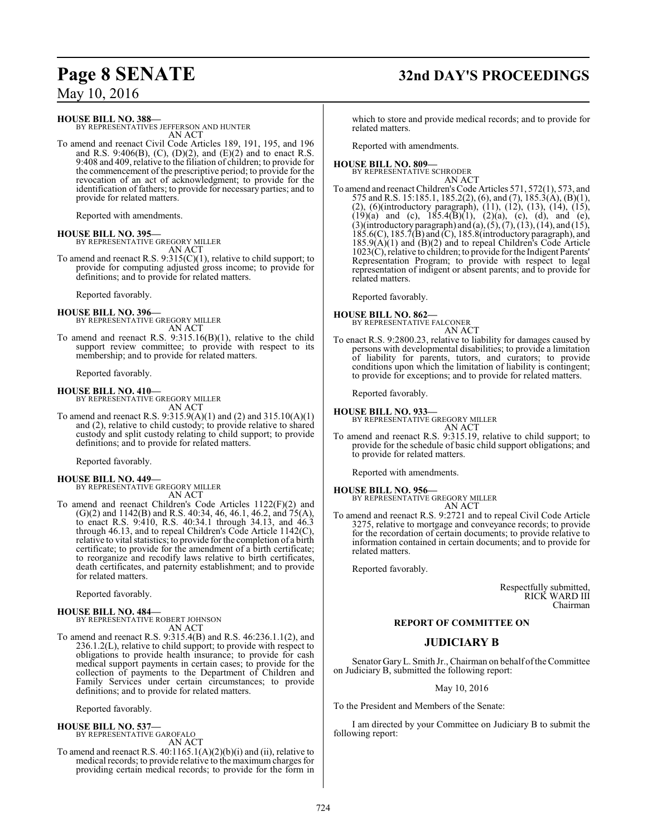# **Page 8 SENATE 32nd DAY'S PROCEEDINGS**

**HOUSE BILL NO. 388—**

BY REPRESENTATIVES JEFFERSON AND HUNTER AN ACT

To amend and reenact Civil Code Articles 189, 191, 195, and 196 and R.S. 9:406(B), (C), (D)(2), and (E)(2) and to enact R.S. 9:408 and 409, relative to the filiation of children; to provide for the commencement of the prescriptive period; to provide for the revocation of an act of acknowledgment; to provide for the identification of fathers; to provide for necessary parties; and to provide for related matters.

Reported with amendments.

# **HOUSE BILL NO. 395—**

BY REPRESENTATIVE GREGORY MILLER AN ACT

To amend and reenact R.S. 9:315(C)(1), relative to child support; to provide for computing adjusted gross income; to provide for definitions; and to provide for related matters.

Reported favorably.

**HOUSE BILL NO. 396—** BY REPRESENTATIVE GREGORY MILLER AN ACT

To amend and reenact R.S. 9:315.16(B)(1), relative to the child support review committee; to provide with respect to its membership; and to provide for related matters.

Reported favorably.

# **HOUSE BILL NO. 410—**

BY REPRESENTATIVE GREGORY MILLER AN ACT

To amend and reenact R.S. 9:315.9(A)(1) and (2) and 315.10(A)(1) and (2), relative to child custody; to provide relative to shared custody and split custody relating to child support; to provide definitions; and to provide for related matters.

Reported favorably.

**HOUSE BILL NO. 449—** BY REPRESENTATIVE GREGORY MILLER AN ACT

To amend and reenact Children's Code Articles 1122(F)(2) and  $(G)(2)$  and 1142 $(B)$  and R.S. 40:34, 46, 46.1, 46.2, and 75 $(A)$ , to enact R.S. 9:410, R.S. 40:34.1 through 34.13, and 46.3 through 46.13, and to repeal Children's Code Article 1142(C), relative to vital statistics; to provide for the completion of a birth certificate; to provide for the amendment of a birth certificate; to reorganize and recodify laws relative to birth certificates, death certificates, and paternity establishment; and to provide for related matters.

Reported favorably.

**HOUSE BILL NO. 484—** BY REPRESENTATIVE ROBERT JOHNSON AN ACT

To amend and reenact R.S. 9:315.4(B) and R.S. 46:236.1.1(2), and 236.1.2(L), relative to child support; to provide with respect to obligations to provide health insurance; to provide for cash medical support payments in certain cases; to provide for the collection of payments to the Department of Children and Family Services under certain circumstances; to provide definitions; and to provide for related matters.

Reported favorably.

# **HOUSE BILL NO. 537—** BY REPRESENTATIVE GAROFALO

AN ACT

To amend and reenact R.S. 40:1165.1(A)(2)(b)(i) and (ii), relative to medical records; to provide relative to the maximum charges for providing certain medical records; to provide for the form in

which to store and provide medical records; and to provide for related matters.

Reported with amendments.

## **HOUSE BILL NO. 809—** BY REPRESENTATIVE SCHRODER

AN ACT

To amend and reenact Children's Code Articles 571, 572(1), 573, and 575 and R.S. 15:185.1, 185.2(2), (6), and (7), 185.3(A), (B)(1), (2), (6)(introductory paragraph), (11), (12), (13), (14), (15),  $(19)(a)$  and (c),  $185.4(B)(1)$ ,  $(2)(a)$ , (c), (d), and (e),  $(3)$ (introductory paragraph) and  $(a)$ ,  $(5)$ ,  $(7)$ ,  $(13)$ ,  $(14)$ , and  $(15)$ , 185.6(C), 185.7(B) and (C), 185.8(introductory paragraph), and 185.9(A)(1) and (B)(2) and to repeal Children's Code Article 1023(C), relative to children; to provide for the Indigent Parents' Representation Program; to provide with respect to legal representation of indigent or absent parents; and to provide for related matters.

Reported favorably.

**HOUSE BILL NO. 862—**

BY REPRESENTATIVE FALCONER AN ACT

To enact R.S. 9:2800.23, relative to liability for damages caused by persons with developmental disabilities; to provide a limitation of liability for parents, tutors, and curators; to provide conditions upon which the limitation of liability is contingent; to provide for exceptions; and to provide for related matters.

Reported favorably.

# **HOUSE BILL NO. 933—**

BY REPRESENTATIVE GREGORY MILLER

AN ACT To amend and reenact R.S. 9:315.19, relative to child support; to provide for the schedule of basic child support obligations; and to provide for related matters.

Reported with amendments.

# **HOUSE BILL NO. 956—**

BY REPRESENTATIVE GREGORY MILLER AN ACT

To amend and reenact R.S. 9:2721 and to repeal Civil Code Article 3275, relative to mortgage and conveyance records; to provide for the recordation of certain documents; to provide relative to information contained in certain documents; and to provide for related matters.

Reported favorably.

Respectfully submitted, RICK WARD III Chairman

# **REPORT OF COMMITTEE ON**

# **JUDICIARY B**

Senator GaryL. Smith Jr., Chairman on behalf ofthe Committee on Judiciary B, submitted the following report:

May 10, 2016

To the President and Members of the Senate:

I am directed by your Committee on Judiciary B to submit the following report: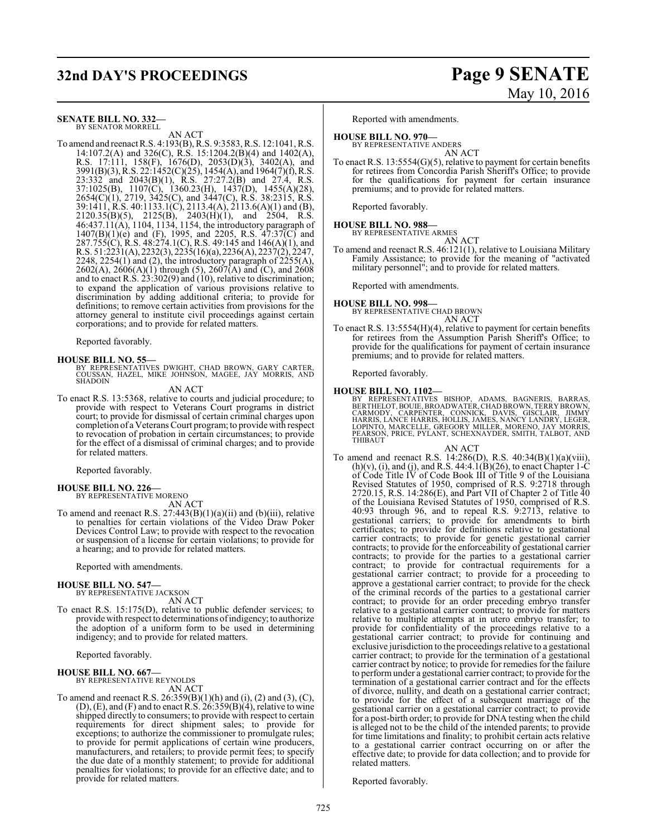# **32nd DAY'S PROCEEDINGS Page 9 SENATE**

# **SENATE BILL NO. 332—**

BY SENATOR MORRELL AN ACT

To amend and reenact R.S. 4:193(B), R.S. 9:3583, R.S. 12:1041, R.S. 14:107.2(A) and 326(C), R.S. 15:1204.2(B)(4) and 1402(A), R.S. 17:111, 158(F), 1676(D), 2053(D)(3), 3402(A), and 3991(B)(3), R.S. 22:1452(C)(25), 1454(A), and 1964(7)(f),R.S. 23:332 and 2043(B)(1), R.S. 27:27.2(B) and 27.4, R.S. 37:1025(B), 1107(C), 1360.23(H), 1437(D), 1455(A)(28), 2654(C)(1), 2719, 3425(C), and 3447(C), R.S. 38:2315, R.S. 39:1411, R.S. 40:1133.1(C), 2113.4(A), 2113.6(A)(1) and (B),  $2120.35(B)(5)$ ,  $2125(B)$ ,  $2403(H)(1)$ , and  $2504$ , R.S. 46:437.11(A), 1104, 1134, 1154, the introductory paragraph of  $1407(B)(1)(e)$  and (F), 1995, and 2205, R.S.  $47:37(C)$  and 287.755(C), R.S. 48:274.1(C), R.S. 49:145 and 146(A)(1), and R.S. 51:2231(A), 2232(3), 2235(16)(a), 2236(A), 2237(2), 2247, 2248, 2254 $(1)$  and  $(2)$ , the introductory paragraph of  $\overline{2255(A)}$ , 2602(A), 2606(A)(1) through (5), 2607(A) and (C), and 2608 and to enact R.S. 23:302(9) and (10), relative to discrimination; to expand the application of various provisions relative to discrimination by adding additional criteria; to provide for definitions; to remove certain activities from provisions for the attorney general to institute civil proceedings against certain corporations; and to provide for related matters.

Reported favorably.

# **HOUSE BILL NO. 55—**

BY REPRESENTATIVES DWIGHT, CHAD BROWN, GARY CARTER, COUSSAN, HAZEL, MIKE JOHNSON, MAGEE, JAY MORRIS, AND SHADOIN

AN ACT

To enact R.S. 13:5368, relative to courts and judicial procedure; to provide with respect to Veterans Court programs in district court; to provide for dismissal of certain criminal charges upon completion of a Veterans Court program; to provide with respect to revocation of probation in certain circumstances; to provide for the effect of a dismissal of criminal charges; and to provide for related matters.

Reported favorably.

### **HOUSE BILL NO. 226—** BY REPRESENTATIVE MORENO

AN ACT

To amend and reenact R.S.  $27:443(B)(1)(a)(ii)$  and  $(b)(iii)$ , relative to penalties for certain violations of the Video Draw Poker Devices Control Law; to provide with respect to the revocation or suspension of a license for certain violations; to provide for a hearing; and to provide for related matters.

Reported with amendments.

# **HOUSE BILL NO. 547—**

BY REPRESENTATIVE JACKSON AN ACT

To enact R.S. 15:175(D), relative to public defender services; to provide with respect to determinations of indigency; to authorize the adoption of a uniform form to be used in determining indigency; and to provide for related matters.

Reported favorably.

# **HOUSE BILL NO. 667—** BY REPRESENTATIVE REYNOLDS

AN ACT

To amend and reenact R.S.  $26:359(B)(1)(h)$  and  $(i)$ ,  $(2)$  and  $(3)$ ,  $(C)$ ,  $(D)$ ,  $(E)$ , and  $(F)$  and to enact R.S. 26:359 $(B)(4)$ , relative to wine shipped directly to consumers; to provide with respect to certain requirements for direct shipment sales; to provide for exceptions; to authorize the commissioner to promulgate rules; to provide for permit applications of certain wine producers, manufacturers, and retailers; to provide permit fees; to specify the due date of a monthly statement; to provide for additional penalties for violations; to provide for an effective date; and to provide for related matters.

# May 10, 2016

Reported with amendments.

# **HOUSE BILL NO. 970—**

BY REPRESENTATIVE ANDERS AN ACT

To enact R.S. 13:5554(G)(5), relative to payment for certain benefits for retirees from Concordia Parish Sheriff's Office; to provide for the qualifications for payment for certain insurance premiums; and to provide for related matters.

Reported favorably.

**HOUSE BILL NO. 988—** BY REPRESENTATIVE ARMES

AN ACT To amend and reenact R.S. 46:121(1), relative to Louisiana Military Family Assistance; to provide for the meaning of "activated military personnel"; and to provide for related matters.

Reported with amendments.

## **HOUSE BILL NO. 998—**

BY REPRESENTATIVE CHAD BROWN AN ACT

To enact R.S. 13:5554(H)(4), relative to payment for certain benefits for retirees from the Assumption Parish Sheriff's Office; to provide for the qualifications for payment of certain insurance premiums; and to provide for related matters.

Reported favorably.

## **HOUSE BILL NO. 1102—**

BY REPRESENTATIVES BISHOP, ADAMS, BAGNERIS, BARRAS,<br>BERTHELOT,BOUIE,BROADWATER,CHADBROWN,TERRYBROWN,<br>CARMODY, CARPENTER, CONNICK, DAVIS, GISCLAIR, JIMMY<br>HARRIS,LANCE HARRIS,HOLLIS,JAMES,NANCY LANDRY,LEGER,<br>LOPINTO,MARCELLE PEARSON, PRICE, PYLANT, SCHEXNAYDER, SMITH, TALBOT, AND THIBAUT

## AN ACT

To amend and reenact R.S. 14:286(D), R.S. 40:34(B)(1)(a)(viii),  $(h)(v)$ , (i), and (j), and R.S. 44:4.1(B)(26), to enact Chapter 1-C of Code Title IV of Code Book III of Title 9 of the Louisiana Revised Statutes of 1950, comprised of R.S. 9:2718 through 2720.15, R.S. 14:286(E), and Part VII of Chapter 2 of Title 40 of the Louisiana Revised Statutes of 1950, comprised of R.S. 40:93 through 96, and to repeal R.S. 9:2713, relative to gestational carriers; to provide for amendments to birth certificates; to provide for definitions relative to gestational carrier contracts; to provide for genetic gestational carrier contracts; to provide for the enforceability of gestational carrier contracts; to provide for the parties to a gestational carrier contract; to provide for contractual requirements for a gestational carrier contract; to provide for a proceeding to approve a gestational carrier contract; to provide for the check of the criminal records of the parties to a gestational carrier contract; to provide for an order preceding embryo transfer relative to a gestational carrier contract; to provide for matters relative to multiple attempts at in utero embryo transfer; to provide for confidentiality of the proceedings relative to a gestational carrier contract; to provide for continuing and exclusive jurisdiction to the proceedings relative to a gestational carrier contract; to provide for the termination of a gestational carrier contract by notice; to provide for remedies for the failure to performunder a gestational carrier contract; to provide for the termination of a gestational carrier contract and for the effects of divorce, nullity, and death on a gestational carrier contract; to provide for the effect of a subsequent marriage of the gestational carrier on a gestational carrier contract; to provide for a post-birth order; to provide for DNA testing when the child is alleged not to be the child of the intended parents; to provide for time limitations and finality; to prohibit certain acts relative to a gestational carrier contract occurring on or after the effective date; to provide for data collection; and to provide for related matters.

Reported favorably.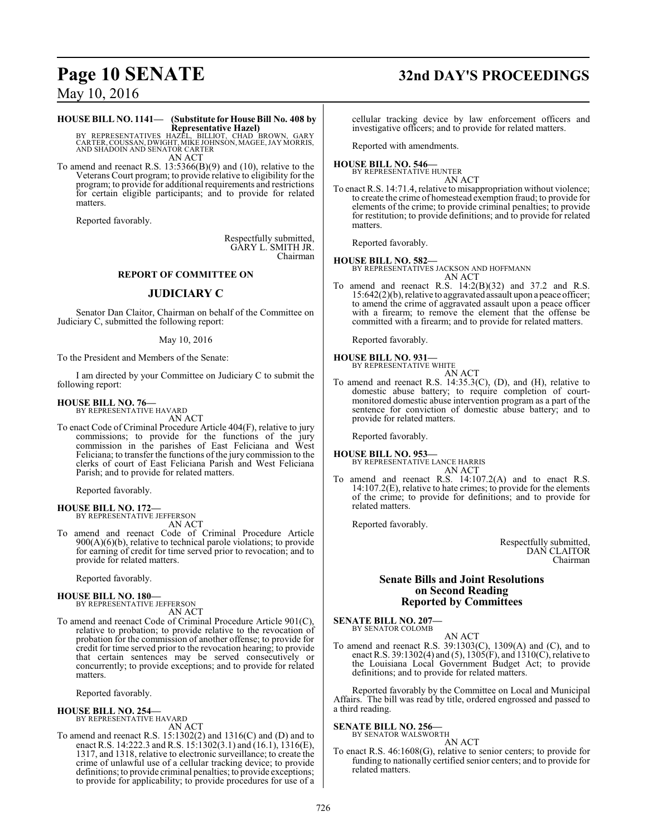# **Page 10 SENATE 32nd DAY'S PROCEEDINGS**

May 10, 2016

# **HOUSE BILL NO. 1141— (Substitute for House Bill No. 408 by Representative Hazel)**

BY REPRESENTATIVES HAZĒL, BILLIOT, CHAD BROWN, GARY<br>CARTER,COUSSAN,DWIGHT,MIKEJOHNSON,MAGEE,JAYMORRIS,<br>AND SHADOIN AND SENATOR CARTER AN ACT

To amend and reenact R.S. 13:5366(B)(9) and (10), relative to the Veterans Court program; to provide relative to eligibility for the program; to provide for additional requirements and restrictions for certain eligible participants; and to provide for related matters.

Reported favorably.

Respectfully submitted, GARY L. SMITH JR. Chairman

# **REPORT OF COMMITTEE ON**

# **JUDICIARY C**

Senator Dan Claitor, Chairman on behalf of the Committee on Judiciary C, submitted the following report:

# May 10, 2016

To the President and Members of the Senate:

I am directed by your Committee on Judiciary C to submit the following report:

# **HOUSE BILL NO. 76—**

BY REPRESENTATIVE HAVARD

AN ACT

To enact Code of Criminal Procedure Article 404(F), relative to jury commissions; to provide for the functions of the jury commission in the parishes of East Feliciana and West Feliciana; to transfer the functions of the jury commission to the clerks of court of East Feliciana Parish and West Feliciana Parish; and to provide for related matters.

Reported favorably.

**HOUSE BILL NO. 172—** BY REPRESENTATIVE JEFFERSON

AN ACT

To amend and reenact Code of Criminal Procedure Article  $900(A)(6)(b)$ , relative to technical parole violations; to provide for earning of credit for time served prior to revocation; and to provide for related matters.

Reported favorably.

# **HOUSE BILL NO. 180—**

BY REPRESENTATIVE JEFFERSON AN ACT

To amend and reenact Code of Criminal Procedure Article 901(C), relative to probation; to provide relative to the revocation of probation for the commission of another offense; to provide for credit for time served prior to the revocation hearing; to provide that certain sentences may be served consecutively or concurrently; to provide exceptions; and to provide for related matters.

Reported favorably.

### **HOUSE BILL NO. 254—** BY REPRESENTATIVE HAVARD

AN ACT

To amend and reenact R.S. 15:1302(2) and 1316(C) and (D) and to enact R.S. 14:222.3 and R.S. 15:1302(3.1) and (16.1), 1316(E), 1317, and 1318, relative to electronic surveillance; to create the crime of unlawful use of a cellular tracking device; to provide definitions; to provide criminal penalties; to provide exceptions; to provide for applicability; to provide procedures for use of a cellular tracking device by law enforcement officers and investigative officers; and to provide for related matters.

Reported with amendments.

## **HOUSE BILL NO. 546—** BY REPRESENTATIVE HUNTER

AN ACT

To enact R.S. 14:71.4, relative to misappropriation without violence; to create the crime of homestead exemption fraud; to provide for elements of the crime; to provide criminal penalties; to provide for restitution; to provide definitions; and to provide for related matters.

Reported favorably.

**HOUSE BILL NO. 582—** BY REPRESENTATIVES JACKSON AND HOFFMANN AN ACT

To amend and reenact R.S. 14:2(B)(32) and 37.2 and R.S. 15:642(2)(b), relative to aggravated assault upon a peace officer; to amend the crime of aggravated assault upon a peace officer with a firearm; to remove the element that the offense be committed with a firearm; and to provide for related matters.

Reported favorably.

# **HOUSE BILL NO. 931—** BY REPRESENTATIVE WHITE

To amend and reenact R.S. 14:35.3(C), (D), and (H), relative to domestic abuse battery; to require completion of courtmonitored domestic abuse intervention program as a part of the sentence for conviction of domestic abuse battery; and to provide for related matters.

AN ACT

Reported favorably.

# **HOUSE BILL NO. 953—**

BY REPRESENTATIVE LANCE HARRIS AN ACT

To amend and reenact R.S. 14:107.2(A) and to enact R.S. 14:107.2(E), relative to hate crimes; to provide for the elements of the crime; to provide for definitions; and to provide for related matters.

Reported favorably.

Respectfully submitted, DAN CLAITOR Chairman

# **Senate Bills and Joint Resolutions on Second Reading Reported by Committees**

**SENATE BILL NO. 207—**

BY SENATOR COLOMB AN ACT

To amend and reenact R.S. 39:1303(C), 1309(A) and (C), and to enact R.S. 39:1302(4) and (5),  $1305(F)$ , and  $1310(C)$ , relative to the Louisiana Local Government Budget Act; to provide definitions; and to provide for related matters.

Reported favorably by the Committee on Local and Municipal Affairs. The bill was read by title, ordered engrossed and passed to a third reading.

### **SENATE BILL NO. 256—** BY SENATOR WALSWORTH

AN ACT

To enact R.S. 46:1608(G), relative to senior centers; to provide for funding to nationally certified senior centers; and to provide for related matters.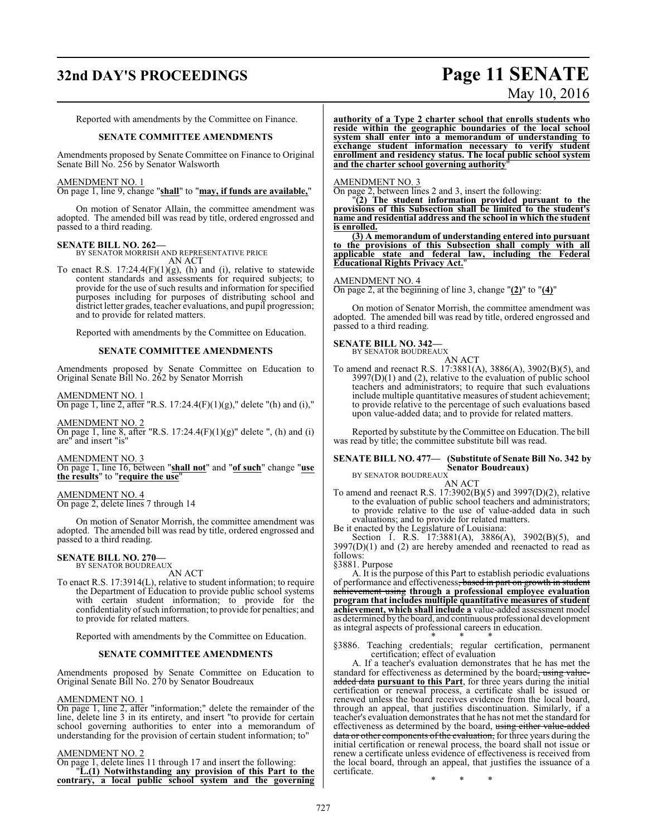# **32nd DAY'S PROCEEDINGS Page 11 SENATE**

# May 10, 2016

Reported with amendments by the Committee on Finance.

## **SENATE COMMITTEE AMENDMENTS**

Amendments proposed by Senate Committee on Finance to Original Senate Bill No. 256 by Senator Walsworth

# AMENDMENT NO. 1

On page 1, line 9, change "**shall**" to "**may, if funds are available,**"

On motion of Senator Allain, the committee amendment was adopted. The amended bill was read by title, ordered engrossed and passed to a third reading.

## **SENATE BILL NO. 262—**

BY SENATOR MORRISH AND REPRESENTATIVE PRICE AN ACT

To enact R.S.  $17:24.4(F)(1)(g)$ , (h) and (i), relative to statewide content standards and assessments for required subjects; to provide for the use of such results and information for specified purposes including for purposes of distributing school and district letter grades, teacher evaluations, and pupil progression; and to provide for related matters.

Reported with amendments by the Committee on Education.

# **SENATE COMMITTEE AMENDMENTS**

Amendments proposed by Senate Committee on Education to Original Senate Bill No. 262 by Senator Morrish

AMENDMENT NO. 1

On page 1, line 2, after "R.S. 17:24.4(F)(1)(g)," delete "(h) and (i),"

AMENDMENT NO. 2 On page 1, line 8, after "R.S. 17:24.4(F)(1)(g)" delete ", (h) and (i) are" and insert "is"

AMENDMENT NO. 3

On page 1, line 16, between "**shall not**" and "**of such**" change "**use the results**" to "**require the use**"

AMENDMENT NO. 4 On page 2, delete lines 7 through 14

On motion of Senator Morrish, the committee amendment was adopted. The amended bill was read by title, ordered engrossed and passed to a third reading.

### **SENATE BILL NO. 270—** BY SENATOR BOUDREAUX

AN ACT

To enact R.S. 17:3914(L), relative to student information; to require the Department of Education to provide public school systems with certain student information; to provide for the confidentiality ofsuch information; to provide for penalties; and to provide for related matters.

Reported with amendments by the Committee on Education.

# **SENATE COMMITTEE AMENDMENTS**

Amendments proposed by Senate Committee on Education to Original Senate Bill No. 270 by Senator Boudreaux

## AMENDMENT NO. 1

On page 1, line 2, after "information;" delete the remainder of the line, delete line 3 in its entirety, and insert "to provide for certain school governing authorities to enter into a memorandum of understanding for the provision of certain student information; to"

## AMENDMENT NO. 2

On page 1, delete lines 11 through 17 and insert the following: "**L.(1) Notwithstanding any provision of this Part to the contrary, a local public school system and the governing** **authority of a Type 2 charter school that enrolls students who reside within the geographic boundaries of the local school system shall enter into a memorandum of understanding to exchange student information necessary to verify student enrollment and residency status. The local public school system and the charter school governing authority**"

# AMENDMENT NO. 3

On page 2, between lines 2 and 3, insert the following:

"**(2) The student information provided pursuant to the provisions of this Subsection shall be limited to the student's name and residential address and the school in which the student is enrolled.**

**(3) A memorandum of understanding entered into pursuant to the provisions of this Subsection shall comply with all applicable state and federal law, including the Federal Educational Rights Privacy Act.**"

# AMENDMENT NO. 4

On page 2, at the beginning of line 3, change "**(2)**" to "**(4)**"

On motion of Senator Morrish, the committee amendment was adopted. The amended bill was read by title, ordered engrossed and passed to a third reading.

# **SENATE BILL NO. 342—**

BY SENATOR BOUDREAUX AN ACT

To amend and reenact R.S. 17:3881(A), 3886(A), 3902(B)(5), and  $3997(D)(1)$  and (2), relative to the evaluation of public school teachers and administrators; to require that such evaluations include multiple quantitative measures of student achievement; to provide relative to the percentage of such evaluations based upon value-added data; and to provide for related matters.

Reported by substitute by the Committee on Education. The bill was read by title; the committee substitute bill was read.

### **SENATE BILL NO. 477— (Substitute of Senate Bill No. 342 by Senator Boudreaux)** BY SENATOR BOUDREAUX

AN ACT

To amend and reenact R.S. 17:3902(B)(5) and 3997(D)(2), relative to the evaluation of public school teachers and administrators; to provide relative to the use of value-added data in such evaluations; and to provide for related matters.

Be it enacted by the Legislature of Louisiana: Section 1. R.S. 17:3881(A), 3886(A), 3902(B)(5), and  $3997(D)(1)$  and (2) are hereby amended and reenacted to read as follows:

§3881. Purpose

A. It is the purpose of this Part to establish periodic evaluations of performance and effectiveness, based in part on growth in student achievement using **through a professional employee evaluation program that includes multiple quantitative measures of student achievement, which shall include a** value-added assessment model as determined by the board, and continuous professional development as integral aspects of professional careers in education.

\* \* \* §3886. Teaching credentials; regular certification, permanent certification; effect of evaluation

A. If a teacher's evaluation demonstrates that he has met the standard for effectiveness as determined by the board, using valueadded data **pursuant to this Part**, for three years during the initial certification or renewal process, a certificate shall be issued or renewed unless the board receives evidence from the local board, through an appeal, that justifies discontinuation. Similarly, if a teacher's evaluation demonstrates that he has not met the standard for effectiveness as determined by the board, using either value-added data or other components of the evaluation, for three years during the initial certification or renewal process, the board shall not issue or renew a certificate unless evidence of effectiveness is received from the local board, through an appeal, that justifies the issuance of a certificate.

\* \* \*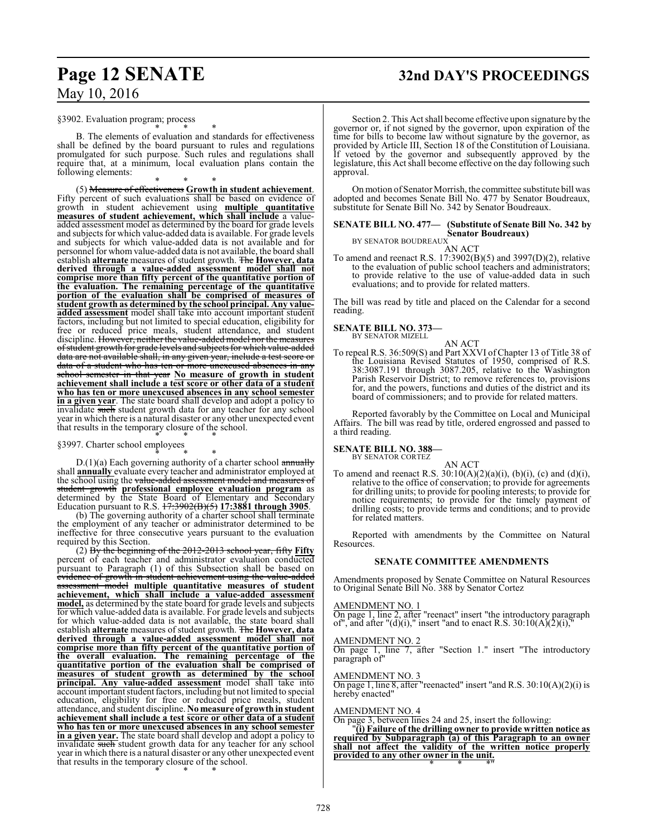# **Page 12 SENATE 32nd DAY'S PROCEEDINGS**

§3902. Evaluation program; process

\* \* \* B. The elements of evaluation and standards for effectiveness shall be defined by the board pursuant to rules and regulations promulgated for such purpose. Such rules and regulations shall require that, at a minimum, local evaluation plans contain the following elements:

\* \* \* (5) Measure of effectiveness **Growth in student achievement**. Fifty percent of such evaluations shall be based on evidence of growth in student achievement using **multiple quantitative measures of student achievement, which shall include** a valueadded assessment model as determined by the board for grade levels and subjects for which value-added data is available. For grade levels and subjects for which value-added data is not available and for personnel for whom value-added data is not available, the board shall establish **alternate** measures of student growth. The **However, data derived through a value-added assessment model shall not comprise more than fifty percent of the quantitative portion of the evaluation. The remaining percentage of the quantitative portion of the evaluation shall be comprised of measures of student growth as determined by the school principal. Any valueadded assessment** model shall take into account important student factors, including but not limited to special education, eligibility for free or reduced price meals, student attendance, and student discipline. However, neither the value-added model nor the measures ofstudent growth for grade levels and subjects for which value-added data are not available shall, in any given year, include a test score or data of a student who has ten or more unexcused absences in any school semester in that year **No measure of growth in student achievement shall include a test score or other data of a student who has ten or more unexcused absences in any school semester in a given year**. The state board shall develop and adopt a policy to invalidate such student growth data for any teacher for any school year in which there is a natural disaster or any other unexpected event that results in the temporary closure of the school. \* \* \*

§3997. Charter school employees

\* \* \* D.(1)(a) Each governing authority of a charter school annually shall **annually** evaluate every teacher and administrator employed at the school using the value-added assessment model and mea student growth **professional employee evaluation program** as determined by the State Board of Elementary and Secondary Education pursuant to R.S. 17:3902(B)(5) **17:3881 through 3905**.

(b) The governing authority of a charter school shall terminate the employment of any teacher or administrator determined to be ineffective for three consecutive years pursuant to the evaluation required by this Section.

(2) By the beginning of the 2012-2013 school year, fifty **Fifty** percent of each teacher and administrator evaluation conducted pursuant to Paragraph (1) of this Subsection shall be based on evidence of growth in student achievement using the value-added assessment model **multiple quantitative measures of student achievement, which shall include a value-added assessment model,** as determined by the state board for grade levels and subjects for which value-added data is available. For grade levels and subjects for which value-added data is not available, the state board shall establish **alternate** measures of student growth. The **However, data derived through a value-added assessment model shall not comprise more than fifty percent of the quantitative portion of the overall evaluation. The remaining percentage of the quantitative portion of the evaluation shall be comprised of measures of student growth as determined by the school principal. Any value-added assessment** model shall take into account important student factors, including but not limited to special education, eligibility for free or reduced price meals, student attendance, and student discipline. **No measure of growthin student achievement shall include a test score or other data of a student who has ten or more unexcused absences in any school semester in a given year.** The state board shall develop and adopt a policy to invalidate such student growth data for any teacher for any school year in which there is a natural disaster or any other unexpected event that results in the temporary closure of the school. \* \* \*

Section 2. This Act shall become effective upon signature by the governor or, if not signed by the governor, upon expiration of the time for bills to become law without signature by the governor, as provided by Article III, Section 18 of the Constitution of Louisiana. If vetoed by the governor and subsequently approved by the legislature, this Act shall become effective on the day following such approval.

On motion of Senator Morrish, the committee substitute bill was adopted and becomes Senate Bill No. 477 by Senator Boudreaux, substitute for Senate Bill No. 342 by Senator Boudreaux.

## **SENATE BILL NO. 477— (Substitute of Senate Bill No. 342 by Senator Boudreaux)** BY SENATOR BOUDREAUX

AN ACT

To amend and reenact R.S. 17:3902(B)(5) and 3997(D)(2), relative to the evaluation of public school teachers and administrators; to provide relative to the use of value-added data in such evaluations; and to provide for related matters.

The bill was read by title and placed on the Calendar for a second reading.

# **SENATE BILL NO. 373—** BY SENATOR MIZELL

AN ACT

To repeal R.S. 36:509(S) and Part XXVI of Chapter 13 of Title 38 of the Louisiana Revised Statutes of 1950, comprised of R.S. 38:3087.191 through 3087.205, relative to the Washington Parish Reservoir District; to remove references to, provisions for, and the powers, functions and duties of the district and its board of commissioners; and to provide for related matters.

Reported favorably by the Committee on Local and Municipal Affairs. The bill was read by title, ordered engrossed and passed to a third reading.

# **SENATE BILL NO. 388-**<br>BY SENATOR CORTEZ

AN ACT

To amend and reenact R.S.  $30:10(A)(2)(a)(i)$ ,  $(b)(i)$ ,  $(c)$  and  $(d)(i)$ , relative to the office of conservation; to provide for agreements for drilling units; to provide for pooling interests; to provide for notice requirements; to provide for the timely payment of drilling costs; to provide terms and conditions; and to provide for related matters.

Reported with amendments by the Committee on Natural Resources.

# **SENATE COMMITTEE AMENDMENTS**

Amendments proposed by Senate Committee on Natural Resources to Original Senate Bill No. 388 by Senator Cortez

AMENDMENT NO. 1

On page 1, line 2, after "reenact" insert "the introductory paragraph of", and after "(d)(i)," insert "and to enact R.S.  $30:10(A)(2)(i)$ ,"

AMENDMENT NO. 2

On page 1, line 7, after "Section 1." insert "The introductory paragraph of"

AMENDMENT NO. 3

On page 1, line 8, after "reenacted" insert "and R.S.  $30:10(A)(2)(i)$  is hereby enacted"

AMENDMENT NO. 4

On page 3, between lines 24 and 25, insert the following:

"**(i) Failure of the drilling owner to provide written notice as required by Subparagraph (a) of this Paragraph to an owner shall not affect the validity of the written notice properly provided to any other owner in the unit.** \* \* \*"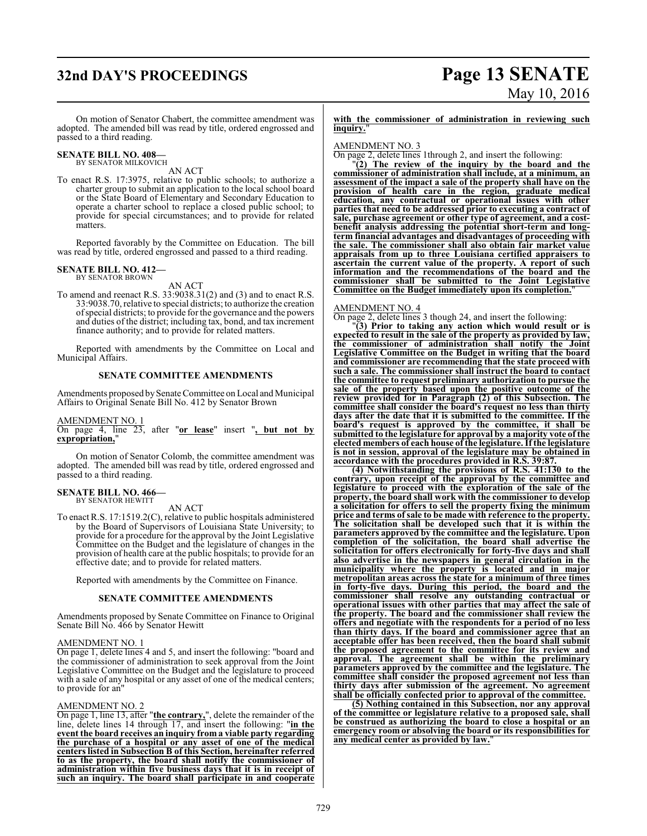# **32nd DAY'S PROCEEDINGS Page 13 SENATE**

# May 10, 2016

On motion of Senator Chabert, the committee amendment was adopted. The amended bill was read by title, ordered engrossed and passed to a third reading.

## **SENATE BILL NO. 408—** BY SENATOR MILKOVICH

AN ACT

To enact R.S. 17:3975, relative to public schools; to authorize a charter group to submit an application to the local school board or the State Board of Elementary and Secondary Education to operate a charter school to replace a closed public school; to provide for special circumstances; and to provide for related matters.

Reported favorably by the Committee on Education. The bill was read by title, ordered engrossed and passed to a third reading.

## **SENATE BILL NO. 412—** BY SENATOR BROWN

AN ACT

To amend and reenact R.S. 33:9038.31(2) and (3) and to enact R.S. 33:9038.70, relative to special districts; to authorize the creation ofspecial districts; to provide for the governance and the powers and duties of the district; including tax, bond, and tax increment finance authority; and to provide for related matters.

Reported with amendments by the Committee on Local and Municipal Affairs.

# **SENATE COMMITTEE AMENDMENTS**

Amendments proposed bySenate Committee on Local and Municipal Affairs to Original Senate Bill No. 412 by Senator Brown

AMENDMENT NO. 1

On page 4, line 23, after "**or lease**" insert "**, but not by expropriation,**"

On motion of Senator Colomb, the committee amendment was adopted. The amended bill was read by title, ordered engrossed and passed to a third reading.

### **SENATE BILL NO. 466—** BY SENATOR HEWITT

AN ACT

To enact R.S. 17:1519.2(C), relative to public hospitals administered by the Board of Supervisors of Louisiana State University; to provide for a procedure for the approval by the Joint Legislative Committee on the Budget and the legislature of changes in the provision of health care at the public hospitals; to provide for an effective date; and to provide for related matters.

Reported with amendments by the Committee on Finance.

# **SENATE COMMITTEE AMENDMENTS**

Amendments proposed by Senate Committee on Finance to Original Senate Bill No. 466 by Senator Hewitt

# AMENDMENT NO. 1

On page 1, delete lines 4 and 5, and insert the following: "board and the commissioner of administration to seek approval from the Joint Legislative Committee on the Budget and the legislature to proceed with a sale of any hospital or any asset of one of the medical centers; to provide for an"

# AMENDMENT NO. 2

On page 1, line 13, after "**the contrary,**", delete the remainder of the line, delete lines 14 through 17, and insert the following: "**in the event the board receives an inquiry from a viable party regarding the purchase of a hospital or any asset of one of the medical centers listed in Subsection B of this Section, hereinafter referred to as the property, the board shall notify the commissioner of administration within five business days that it is in receipt of such an inquiry. The board shall participate in and cooperate**

**with the commissioner of administration in reviewing such inquiry.**"

AMENDMENT NO. 3

On page 2, delete lines 1through 2, and insert the following:

"**(2) The review of the inquiry by the board and the commissioner of administration shall include, at a minimum, an assessment of the impact a sale of the property shall have on the provision of health care in the region, graduate medical education, any contractual or operational issues with other parties that need to be addressed prior to executing a contract of sale, purchase agreement or other type of agreement, and a costbenefit analysis addressing the potential short-term and longterm financial advantages and disadvantages of proceeding with the sale. The commissioner shall also obtain fair market value appraisals from up to three Louisiana certified appraisers to ascertain the current value of the property. A report of such information and the recommendations of the board and the commissioner shall be submitted to the Joint Legislative Committee on the Budget immediately upon its completion.**"

# AMENDMENT NO. 4

On page 2, delete lines 3 though 24, and insert the following:

"**(3) Prior to taking any action which would result or is expected to result in the sale of the property as provided by law, the commissioner of administration shall notify the Joint Legislative Committee on the Budget in writing that the board and commissioner are recommending that the state proceed with such a sale. The commissioner shall instruct the board to contact the committee to request preliminary authorization to pursue the sale of the property based upon the positive outcome of the review provided for in Paragraph (2) of this Subsection. The committee shall consider the board's request no less than thirty days after the date that it is submitted to the committee. If the board's request is approved by the committee, it shall be submitted to the legislature for approval by a majority vote of the elected members of each house of the legislature. If the legislature is not in session, approval of the legislature may be obtained in accordance with the procedures provided in R.S. 39:87.**

**(4) Notwithstanding the provisions of R.S. 41:130 to the contrary, upon receipt of the approval by the committee and legislature to proceed with the exploration of the sale of the property, the board shall work with the commissioner to develop a solicitation for offers to sell the property fixing the minimum price and terms of sale to be made with reference to the property. The solicitation shall be developed such that it is within the parameters approved by the committee and the legislature. Upon completion of the solicitation, the board shall advertise the solicitation for offers electronically for forty-five days and shall also advertise in the newspapers in general circulation in the municipality where the property is located and in major metropolitan areas across the state for a minimum of three times in forty-five days. During this period, the board and the commissioner shall resolve any outstanding contractual or operational issues with other parties that may affect the sale of the property. The board and the commissioner shall review the offers and negotiate with the respondents for a period of no less than thirty days. If the board and commissioner agree that an acceptable offer has been received, then the board shall submit the proposed agreement to the committee for its review and approval. The agreement shall be within the preliminary parameters approved by the committee and the legislature. The committee shall consider the proposed agreement not less than thirty days after submission of the agreement. No agreement shall be officially confected prior to approval of the committee.**

**(5) Nothing contained in this Subsection, nor any approval of the committee or legislature relative to a proposed sale, shall be construed as authorizing the board to close a hospital or an emergency room or absolving the board or its responsibilities for any medical center as provided by law.**"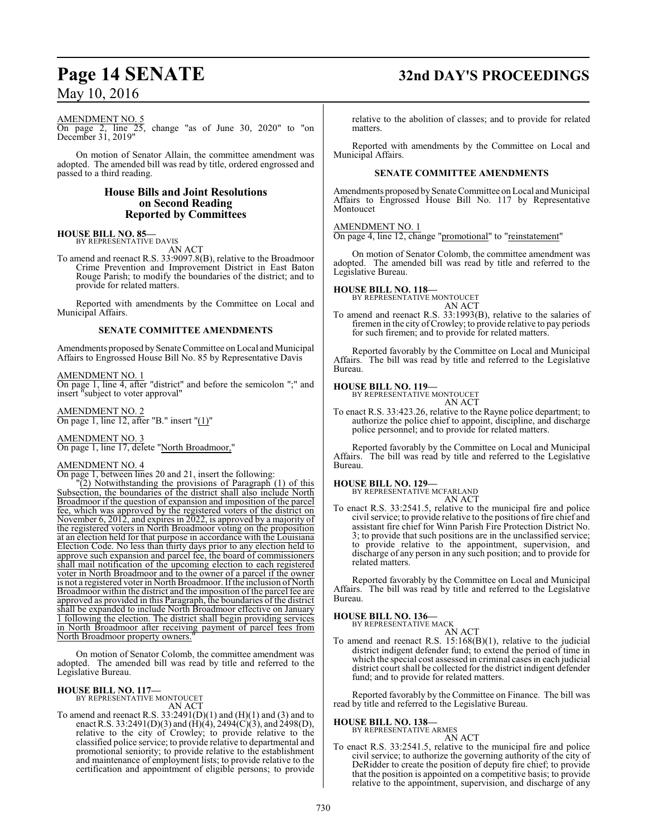# AMENDMENT NO. 5

On page 2, line 25, change "as of June 30, 2020" to "on December 31, 2019"

On motion of Senator Allain, the committee amendment was adopted. The amended bill was read by title, ordered engrossed and passed to a third reading.

# **House Bills and Joint Resolutions on Second Reading Reported by Committees**

### **HOUSE BILL NO. 85—** BY REPRESENTATIVE DAVIS

AN ACT

To amend and reenact R.S. 33:9097.8(B), relative to the Broadmoor Crime Prevention and Improvement District in East Baton Rouge Parish; to modify the boundaries of the district; and to provide for related matters.

Reported with amendments by the Committee on Local and Municipal Affairs.

# **SENATE COMMITTEE AMENDMENTS**

Amendments proposed by Senate Committee on Local and Municipal Affairs to Engrossed House Bill No. 85 by Representative Davis

# AMENDMENT NO. 1

On page 1, line 4, after "district" and before the semicolon ";" and insert "subject to voter approval"

AMENDMENT NO. 2 On page 1, line 12, after "B." insert "(1)"

AMENDMENT NO. 3 On page 1, line 17, delete "North Broadmoor,"

## AMENDMENT NO. 4

On page 1, between lines 20 and 21, insert the following:

"(2) Notwithstanding the provisions of Paragraph (1) of this Subsection, the boundaries of the district shall also include North Broadmoor if the question of expansion and imposition of the parcel fee, which was approved by the registered voters of the district on November 6, 2012, and expires in 2022, is approved by a majority of the registered voters in North Broadmoor voting on the proposition at an election held for that purpose in accordance with the Louisiana Election Code. No less than thirty days prior to any election held to approve such expansion and parcel fee, the board of commissioners shall mail notification of the upcoming election to each registered voter in North Broadmoor and to the owner of a parcel if the owner is not a registered voter in North Broadmoor. If the inclusion of North Broadmoor within the district and the imposition of the parcel fee are approved as provided in this Paragraph, the boundaries of the district shall be expanded to include North Broadmoor effective on January 1 following the election. The district shall begin providing services in North Broadmoor after receiving payment of parcel fees from North Broadmoor property owners.

On motion of Senator Colomb, the committee amendment was adopted. The amended bill was read by title and referred to the Legislative Bureau.

# **HOUSE BILL NO. 117—** BY REPRESENTATIVE MONTOUCET

AN ACT

To amend and reenact R.S.  $33:2491(D)(1)$  and  $(H)(1)$  and  $(3)$  and to enact R.S. 33:2491(D)(3) and (H)(4), 2494(C)(3), and 2498(D), relative to the city of Crowley; to provide relative to the classified police service; to provide relative to departmental and promotional seniority; to provide relative to the establishment and maintenance of employment lists; to provide relative to the certification and appointment of eligible persons; to provide

# **Page 14 SENATE 32nd DAY'S PROCEEDINGS**

relative to the abolition of classes; and to provide for related matters.

Reported with amendments by the Committee on Local and Municipal Affairs.

# **SENATE COMMITTEE AMENDMENTS**

Amendments proposed by Senate Committee on Local and Municipal Affairs to Engrossed House Bill No. 117 by Representative Montoucet

## AMENDMENT NO. 1

On page 4, line 12, change "promotional" to "reinstatement"

On motion of Senator Colomb, the committee amendment was adopted. The amended bill was read by title and referred to the Legislative Bureau.

# **HOUSE BILL NO. 118—**

BY REPRESENTATIVE MONTOUCET AN ACT

To amend and reenact R.S. 33:1993(B), relative to the salaries of firemen in the city of Crowley; to provide relative to pay periods for such firemen; and to provide for related matters.

Reported favorably by the Committee on Local and Municipal Affairs. The bill was read by title and referred to the Legislative Bureau.

# **HOUSE BILL NO. 119—**

BY REPRESENTATIVE MONTOUCET AN ACT

To enact R.S. 33:423.26, relative to the Rayne police department; to authorize the police chief to appoint, discipline, and discharge police personnel; and to provide for related matters.

Reported favorably by the Committee on Local and Municipal Affairs. The bill was read by title and referred to the Legislative Bureau.

# **HOUSE BILL NO. 129—** BY REPRESENTATIVE MCFARLAND

AN ACT

To enact R.S. 33:2541.5, relative to the municipal fire and police civil service; to provide relative to the positions of fire chief and assistant fire chief for Winn Parish Fire Protection District No. 3; to provide that such positions are in the unclassified service; to provide relative to the appointment, supervision, and discharge of any person in any such position; and to provide for related matters.

Reported favorably by the Committee on Local and Municipal Affairs. The bill was read by title and referred to the Legislative Bureau.

# **HOUSE BILL NO. 136—**

BY REPRESENTATIVE MACK

- AN ACT To amend and reenact R.S. 15:168(B)(1), relative to the judicial
- district indigent defender fund; to extend the period of time in which the special cost assessed in criminal cases in each judicial district court shall be collected for the district indigent defender fund; and to provide for related matters.

Reported favorably by the Committee on Finance. The bill was read by title and referred to the Legislative Bureau.

## **HOUSE BILL NO. 138—**

BY REPRESENTATIVE ARMES AN ACT

To enact R.S. 33:2541.5, relative to the municipal fire and police civil service; to authorize the governing authority of the city of DeRidder to create the position of deputy fire chief; to provide that the position is appointed on a competitive basis; to provide relative to the appointment, supervision, and discharge of any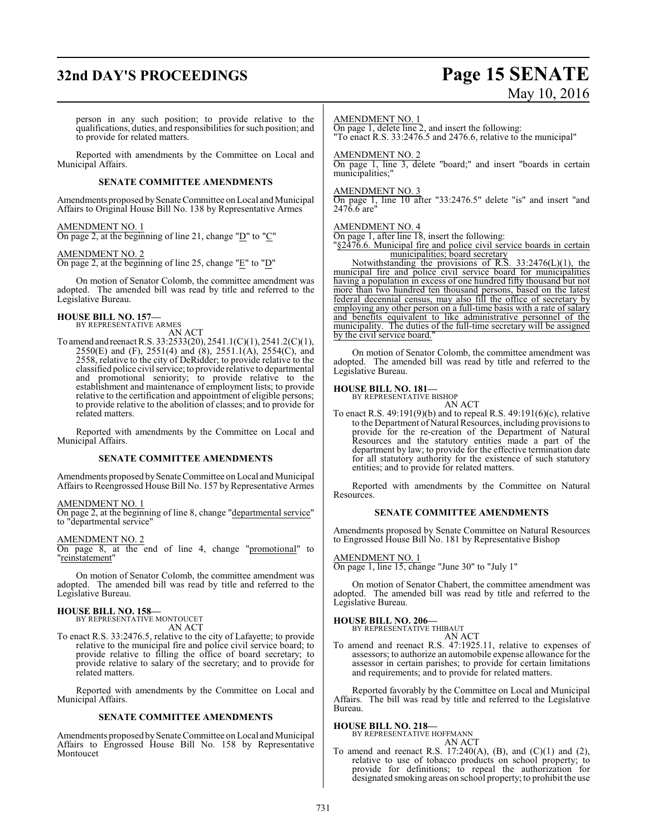# **32nd DAY'S PROCEEDINGS Page 15 SENATE**

# May 10, 2016

person in any such position; to provide relative to the qualifications, duties, and responsibilities for such position; and to provide for related matters.

Reported with amendments by the Committee on Local and Municipal Affairs.

# **SENATE COMMITTEE AMENDMENTS**

Amendments proposed by Senate Committee on Local and Municipal Affairs to Original House Bill No. 138 by Representative Armes

# AMENDMENT NO. 1

On page 2, at the beginning of line 21, change "D" to "C"

## AMENDMENT NO. 2

On page 2, at the beginning of line 25, change "E" to "D"

On motion of Senator Colomb, the committee amendment was adopted. The amended bill was read by title and referred to the Legislative Bureau.

# **HOUSE BILL NO. 157—** BY REPRESENTATIVE ARMES

AN ACT

To amend and reenact R.S. 33:2533(20), 2541.1(C)(1), 2541.2(C)(1), 2550(E) and (F), 2551(4) and (8), 2551.1(A), 2554(C), and 2558, relative to the city of DeRidder; to provide relative to the classified police civil service; to provide relative to departmental and promotional seniority; to provide relative to the establishment and maintenance of employment lists; to provide relative to the certification and appointment of eligible persons; to provide relative to the abolition of classes; and to provide for related matters.

Reported with amendments by the Committee on Local and Municipal Affairs.

## **SENATE COMMITTEE AMENDMENTS**

Amendments proposed by Senate Committee on Local and Municipal Affairs to Reengrossed House Bill No. 157 by Representative Armes

## AMENDMENT NO. 1

On page 2, at the beginning of line 8, change "departmental service" to "departmental service"

## AMENDMENT NO. 2

On page 8, at the end of line 4, change "promotional" to "reinstatement"

On motion of Senator Colomb, the committee amendment was adopted. The amended bill was read by title and referred to the Legislative Bureau.

# **HOUSE BILL NO. 158—** BY REPRESENTATIVE MONTOUCET

AN ACT

To enact R.S. 33:2476.5, relative to the city of Lafayette; to provide relative to the municipal fire and police civil service board; to provide relative to filling the office of board secretary; to provide relative to salary of the secretary; and to provide for related matters.

Reported with amendments by the Committee on Local and Municipal Affairs.

# **SENATE COMMITTEE AMENDMENTS**

Amendments proposed by Senate Committee on Local and Municipal Affairs to Engrossed House Bill No. 158 by Representative Montoucet

## AMENDMENT NO. 1

On page 1, delete line 2, and insert the following: "To enact R.S. 33:2476.5 and 2476.6, relative to the municipal"

## AMENDMENT NO. 2

On page 1, line 3, delete "board;" and insert "boards in certain municipalities;"

# AMENDMENT NO. 3

On page 1, line 10 after "33:2476.5" delete "is" and insert "and 2476.6 are"

## AMENDMENT NO. 4

On page 1, after line 18, insert the following:

"§2476.6. Municipal fire and police civil service boards in certain municipalities; board secretary

Notwithstanding the provisions of R.S. 33:2476(L)(1), the Notwithstanding the provisions of R.S.  $33:2476(L)(1)$ , the municipal fire and police civil service board for municipalities having a population in excess of one hundred fifty thousand but not more than two hundred ten thousand persons, based on the latest federal decennial census, may also fill the office of secretary by employing any other person on a full-time basis with a rate of salary and benefits equivalent to like administrative personnel of the municipality. The duties of the full-time secretary will be assigned by the civil service board."

On motion of Senator Colomb, the committee amendment was adopted. The amended bill was read by title and referred to the Legislative Bureau.

# **HOUSE BILL NO. 181—** BY REPRESENTATIVE BISHOP

AN ACT

To enact R.S. 49:191(9)(b) and to repeal R.S. 49:191(6)(c), relative to the Department of Natural Resources, including provisions to provide for the re-creation of the Department of Natural Resources and the statutory entities made a part of the department by law; to provide for the effective termination date for all statutory authority for the existence of such statutory entities; and to provide for related matters.

Reported with amendments by the Committee on Natural Resources.

## **SENATE COMMITTEE AMENDMENTS**

Amendments proposed by Senate Committee on Natural Resources to Engrossed House Bill No. 181 by Representative Bishop

# AMENDMENT NO. 1

On page 1, line 15, change "June 30" to "July 1"

On motion of Senator Chabert, the committee amendment was adopted. The amended bill was read by title and referred to the Legislative Bureau.

# **HOUSE BILL NO. 206—** BY REPRESENTATIVE THIBAUT

AN ACT

To amend and reenact R.S. 47:1925.11, relative to expenses of assessors; to authorize an automobile expense allowance for the assessor in certain parishes; to provide for certain limitations and requirements; and to provide for related matters.

Reported favorably by the Committee on Local and Municipal Affairs. The bill was read by title and referred to the Legislative Bureau.

## **HOUSE BILL NO. 218—**

BY REPRESENTATIVE HOFFMANN AN ACT

To amend and reenact R.S. 17:240(A), (B), and  $(C)(1)$  and  $(2)$ , relative to use of tobacco products on school property; to provide for definitions; to repeal the authorization for designated smoking areas on school property; to prohibit the use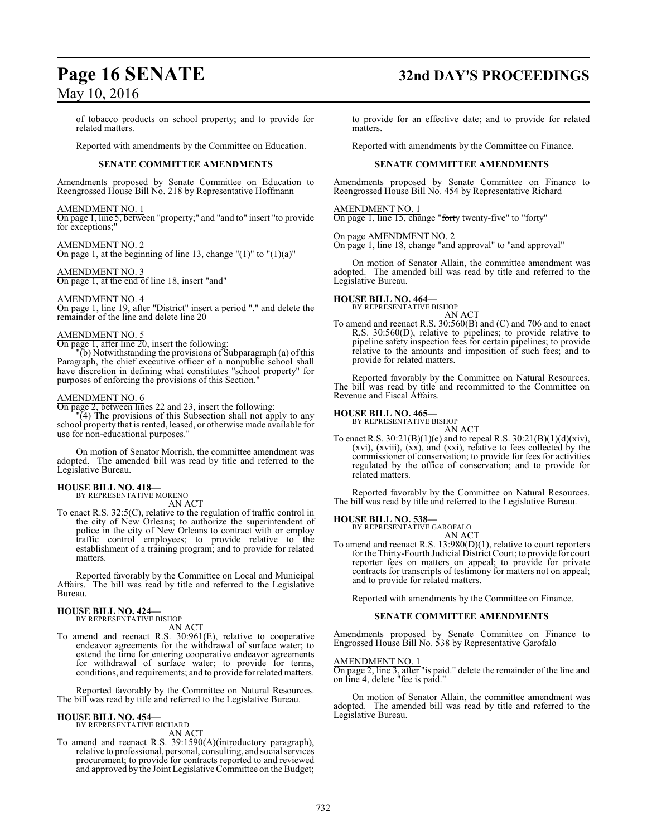of tobacco products on school property; and to provide for related matters.

Reported with amendments by the Committee on Education.

# **SENATE COMMITTEE AMENDMENTS**

Amendments proposed by Senate Committee on Education to Reengrossed House Bill No. 218 by Representative Hoffmann

# AMENDMENT NO. 1

On page 1, line 5, between "property;" and "and to" insert "to provide for exceptions;"

AMENDMENT NO. 2 On page 1, at the beginning of line 13, change " $(1)$ " to " $(1)(a)$ "

## AMENDMENT NO. 3 On page 1, at the end of line 18, insert "and"

AMENDMENT NO. 4

On page 1, line 19, after "District" insert a period "." and delete the remainder of the line and delete line 20

# AMENDMENT NO. 5

On page 1, after line 20, insert the following:

"(b) Notwithstanding the provisions of Subparagraph (a) of this Paragraph, the chief executive officer of a nonpublic school shall have discretion in defining what constitutes "school property" for purposes of enforcing the provisions of this Section.

# AMENDMENT NO. 6

On page 2, between lines 22 and 23, insert the following:

"(4) The provisions of this Subsection shall not apply to any school property that is rented, leased, or otherwise made available for use for non-educational purposes."

On motion of Senator Morrish, the committee amendment was adopted. The amended bill was read by title and referred to the Legislative Bureau.

### **HOUSE BILL NO. 418—** BY REPRESENTATIVE MORENO

AN ACT

To enact R.S. 32:5(C), relative to the regulation of traffic control in the city of New Orleans; to authorize the superintendent of police in the city of New Orleans to contract with or employ traffic control employees; to provide relative to the establishment of a training program; and to provide for related matters.

Reported favorably by the Committee on Local and Municipal Affairs. The bill was read by title and referred to the Legislative Bureau.

# **HOUSE BILL NO. 424—**

BY REPRESENTATIVE BISHOP

- AN ACT
- To amend and reenact R.S. 30:961(E), relative to cooperative endeavor agreements for the withdrawal of surface water; to extend the time for entering cooperative endeavor agreements for withdrawal of surface water; to provide for terms, conditions, and requirements; and to provide forrelated matters.

Reported favorably by the Committee on Natural Resources. The bill was read by title and referred to the Legislative Bureau.

# **HOUSE BILL NO. 454—**

BY REPRESENTATIVE RICHARD AN ACT

To amend and reenact R.S. 39:1590(A)(introductory paragraph), relative to professional, personal, consulting, and social services procurement; to provide for contracts reported to and reviewed and approved by the Joint Legislative Committee on the Budget; to provide for an effective date; and to provide for related matters.

Reported with amendments by the Committee on Finance.

# **SENATE COMMITTEE AMENDMENTS**

Amendments proposed by Senate Committee on Finance to Reengrossed House Bill No. 454 by Representative Richard

# AMENDMENT NO. 1

On page 1, line 15, change "forty twenty-five" to "forty"

# On page AMENDMENT NO. 2

On page 1, line 18, change "and approval" to "and approval"

On motion of Senator Allain, the committee amendment was adopted. The amended bill was read by title and referred to the Legislative Bureau.

# **HOUSE BILL NO. 464—** BY REPRESENTATIVE BISHOP

AN ACT

To amend and reenact R.S. 30:560(B) and (C) and 706 and to enact R.S. 30:560(D), relative to pipelines; to provide relative to pipeline safety inspection fees for certain pipelines; to provide relative to the amounts and imposition of such fees; and to provide for related matters.

Reported favorably by the Committee on Natural Resources. The bill was read by title and recommitted to the Committee on Revenue and Fiscal Affairs.

# **HOUSE BILL NO. 465—**

BY REPRESENTATIVE BISHOP AN ACT

To enact R.S.  $30:21(B)(1)(e)$  and to repeal R.S.  $30:21(B)(1)(d)(xiv)$ , (xvi), (xviii), (xx), and (xxi), relative to fees collected by the commissioner of conservation; to provide for fees for activities regulated by the office of conservation; and to provide for related matters.

Reported favorably by the Committee on Natural Resources. The bill was read by title and referred to the Legislative Bureau.

# **HOUSE BILL NO. 538—** BY REPRESENTATIVE GAROFALO

AN ACT

To amend and reenact R.S. 13:980(D)(1), relative to court reporters for the Thirty-Fourth Judicial District Court; to provide for court reporter fees on matters on appeal; to provide for private contracts for transcripts of testimony for matters not on appeal; and to provide for related matters.

Reported with amendments by the Committee on Finance.

# **SENATE COMMITTEE AMENDMENTS**

Amendments proposed by Senate Committee on Finance to Engrossed House Bill No. 538 by Representative Garofalo

# AMENDMENT NO. 1

On page 2, line 3, after "is paid." delete the remainder of the line and on line 4, delete "fee is paid."

On motion of Senator Allain, the committee amendment was adopted. The amended bill was read by title and referred to the Legislative Bureau.

# **Page 16 SENATE 32nd DAY'S PROCEEDINGS**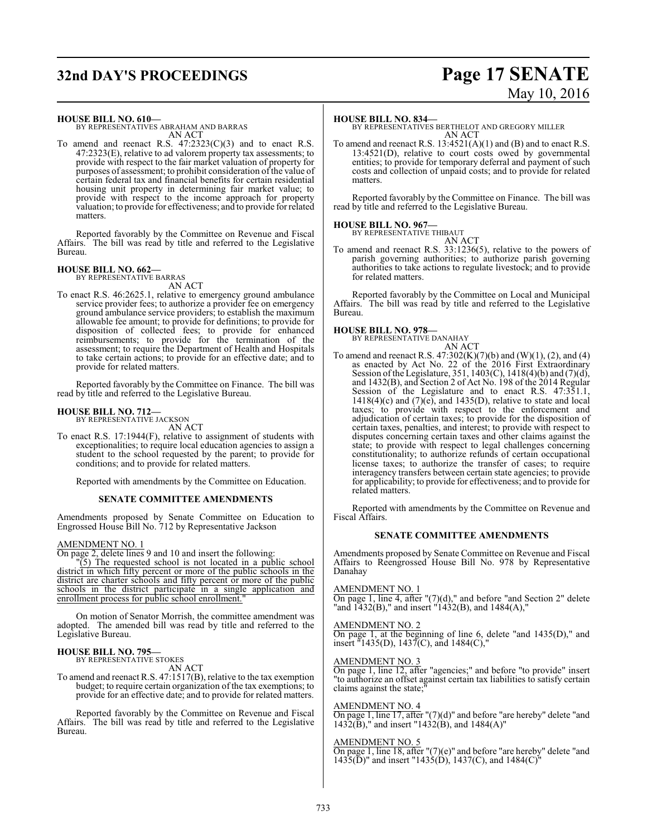# **32nd DAY'S PROCEEDINGS Page 17 SENATE**

# May 10, 2016

## **HOUSE BILL NO. 610—**

BY REPRESENTATIVES ABRAHAM AND BARRAS AN ACT

To amend and reenact R.S. 47:2323(C)(3) and to enact R.S. 47:2323(E), relative to ad valorem property tax assessments; to provide with respect to the fair market valuation of property for purposes of assessment; to prohibit consideration of the value of certain federal tax and financial benefits for certain residential housing unit property in determining fair market value; to provide with respect to the income approach for property valuation; to provide for effectiveness; and to provide for related matters.

Reported favorably by the Committee on Revenue and Fiscal Affairs. The bill was read by title and referred to the Legislative Bureau.

# **HOUSE BILL NO. 662—**

BY REPRESENTATIVE BARRAS AN ACT

To enact R.S. 46:2625.1, relative to emergency ground ambulance service provider fees; to authorize a provider fee on emergency ground ambulance service providers; to establish the maximum allowable fee amount; to provide for definitions; to provide for disposition of collected fees; to provide for enhanced reimbursements; to provide for the termination of the assessment; to require the Department of Health and Hospitals to take certain actions; to provide for an effective date; and to provide for related matters.

Reported favorably by the Committee on Finance. The bill was read by title and referred to the Legislative Bureau.

# **HOUSE BILL NO. 712—**

BY REPRESENTATIVE JACKSON AN ACT

To enact R.S. 17:1944(F), relative to assignment of students with exceptionalities; to require local education agencies to assign a student to the school requested by the parent; to provide for conditions; and to provide for related matters.

Reported with amendments by the Committee on Education.

# **SENATE COMMITTEE AMENDMENTS**

Amendments proposed by Senate Committee on Education to Engrossed House Bill No. 712 by Representative Jackson

# AMENDMENT NO. 1

On page 2, delete lines 9 and 10 and insert the following:

 $\check{C}(5)$  The requested school is not located in a public school district in which fifty percent or more of the public schools in the district are charter schools and fifty percent or more of the public schools in the district participate in a single application and enrollment process for public school enrollment."

On motion of Senator Morrish, the committee amendment was adopted. The amended bill was read by title and referred to the Legislative Bureau.

### **HOUSE BILL NO. 795—** BY REPRESENTATIVE STOKES

AN ACT

To amend and reenact R.S. 47:1517(B), relative to the tax exemption budget; to require certain organization of the tax exemptions; to provide for an effective date; and to provide for related matters.

Reported favorably by the Committee on Revenue and Fiscal Affairs. The bill was read by title and referred to the Legislative Bureau.

# **HOUSE BILL NO. 834—**

BY REPRESENTATIVES BERTHELOT AND GREGORY MILLER AN ACT

To amend and reenact R.S. 13:4521(A)(1) and (B) and to enact R.S. 13:4521(D), relative to court costs owed by governmental entities; to provide for temporary deferral and payment of such costs and collection of unpaid costs; and to provide for related matters.

Reported favorably by the Committee on Finance. The bill was read by title and referred to the Legislative Bureau.

# **HOUSE BILL NO. 967—**

BY REPRESENTATIVE THIBAUT AN ACT

To amend and reenact R.S. 33:1236(5), relative to the powers of parish governing authorities; to authorize parish governing authorities to take actions to regulate livestock; and to provide for related matters.

Reported favorably by the Committee on Local and Municipal Affairs. The bill was read by title and referred to the Legislative Bureau.

# **HOUSE BILL NO. 978—**

BY REPRESENTATIVE DANAHAY AN ACT

To amend and reenact R.S.  $47:302(K)(7)(b)$  and  $(W)(1)$ ,  $(2)$ , and  $(4)$ as enacted by Act No. 22 of the 2016 First Extraordinary Session of the Legislature, 351, 1403(C), 1418(4)(b) and (7)(d), and 1432(B), and Section 2 of Act No. 198 of the 2014 Regular Session of the Legislature and to enact R.S. 47:351.1,  $1418(4)$ (c) and  $(7)$ (e), and  $1435(D)$ , relative to state and local taxes; to provide with respect to the enforcement and adjudication of certain taxes; to provide for the disposition of certain taxes, penalties, and interest; to provide with respect to disputes concerning certain taxes and other claims against the state; to provide with respect to legal challenges concerning constitutionality; to authorize refunds of certain occupational license taxes; to authorize the transfer of cases; to require interagency transfers between certain state agencies; to provide for applicability; to provide for effectiveness; and to provide for related matters.

Reported with amendments by the Committee on Revenue and Fiscal Affairs.

# **SENATE COMMITTEE AMENDMENTS**

Amendments proposed by Senate Committee on Revenue and Fiscal Affairs to Reengrossed House Bill No. 978 by Representative Danahay

## AMENDMENT NO. 1

On page 1, line 4, after "(7)(d)," and before "and Section 2" delete "and 1432(B)," and insert "1432(B), and 1484(A),"

# AMENDMENT NO. 2

On page 1, at the beginning of line 6, delete "and 1435(D)," and insert "1435(D), 1437(C), and 1484(C),"

## AMENDMENT NO. 3

On page 1, line 12, after "agencies;" and before "to provide" insert "to authorize an offset against certain tax liabilities to satisfy certain claims against the state;

## AMENDMENT NO. 4

On page 1, line 17, after "(7)(d)" and before "are hereby" delete "and  $1432(\overline{B})$ ," and insert "1432(B), and 1484(A)"

## AMENDMENT NO. 5

On page 1, line 18, after "(7)(e)" and before "are hereby" delete "and 1435(D)" and insert "1435(D), 1437(C), and 1484(C)"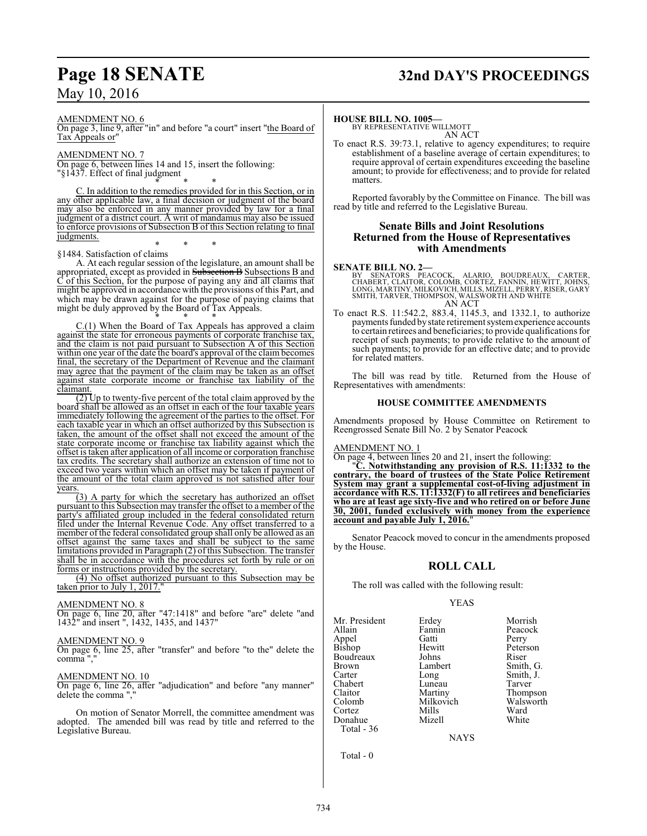# **Page 18 SENATE 32nd DAY'S PROCEEDINGS**

AMENDMENT NO. 6

On page 3, line 9, after "in" and before "a court" insert "the Board of Tax Appeals or"

# AMENDMENT NO. 7

On page 6, between lines 14 and 15, insert the following: "§1437. Effect of final judgment

\* \* \* C. In addition to the remedies provided for in this Section, or in any other applicable law, a final decision or judgment of the board may also be enforced in any manner provided by law for a final judgment of a district court. A writ of mandamus may also be issued to enforce provisions of Subsection B of this Section relating to final judgments. \* \* \*

# §1484. Satisfaction of claims

A. At each regular session of the legislature, an amount shall be appropriated, except as provided in Subsection B Subsections B and  $\tilde{C}$  of this Section, for the purpose of paying any and all claims that might be approved in accordance with the provisions of this Part, and which may be drawn against for the purpose of paying claims that might be duly approved by the Board of Tax Appeals. \* \* \*

C.(1) When the Board of Tax Appeals has approved a claim against the state for erroneous payments of corporate franchise tax, and the claim is not paid pursuant to Subsection A of this Section within one year of the date the board's approval of the claim becomes final, the secretary of the Department of Revenue and the claimant may agree that the payment of the claim may be taken as an offset against state corporate income or franchise tax liability of the claimant.

 $(2)$  Up to twenty-five percent of the total claim approved by the board shall be allowed as an offset in each of the four taxable years immediately following the agreement of the parties to the offset. For each taxable year in which an offset authorized by this Subsection is taken, the amount of the offset shall not exceed the amount of the state corporate income or franchise tax liability against which the offset is taken after application of all income or corporation franchise tax credits. The secretary shall authorize an extension of time not to exceed two years within which an offset may be taken if payment of the amount of the total claim approved is not satisfied after four years.

(3) A party for which the secretary has authorized an offset pursuant to this Subsection may transfer the offset to a member of the party's affiliated group included in the federal consolidated return filed under the Internal Revenue Code. Any offset transferred to a member of the federal consolidated group shall only be allowed as an offset against the same taxes and shall be subject to the same limitations provided in Paragraph (2) of this Subsection. The transfer shall be in accordance with the procedures set forth by rule or on forms or instructions provided by the secretary.

(4) No offset authorized pursuant to this Subsection may be taken prior to July 1, 2017.

## AMENDMENT NO. 8

On page 6, line 20, after "47:1418" and before "are" delete "and 1432" and insert ", 1432, 1435, and 1437"

# AMENDMENT NO. 9

On page 6, line 25, after "transfer" and before "to the" delete the comma ","

# AMENDMENT NO. 10

On page 6, line 26, after "adjudication" and before "any manner" delete the comma ","

On motion of Senator Morrell, the committee amendment was adopted. The amended bill was read by title and referred to the Legislative Bureau.

# **HOUSE BILL NO. 1005—**

BY REPRESENTATIVE WILLMOTT AN ACT

To enact R.S. 39:73.1, relative to agency expenditures; to require establishment of a baseline average of certain expenditures; to require approval of certain expenditures exceeding the baseline amount; to provide for effectiveness; and to provide for related matters.

Reported favorably by the Committee on Finance. The bill was read by title and referred to the Legislative Bureau.

# **Senate Bills and Joint Resolutions Returned from the House of Representatives with Amendments**

## **SENATE BILL NO. 2—**

BY SENATORS PEACOCK, ALARIO, BOUDREAUX, CARTER,<br>CHABERT, CLAITOR, COLOMB, CORTEZ, FANNIN, HEWITT, JOHNS,<br>LONG, MARTINY, MILKOVICH, MILLS, MIZELL, PERRY, RISER, GARY<br>SMITH, TARVER, THOMPSON, WALSWORTH AND WHITE<br>AN ACT

To enact R.S. 11:542.2, 883.4, 1145.3, and 1332.1, to authorize payments funded by state retirement system experience accounts to certain retirees and beneficiaries; to provide qualifications for receipt of such payments; to provide relative to the amount of such payments; to provide for an effective date; and to provide for related matters.

The bill was read by title. Returned from the House of Representatives with amendments:

## **HOUSE COMMITTEE AMENDMENTS**

Amendments proposed by House Committee on Retirement to Reengrossed Senate Bill No. 2 by Senator Peacock

## AMENDMENT NO. 1

On page 4, between lines 20 and 21, insert the following:

"**C. Notwithstanding any provision of R.S. 11:1332 to the contrary, the board of trustees of the State Police Retirement System may grant a supplemental cost-of-living adjustment in accordance with R.S. 11:1332(F) to all retirees and beneficiaries who are at least age sixty-five and who retired on or before June 30, 2001, funded exclusively with money from the experience account and payable July 1, 2016.**"

Senator Peacock moved to concur in the amendments proposed by the House.

# **ROLL CALL**

The roll was called with the following result:

# YEAS

| Mr. President   | Erdey     | Morrish   |
|-----------------|-----------|-----------|
|                 |           |           |
| Allain          | Fannin    | Peacock   |
| Appel<br>Bishop | Gatti     | Perry     |
|                 | Hewitt    | Peterson  |
| Boudreaux       | Johns     | Riser     |
| <b>Brown</b>    | Lambert   | Smith, G. |
| Carter          | Long      | Smith, J. |
| Chabert         | Luneau    | Tarver    |
| Claitor         | Martiny   | Thompson  |
| Colomb          | Milkovich | Walsworth |
| Cortez          | Mills     | Ward      |
| Donahue         | Mizell    | White     |
| Total - 36      |           |           |

NAYS

Total - 0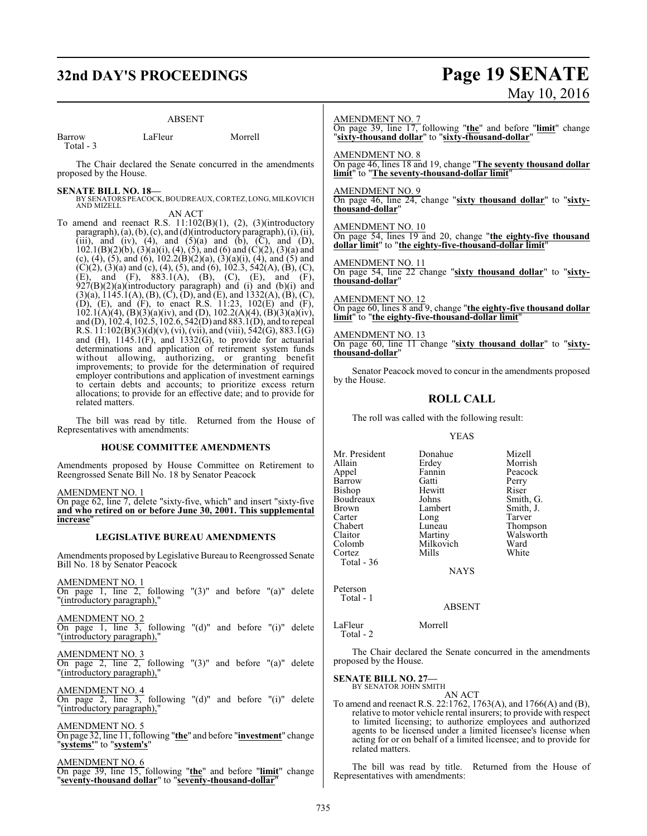# **32nd DAY'S PROCEEDINGS Page 19 SENATE**

# ABSENT

| Barrow     | LaFleur | Morrell |
|------------|---------|---------|
| Total $-3$ |         |         |

The Chair declared the Senate concurred in the amendments proposed by the House.

**SENATE BILL NO. 18—** BY SENATORS PEACOCK,BOUDREAUX,CORTEZ, LONG, MILKOVICH AND MIZELL AN ACT

To amend and reenact R.S.  $11:102(B)(1)$ ,  $(2)$ ,  $(3)(introducing$ paragraph), (a), (b), (c), and (d)(introductory paragraph), (i), (ii), (iii), and (iv), (4), and  $(5)(a)$  and  $(b)$ ,  $(\overline{C})$ , and  $(D)$ ,  $102.1(B)(2)(b)$ ,  $(3)(a)(i)$ ,  $(4)$ ,  $(5)$ , and  $(6)$  and  $(C)(2)$ ,  $(3)(a)$  and (c), (4), (5), and (6),  $102.2(B)(2)(a)$ ,  $(3)(a)(i)$ ,  $(4)$ , and (5) and  $(C)(2)$ ,  $(3)(a)$  and  $(c)$ ,  $(4)$ ,  $(5)$ , and  $(6)$ ,  $102.3$ ,  $542(A)$ ,  $(B)$ ,  $(C)$ , (E), and (F), 883.1(A), (B), (C), (E), and (F),  $927(B)(2)(a)$ (introductory paragraph) and (i) and (b)(i) and  $(3)(a)$ ,  $1145.1(A)$ ,  $(B)$ ,  $(C)$ ,  $(D)$ , and  $(E)$ , and  $1332(A)$ ,  $(B)$ ,  $(C)$ , (D), (E), and (F), to enact R.S. 11:23, 102(E) and (F),  $102.1(A)(4)$ ,  $(B)(3)(a)(iv)$ , and  $(D)$ ,  $102.2(A)(4)$ ,  $(B)(3)(a)(iv)$ , and (D), 102.4, 102.5, 102.6, 542(D) and 883.1(D), and to repeal R.S.  $11:102(B)(3)(d)(v)$ , (vi), (vii), and (viii), 542(G), 883.1(G) and (H), 1145.1(F), and 1332(G), to provide for actuarial determinations and application of retirement system funds without allowing, authorizing, or granting benefit improvements; to provide for the determination of required employer contributions and application of investment earnings to certain debts and accounts; to prioritize excess return allocations; to provide for an effective date; and to provide for related matters.

The bill was read by title. Returned from the House of Representatives with amendments:

# **HOUSE COMMITTEE AMENDMENTS**

Amendments proposed by House Committee on Retirement to Reengrossed Senate Bill No. 18 by Senator Peacock

AMENDMENT NO. 1

On page 62, line 7, delete "sixty-five, which" and insert "sixty-five **and who retired on or before June 30, 2001. This supplemental increase**"

# **LEGISLATIVE BUREAU AMENDMENTS**

Amendments proposed by Legislative Bureau to Reengrossed Senate Bill No. 18 by Senator Peacock

AMENDMENT NO. 1 On page 1, line 2, following "(3)" and before "(a)" delete "(introductory paragraph),"

AMENDMENT NO. 2 On page 1, line 3, following "(d)" and before "(i)" delete "(introductory paragraph),"

AMENDMENT NO. 3 On page 2, line 2, following "(3)" and before "(a)" delete "(introductory paragraph),"

AMENDMENT NO. 4 On page 2, line 3, following "(d)" and before "(i)" delete "(introductory paragraph),"

AMENDMENT NO. 5 On page 32, line 11, following "**the**" and before "**investment**" change "**systems'**" to "**system's**"

AMENDMENT NO. 6 On page 39, line 15, following "**the**" and before "**limit**" change "**seventy-thousand dollar**" to "**seventy-thousand-dollar**"

# May 10, 2016

AMENDMENT NO. 7

On page 39, line 17, following "**the**" and before "**limit**" change "**sixty-thousand dollar**" to "**sixty-thousand-dollar**"

AMENDMENT NO. 8 On page 46, lines 18 and 19, change "**The seventy thousand dollar limit**" to "**The seventy-thousand-dollar limit**"

AMENDMENT NO. 9 On page 46, line 24, change "**sixty thousand dollar**" to "**sixtythousand-dollar**"

AMENDMENT NO. 10 On page 54, lines 19 and 20, change "**the eighty-five thousand dollar limit**" to "**the eighty-five-thousand-dollar limit**"

AMENDMENT NO. 11

On page 54, line 22 change "**sixty thousand dollar**" to "**sixtythousand-dollar**"

AMENDMENT NO. 12 On page 60, lines 8 and 9, change "**the eighty-five thousand dollar limit**" to "**the eighty-five-thousand-dollar limit**"

AMENDMENT NO. 13

On page 60, line 11 change "**sixty thousand dollar**" to "**sixtythousand-dollar**"

Senator Peacock moved to concur in the amendments proposed by the House.

# **ROLL CALL**

The roll was called with the following result:

## YEAS

Mr. President Donahue Mizell<br>Allain Erdey Morris Appel Fannin Peaco<br>
Barrow Gatti Perry Barrow Gatti Perry<br>Bishop Hewitt Riser Bishop Hewitt Riser<br>Boudreaux Johns Smith, G. Boudreaux Johns Smith, G. Brown Lambert Smith,<br>Carter Long Tarver Carter Long<br>Chabert Luneau Chabert Luneau Thompson<br>Claitor Martiny Walsworth Claitor Martiny Walsworth<br>Colomb Milkovich Ward Cortez Total - 36

Erdey Morrish<br>Fannin Peacock Milkovich Ward<br>
Mills White

NAYS

Peterson

# Total - 1

LaFleur Morrell Total - 2

The Chair declared the Senate concurred in the amendments proposed by the House.

ABSENT

**SENATE BILL NO. 27—**<br>BY SENATOR JOHN SMITH

AN ACT

To amend and reenact R.S. 22:1762, 1763(A), and 1766(A) and (B), relative to motor vehicle rental insurers; to provide with respect to limited licensing; to authorize employees and authorized agents to be licensed under a limited licensee's license when acting for or on behalf of a limited licensee; and to provide for related matters.

The bill was read by title. Returned from the House of Representatives with amendments: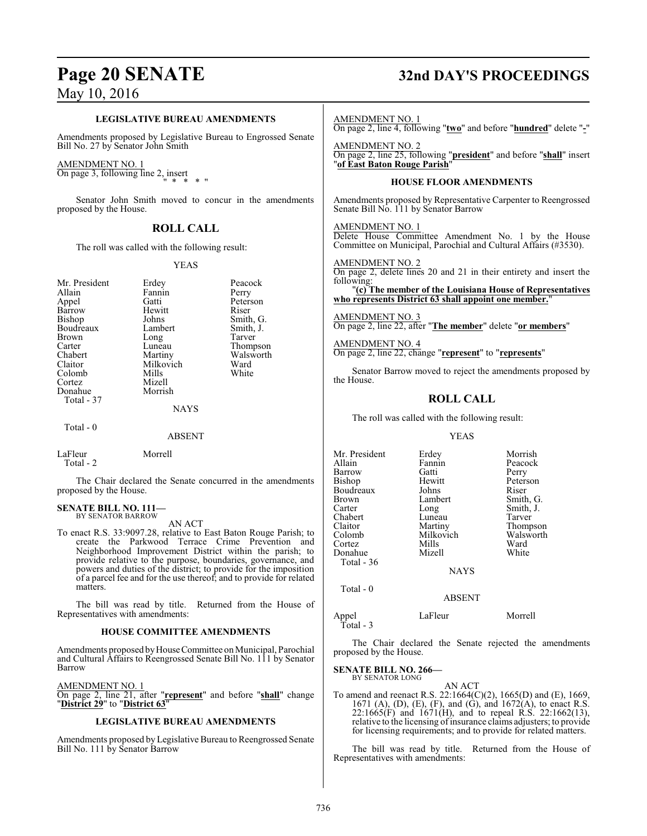# **LEGISLATIVE BUREAU AMENDMENTS**

Amendments proposed by Legislative Bureau to Engrossed Senate Bill No. 27 by Senator John Smith

## AMENDMENT NO. 1

On page 3, following line 2, insert " \* \* \* "

Senator John Smith moved to concur in the amendments proposed by the House.

# **ROLL CALL**

The roll was called with the following result:

# YEAS

| Mr. President<br>Allain<br>Appel<br>Barrow<br>Bishop<br>Boudreaux<br><b>Brown</b><br>Carter<br>Chabert<br>Claitor<br>Colomb<br>Cortez<br>Donahue<br>Total - 37 | Erdey<br>Fannin<br>Gatti<br>Hewitt<br>Johns<br>Lambert<br>Long<br>Luneau<br>Martiny<br>Milkovich<br>Mills<br>Mizell<br>Morrish | Peacock<br>Perry<br>Peterson<br>Riser<br>Smith, G.<br>Smith, J.<br>Tarver<br>Thompson<br>Walsworth<br>Ward<br>White |
|----------------------------------------------------------------------------------------------------------------------------------------------------------------|--------------------------------------------------------------------------------------------------------------------------------|---------------------------------------------------------------------------------------------------------------------|
|                                                                                                                                                                | <b>NAYS</b>                                                                                                                    |                                                                                                                     |
| Total - 0                                                                                                                                                      |                                                                                                                                |                                                                                                                     |

## ABSENT

LaFleur Morrell Total - 2

The Chair declared the Senate concurred in the amendments proposed by the House.

# **SENATE BILL NO. 111—** BY SENATOR BARROW

AN ACT

To enact R.S. 33:9097.28, relative to East Baton Rouge Parish; to create the Parkwood Terrace Crime Prevention and Neighborhood Improvement District within the parish; to provide relative to the purpose, boundaries, governance, and powers and duties of the district; to provide for the imposition of a parcel fee and for the use thereof; and to provide for related matters.

The bill was read by title. Returned from the House of Representatives with amendments:

# **HOUSE COMMITTEE AMENDMENTS**

Amendments proposed by House Committee on Municipal, Parochial and Cultural Affairs to Reengrossed Senate Bill No. 111 by Senator Barrow

AMENDMENT NO. 1

On page 2, line 21, after "**represent**" and before "**shall**" change "**District 29**" to "**District 63**"

# **LEGISLATIVE BUREAU AMENDMENTS**

Amendments proposed by Legislative Bureau to Reengrossed Senate Bill No. 111 by Senator Barrow

# **Page 20 SENATE 32nd DAY'S PROCEEDINGS**

AMENDMENT NO. 1

On page 2, line 4, following "**two**" and before "**hundred**" delete "**-**"

AMENDMENT NO. 2 On page 2, line 25, following "**president**" and before "**shall**" insert "**of East Baton Rouge Parish**"

# **HOUSE FLOOR AMENDMENTS**

Amendments proposed by Representative Carpenter to Reengrossed Senate Bill No. 111 by Senator Barrow

AMENDMENT NO. 1

Delete House Committee Amendment No. 1 by the House Committee on Municipal, Parochial and Cultural Affairs (#3530).

# AMENDMENT NO. 2

On page 2, delete lines 20 and 21 in their entirety and insert the following:

"**(c) The member of the Louisiana House of Representatives who represents District 63 shall appoint one member.**"

AMENDMENT NO. 3 On page 2, line 22, after "**The member**" delete "**or members**"

AMENDMENT NO. 4 On page 2, line 22, change "**represent**" to "**represents**"

Senator Barrow moved to reject the amendments proposed by the House.

# **ROLL CALL**

The roll was called with the following result:

# YEAS

| Mr. President | Erdey       | Morrish   |
|---------------|-------------|-----------|
| Allain        | Fannin      | Peacock   |
| Barrow        | Gatti       | Perry     |
| Bishop        | Hewitt      | Peterson  |
| Boudreaux     | Johns       | Riser     |
| Brown         | Lambert     | Smith, G. |
| Carter        | Long        | Smith, J. |
| Chabert       | Luneau      | Tarver    |
| Claitor       | Martiny     | Thompson  |
| Colomb        | Milkovich   | Walsworth |
| Cortez        | Mills       | Ward      |
| Donahue       | Mizell      | White     |
| Total - 36    |             |           |
|               | <b>NAYS</b> |           |
| Total - 0     |             |           |

Appel LaFleur Morrell Total - 3

The Chair declared the Senate rejected the amendments proposed by the House.

ABSENT

## **SENATE BILL NO. 266—** BY SENATOR LONG

AN ACT

To amend and reenact R.S. 22:1664(C)(2), 1665(D) and (E), 1669, 1671 (A), (D), (E), (F), and (G), and 1672(A), to enact R.S. 22:1665(F) and 1671(H), and to repeal R.S. 22:1662(13), relative to the licensing of insurance claims adjusters; to provide for licensing requirements; and to provide for related matters.

The bill was read by title. Returned from the House of Representatives with amendments: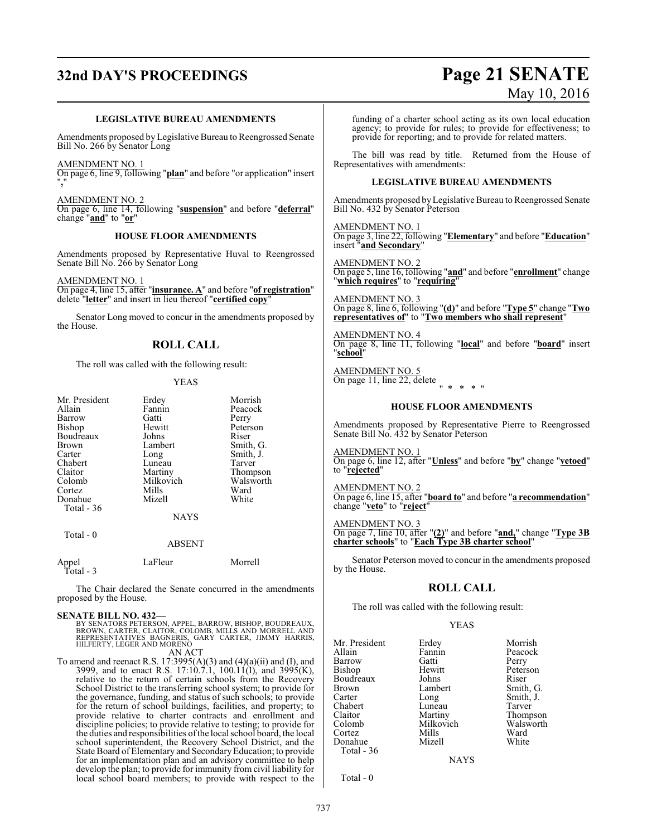# **32nd DAY'S PROCEEDINGS Page 21 SENATE**

# May 10, 2016

# **LEGISLATIVE BUREAU AMENDMENTS**

Amendments proposed by Legislative Bureau to Reengrossed Senate Bill No. 266 by Senator Long

AMENDMENT NO. 1

On page 6, line 9, following "**plan**" and before "or application" insert "**,**"

AMENDMENT NO. 2 On page 6, line 14, following "**suspension**" and before "**deferral**" change "**and**" to "**or**"

# **HOUSE FLOOR AMENDMENTS**

Amendments proposed by Representative Huval to Reengrossed Senate Bill No. 266 by Senator Long

AMENDMENT NO. 1

On page 4, line 15, after "**insurance. A**" and before "**of registration**" delete "**letter**" and insert in lieu thereof "**certified copy**"

Senator Long moved to concur in the amendments proposed by the House.

# **ROLL CALL**

The roll was called with the following result:

# YEAS

| Mr. President | Erdey       | Morrish   |
|---------------|-------------|-----------|
| Allain        | Fannin      | Peacock   |
| Barrow        | Gatti       | Perry     |
| Bishop        | Hewitt      | Peterson  |
| Boudreaux     | Johns       | Riser     |
| Brown         | Lambert     | Smith, G. |
| Carter        | Long        | Smith, J. |
| Chabert       | Luneau      | Tarver    |
| Claitor       | Martiny     | Thompson  |
| Colomb        | Milkovich   | Walsworth |
| Cortez        | Mills       | Ward      |
| Donahue       | Mizell      | White     |
| Total - 36    |             |           |
|               | <b>NAYS</b> |           |
|               |             |           |

Appel LaFleur Morrell

Total - 3

Total - 0

The Chair declared the Senate concurred in the amendments proposed by the House.

ABSENT

# **SENATE BILL NO. 432—**

BY SENATORS PETERSON, APPEL, BARROW, BISHOP, BOUDREAUX,<br>BROWN, CARTER, CLAITOR, COLOMB, MILLS AND MORRELL AND<br>REPRESENTATIVES BAGNERIS, GARY CARTER, JIMMY HARRIS,<br>HILFERTY, LEGER AND MORENO AN ACT

To amend and reenact R.S.  $17:3995(A)(3)$  and  $(4)(a)(ii)$  and  $(I)$ , and 3999, and to enact R.S. 17:10.7.1, 100.11(I), and 3995(K), relative to the return of certain schools from the Recovery School District to the transferring school system; to provide for the governance, funding, and status of such schools; to provide for the return of school buildings, facilities, and property; to provide relative to charter contracts and enrollment and discipline policies; to provide relative to testing; to provide for the duties and responsibilities ofthe local school board, the local school superintendent, the Recovery School District, and the State Board of Elementary and SecondaryEducation; to provide for an implementation plan and an advisory committee to help develop the plan; to provide for immunity from civil liability for local school board members; to provide with respect to the

funding of a charter school acting as its own local education agency; to provide for rules; to provide for effectiveness; to provide for reporting; and to provide for related matters.

The bill was read by title. Returned from the House of Representatives with amendments:

# **LEGISLATIVE BUREAU AMENDMENTS**

Amendments proposed byLegislative Bureau to Reengrossed Senate Bill No. 432 by Senator Peterson

AMENDMENT NO. 1 On page 3, line 22, following "**Elementary**" and before "**Education**" insert "**and Secondary**"

AMENDMENT NO. 2 On page 5, line 16, following "**and**" and before "**enrollment**" change "**which requires**" to "**requiring**"

AMENDMENT NO. 3 On page 8, line 6, following "**(d)**" and before "**Type 5**" change "**Two representatives of**" to "**Two members who shall represent**"

AMENDMENT NO. 4 On page 8, line 11, following "**local**" and before "**board**" insert "**school**"

AMENDMENT NO. 5 On page 11, line 22, delete " \* \* \* "

# **HOUSE FLOOR AMENDMENTS**

Amendments proposed by Representative Pierre to Reengrossed Senate Bill No. 432 by Senator Peterson

AMENDMENT NO. 1

On page 6, line 12, after "**Unless**" and before "**by**" change "**vetoed**" to "**rejected**"

AMENDMENT NO. 2 On page 6, line 15, after "**board to**" and before "**a recommendation**" change "**veto**" to "**reject**"

AMENDMENT NO. 3

On page 7, line 10, after "**(2)**" and before "**and,**" change "**Type 3B charter schools**" to "**Each Type 3B charter school**"

Senator Peterson moved to concur in the amendments proposed by the House.

# **ROLL CALL**

The roll was called with the following result:

# YEAS

Mr. President Erdey Morrish<br>Allain Fannin Peacock Allain **Fannin** Peacock<br>
Barrow Gatti Perry Barrow Gatti Perry Bishop Hewitt Peterson<br>Boudreaux Johns Riser Boudreaux Johns<br>Brown Lambert Brown Lambert Smith, G.<br>
Carter Long Smith, J. Carter Long Smith, J. Chabert Luneau<br>Claitor Martiny Claitor Martiny Thompson<br>Colomb Milkovich Walsworth Cortez Mills Ward Donahue Total - 36

Milkovich Walsworth<br>
Mills Ward

NAYS

Total - 0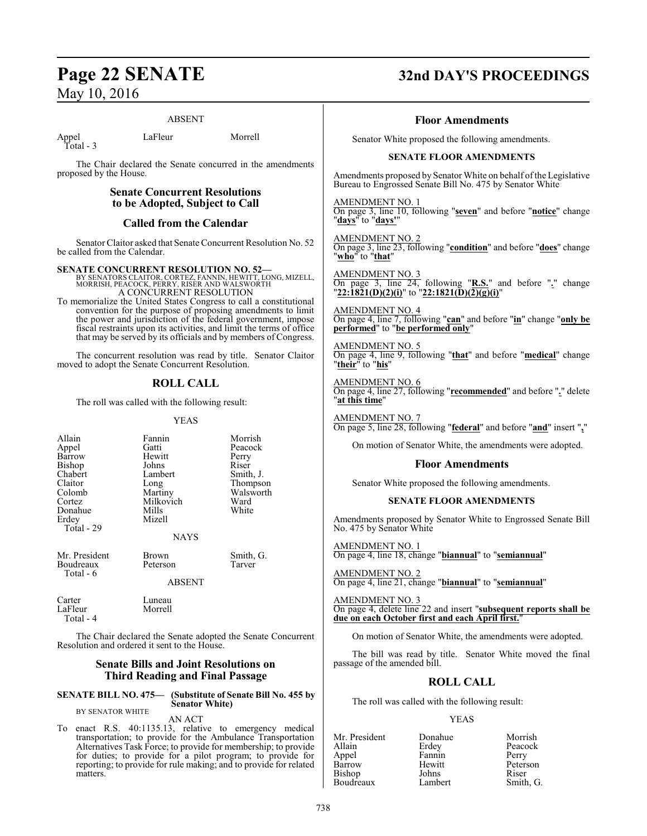# ABSENT

Appel LaFleur Morrell Total - 3

The Chair declared the Senate concurred in the amendments proposed by the House.

# **Senate Concurrent Resolutions to be Adopted, Subject to Call**

# **Called from the Calendar**

Senator Claitor asked that Senate Concurrent Resolution No. 52 be called from the Calendar.

## **SENATE CONCURRENT RESOLUTION NO. 52—**

BY SENATORS CLAITOR, CORTEZ, FANNIN, HEWITT, LONG, MIZELL, MORRISH, PEACOCK, PERRY, RISER AND WALSWORTH A CONCURRENT RESOLUTION

To memorialize the United States Congress to call a constitutional convention for the purpose of proposing amendments to limit the power and jurisdiction of the federal government, impose fiscal restraints upon its activities, and limit the terms of office that may be served by its officials and by members of Congress.

The concurrent resolution was read by title. Senator Claitor moved to adopt the Senate Concurrent Resolution.

# **ROLL CALL**

The roll was called with the following result:

# YEAS

Morrish Peacock<br>Perry

Smith, J. Thompson Walsworth<br>Ward

Smith, G.<br>Tarver

| Allain<br>Appel<br>Barrow<br>Bishop<br>Chabert<br>Claitor<br>Colomb<br>Cortez<br>Donahue<br>Erdey<br>Total - 29 | Fannin<br>Gatti<br>Hewitt<br>Johns<br>Lambert<br>Long<br>Martiny<br>Milkovich<br>Mills<br>Mizell | Morris<br>Peacoo<br>Perry<br>Riser<br>Smith,<br>Thomp<br>Walsw<br>Ward<br>White |
|-----------------------------------------------------------------------------------------------------------------|--------------------------------------------------------------------------------------------------|---------------------------------------------------------------------------------|
|                                                                                                                 | <b>NAYS</b>                                                                                      |                                                                                 |
| Mr. President<br>Boudreaux<br>Total - 6                                                                         | Brown<br>Peterson<br><b>ABSENT</b>                                                               | Smith,<br>Tarver                                                                |
|                                                                                                                 |                                                                                                  |                                                                                 |

The Chair declared the Senate adopted the Senate Concurrent Resolution and ordered it sent to the House.

# **Senate Bills and Joint Resolutions on Third Reading and Final Passage**

**SENATE BILL NO. 475— (Substitute of Senate Bill No. 455 by** BY SENATOR WHITE

Carter Luneau<br>LaFleur Morrell

LaFleur Total - 4

AN ACT

**Senator White)**

To enact R.S. 40:1135.13, relative to emergency medical transportation; to provide for the Ambulance Transportation Alternatives Task Force; to provide for membership; to provide for duties; to provide for a pilot program; to provide for reporting; to provide for rule making; and to provide for related matters.

# **Page 22 SENATE 32nd DAY'S PROCEEDINGS**

# **Floor Amendments**

Senator White proposed the following amendments.

# **SENATE FLOOR AMENDMENTS**

Amendments proposed by Senator White on behalf of the Legislative Bureau to Engrossed Senate Bill No. 475 by Senator White

AMENDMENT NO. 1 On page 3, line 10, following "**seven**" and before "**notice**" change "**days**" to "**days'**"

AMENDMENT NO. 2 On page 3, line 23, following "**condition**" and before "**does**" change "**who**" to "**that**"

AMENDMENT NO. 3 On page 3, line 24, following "**R.S.**" and before "**.**" change "**22:1821(D)(2)(i)**" to "**22:1821(D)(2)(g)(i)**"

AMENDMENT NO. 4 On page 4, line 7, following "**can**" and before "**in**" change "**only be performed**" to "**be performed only**"

AMENDMENT NO. 5 On page 4, line 9, following "**that**" and before "**medical**" change "**their**" to "**his**"

AMENDMENT NO. 6 On page 4, line 27, following "**recommended**" and before "**.**" delete "**at this time**"

AMENDMENT NO. 7 On page 5, line 28, following "**federal**" and before "**and**" insert "**,**"

On motion of Senator White, the amendments were adopted.

# **Floor Amendments**

Senator White proposed the following amendments.

# **SENATE FLOOR AMENDMENTS**

Amendments proposed by Senator White to Engrossed Senate Bill No. 475 by Senator White

AMENDMENT NO. 1 On page 4, line 18, change "**biannual**" to "**semiannual**"

AMENDMENT NO. 2 On page 4, line 21, change "**biannual**" to "**semiannual**"

AMENDMENT NO. 3 On page 4, delete line 22 and insert "**subsequent reports shall be due on each October first and each April first.**"

On motion of Senator White, the amendments were adopted.

The bill was read by title. Senator White moved the final passage of the amended bill.

# **ROLL CALL**

The roll was called with the following result:

# YEAS

| Mr. President | Donahue | Morrish   |
|---------------|---------|-----------|
| Allain        | Erdey   | Peacock   |
| Appel         | Fannin  | Perry     |
| Barrow        | Hewitt  | Peterson  |
| Bishop        | Johns   | Riser     |
| Boudreaux     | Lambert | Smith, G. |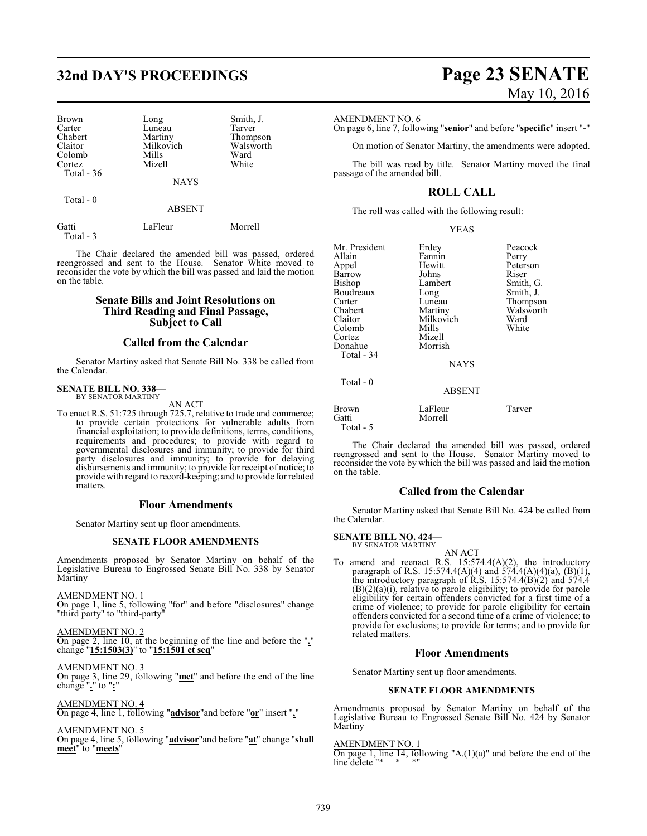# **32nd DAY'S PROCEEDINGS Page 23 SENATE**

Mizell

| <b>Brown</b> |
|--------------|
| Carter       |
| Chabert      |
| Claitor      |
| Colomb       |
| Cortez       |
| Total - 36   |

Total - 0

Long Smith, J.<br>Luneau Tarver Luneau<br>Martiny Milkovich Walsw<br>Mills Ward Mills Ward<br>
Mizell White

Thompson<br>Walsworth

**NAYS** 

ABSENT

| Gatti     | LaFleur | Morrell |
|-----------|---------|---------|
| Total - 3 |         |         |

The Chair declared the amended bill was passed, ordered reengrossed and sent to the House. Senator White moved to reconsider the vote by which the bill was passed and laid the motion on the table.

# **Senate Bills and Joint Resolutions on Third Reading and Final Passage, Subject to Call**

# **Called from the Calendar**

Senator Martiny asked that Senate Bill No. 338 be called from the Calendar.

# **SENATE BILL NO. 338—** BY SENATOR MARTINY

AN ACT

To enact R.S. 51:725 through 725.7, relative to trade and commerce; to provide certain protections for vulnerable adults from financial exploitation; to provide definitions, terms, conditions, requirements and procedures; to provide with regard to governmental disclosures and immunity; to provide for third party disclosures and immunity; to provide for delaying disbursements and immunity; to provide for receipt of notice; to provide with regard to record-keeping; and to provide for related matters.

# **Floor Amendments**

Senator Martiny sent up floor amendments.

# **SENATE FLOOR AMENDMENTS**

Amendments proposed by Senator Martiny on behalf of the Legislative Bureau to Engrossed Senate Bill No. 338 by Senator Martiny

AMENDMENT NO. 1

On page 1, line 5, following "for" and before "disclosures" change "third party" to "third-party

AMENDMENT NO. 2 On page 2, line 10, at the beginning of the line and before the "**.**" change "**15:1503(3)**" to "**15:1501 et seq**"

# AMENDMENT NO. 3

On page 3, line 29, following "**met**" and before the end of the line change "**.**" to "**:**"

AMENDMENT NO. 4 On page 4, line 1, following "**advisor**"and before "**or**" insert "**,**"

AMENDMENT NO. 5 On page 4, line 5, following "**advisor**"and before "**at**" change "**shall meet**" to "**meets**"

# May 10, 2016

# AMENDMENT NO. 6

On page 6, line 7, following "**senior**" and before "**specific**" insert "**-**"

On motion of Senator Martiny, the amendments were adopted.

The bill was read by title. Senator Martiny moved the final passage of the amended bill.

# **ROLL CALL**

The roll was called with the following result:

| Mr. President<br>Allain<br>Appel<br>Barrow<br>Bishop<br>Boudreaux<br>Carter<br>Chabert<br>Claitor<br>Colomb<br>Cortez<br>Donahue<br>Total - 34 | Erdey<br>Fannin<br>Hewitt<br>Johns<br>Lambert<br>Long<br>Luneau<br>Martiny<br>Milkovich<br>Mills<br>Mizell<br>Morrish | Peacock<br>Perry<br>Peterson<br>Riser<br>Smith, G.<br>Smith, J.<br>Thompson<br>Walsworth<br>Ward<br>White |
|------------------------------------------------------------------------------------------------------------------------------------------------|-----------------------------------------------------------------------------------------------------------------------|-----------------------------------------------------------------------------------------------------------|
|                                                                                                                                                | <b>NAYS</b>                                                                                                           |                                                                                                           |
| Total - 0                                                                                                                                      | <b>ABSENT</b>                                                                                                         |                                                                                                           |
| Brown<br>Gatti<br>Total - 5                                                                                                                    | LaFleur<br>Morrell                                                                                                    | Tarver                                                                                                    |

The Chair declared the amended bill was passed, ordered reengrossed and sent to the House. Senator Martiny moved to reconsider the vote by which the bill was passed and laid the motion on the table.

# **Called from the Calendar**

Senator Martiny asked that Senate Bill No. 424 be called from the Calendar.

# **SENATE BILL NO. 424—**

BY SENATOR MARTINY

AN ACT To amend and reenact R.S. 15:574.4(A)(2), the introductory paragraph of R.S. 15:574.4(A)(4) and 574.4(A)(4)(a), (B)(1), the introductory paragraph of R.S.  $15:574.4(B)(2)$  and  $574.4$ (B)(2)(a)(i), relative to parole eligibility; to provide for parole eligibility for certain offenders convicted for a first time of a crime of violence; to provide for parole eligibility for certain offenders convicted for a second time of a crime of violence; to provide for exclusions; to provide for terms; and to provide for related matters.

# **Floor Amendments**

Senator Martiny sent up floor amendments.

# **SENATE FLOOR AMENDMENTS**

Amendments proposed by Senator Martiny on behalf of the Legislative Bureau to Engrossed Senate Bill No. 424 by Senator Martiny

# AMENDMENT NO. 1

On page 1, line 14, following "A.(1)(a)" and before the end of the line delete "\* \* \*"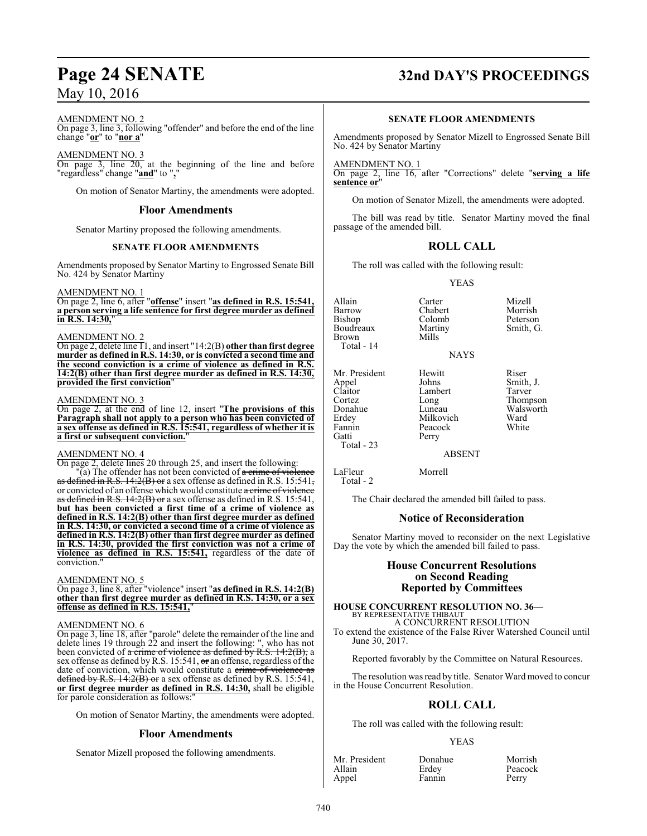# AMENDMENT NO. 2

On page 3, line 3, following "offender" and before the end of the line change "**or**" to "**nor a**"

AMENDMENT NO. 3

On page 3, line 20, at the beginning of the line and before "regardless" change "**and**" to "**,**"

On motion of Senator Martiny, the amendments were adopted.

# **Floor Amendments**

Senator Martiny proposed the following amendments.

# **SENATE FLOOR AMENDMENTS**

Amendments proposed by Senator Martiny to Engrossed Senate Bill No. 424 by Senator Martiny

AMENDMENT NO. 1

On page 2, line 6, after "**offense**" insert "**as defined in R.S. 15:541, a person serving a life sentence for first degree murder as defined in R.S. 14:30,**"

# AMENDMENT NO. 2

On page 2, delete line 11, and insert "14:2(B) **other than first degree murder as defined in R.S. 14:30, or is convicted a second time and the second conviction is a crime of violence as defined in R.S. 14:2(B) other than first degree murder as defined in R.S. 14:30, provided the first conviction**"

# AMENDMENT NO. 3

On page 2, at the end of line 12, insert "**The provisions of this Paragraph shall not apply to a person who has been convicted of a sex offense as defined in R.S. 15:541, regardless of whether it is a first or subsequent conviction.**"

# AMENDMENT NO. 4

On page 2, delete lines 20 through 25, and insert the following: "(a) The offender has not been convicted of a crime of violence as defined in R.S.  $14:2(B)$  or a sex offense as defined in R.S. 15:541, or convicted of an offense which would constitute a crime of violence as defined in R.S. 14:2(B) or a sex offense as defined in R.S. 15:541, **but has been convicted a first time of a crime of violence as defined in R.S. 14:2(B) other than first degree murder as defined in R.S. 14:30, or convicted a second time of a crime of violence as defined in R.S. 14:2(B) other than first degree murder as defined in R.S. 14:30, provided the first conviction was not a crime of violence as defined in R.S. 15:541,** regardless of the date of conviction.

# AMENDMENT NO. 5

On page 3, line 8, after "violence" insert "**as defined in R.S. 14:2(B) other than first degree murder as defined in R.S. 14:30, or a sex offense as defined in R.S. 15:541,**"

# AMENDMENT NO. 6

On page 3, line 18, after "parole" delete the remainder of the line and delete lines 19 through 22 and insert the following: ", who has not been convicted of  $\alpha$  crime of violence as defined by R.S. 14:2(B), a sex offense as defined by R.S. 15:541,  $\sigma$  an offense, regardless of the date of conviction, which would constitute a crime of violence as defined by R.S. 14:2(B) or a sex offense as defined by R.S. 15:541.  $\sqrt{R.S. 14:2(B) \text{ or a sex}}$  of fense as defined by R.S. 15:541, **or first degree murder as defined in R.S. 14:30,** shall be eligible for parole consideration as follows:

On motion of Senator Martiny, the amendments were adopted.

# **Floor Amendments**

Senator Mizell proposed the following amendments.

# **Page 24 SENATE 32nd DAY'S PROCEEDINGS**

# **SENATE FLOOR AMENDMENTS**

Amendments proposed by Senator Mizell to Engrossed Senate Bill No. 424 by Senator Martiny

AMENDMENT NO. 1 On page 2, line 16, after "Corrections" delete "**serving a life sentence** or

On motion of Senator Mizell, the amendments were adopted.

The bill was read by title. Senator Martiny moved the final passage of the amended bill.

# **ROLL CALL**

The roll was called with the following result:

# YEAS

Allain Carter Mizell<br>
Barrow Chabert Morrish Barrow Chabert Morrish<br>Bishop Colomb Peterson Boudreaux Marti<br>Brown Mills Brown Total - 14

Mr. President Hewitt Riser<br>Appel Johns Smith Appel Johns Smith, J.<br>Claitor Lambert Tarver Claitor Lambert<br>Cortez Long Cortez Long Thompson<br>
Donahue Luneau Walsworth Donahue Luneau Walsworth<br>
Erdey Milkovich Ward Erdey Milkovich Ward<br>
Fannin Peacock White Fannin Peacock<br>Gatti Perry Total - 23

Total - 2

Colomb Peterson<br>
Martiny Smith, G.

NAYS

ABSENT

LaFleur Morrell

Perry

The Chair declared the amended bill failed to pass.

# **Notice of Reconsideration**

Senator Martiny moved to reconsider on the next Legislative Day the vote by which the amended bill failed to pass.

# **House Concurrent Resolutions on Second Reading Reported by Committees**

## **HOUSE CONCURRENT RESOLUTION NO. 36—** BY REPRESENTATIVE THIBAUT

A CONCURRENT RESOLUTION

To extend the existence of the False River Watershed Council until June 30, 2017.

Reported favorably by the Committee on Natural Resources.

The resolution was read by title. Senator Ward moved to concur in the House Concurrent Resolution.

# **ROLL CALL**

The roll was called with the following result:

# YEAS

| Mr. President | Donahue | Morrish |
|---------------|---------|---------|
| Allain        | Erdey   | Peacock |
| Appel         | Fannin  | Perry   |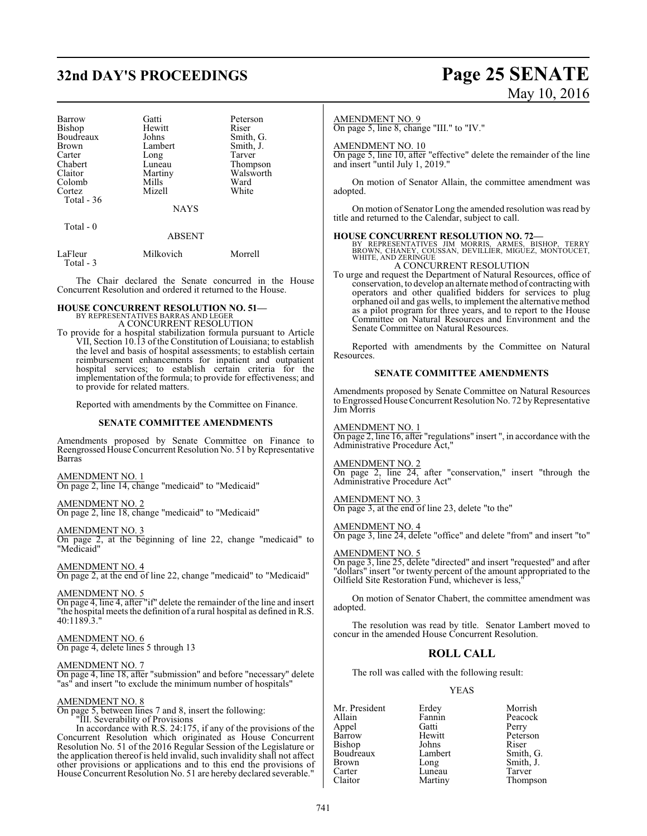# **32nd DAY'S PROCEEDINGS Page 25 SENATE**

| <b>Barrow</b> | Gatti       | Peterson  |
|---------------|-------------|-----------|
| Bishop        | Hewitt      | Riser     |
| Boudreaux     | Johns       | Smith, G. |
| Brown         | Lambert     | Smith, J. |
| Carter        | Long        | Tarver    |
| Chabert       | Luneau      | Thompson  |
| Claitor       | Martiny     | Walsworth |
| Colomb        | Mills       | Ward      |
| Cortez        | Mizell      | White     |
| Total - 36    |             |           |
|               | <b>NAYS</b> |           |
| Total - 0     |             |           |
|               | ABSENT      |           |

| LaFleur   | Milkovich | Morrell |
|-----------|-----------|---------|
| Total - 3 |           |         |

The Chair declared the Senate concurred in the House Concurrent Resolution and ordered it returned to the House.

# **HOUSE CONCURRENT RESOLUTION NO. 51—** BY REPRESENTATIVES BARRAS AND LEGER

A CONCURRENT RESOLUTION

To provide for a hospital stabilization formula pursuant to Article VII, Section 10.13 of the Constitution of Louisiana; to establish the level and basis of hospital assessments; to establish certain reimbursement enhancements for inpatient and outpatient hospital services; to establish certain criteria for the implementation of the formula; to provide for effectiveness; and to provide for related matters.

Reported with amendments by the Committee on Finance.

# **SENATE COMMITTEE AMENDMENTS**

Amendments proposed by Senate Committee on Finance to Reengrossed House Concurrent Resolution No. 51 by Representative Barras

AMENDMENT NO. 1

On page 2, line 14, change "medicaid" to "Medicaid"

# AMENDMENT NO. 2

On page 2, line 18, change "medicaid" to "Medicaid"

# AMENDMENT NO. 3

On page 2, at the beginning of line 22, change "medicaid" to "Medicaid"

# AMENDMENT NO. 4

On page 2, at the end of line 22, change "medicaid" to "Medicaid"

AMENDMENT NO. 5 On page 4, line 4, after "if" delete the remainder of the line and insert "the hospital meets the definition of a rural hospital as defined in R.S. 40:1189.3."

# AMENDMENT NO. 6 On page 4, delete lines 5 through 13

# AMENDMENT NO. 7

On page 4, line 18, after "submission" and before "necessary" delete "as" and insert "to exclude the minimum number of hospitals"

# AMENDMENT NO. 8

On page 5, between lines 7 and 8, insert the following:

"III. Severability of Provisions

In accordance with R.S. 24:175, if any of the provisions of the Concurrent Resolution which originated as House Concurrent Resolution No. 51 of the 2016 Regular Session of the Legislature or the application thereof is held invalid, such invalidity shall not affect other provisions or applications and to this end the provisions of House Concurrent Resolution No. 51 are hereby declared severable."

# May 10, 2016

## AMENDMENT NO. 9

On page 5, line 8, change "III." to "IV."

# AMENDMENT NO. 10

On page 5, line 10, after "effective" delete the remainder of the line and insert "until July 1, 2019."

On motion of Senator Allain, the committee amendment was adopted.

On motion of Senator Long the amended resolution was read by title and returned to the Calendar, subject to call.

**HOUSE CONCURRENT RESOLUTION NO. 72—**<br>BY REPRESENTATIVES JIM MORRIS, ARMES, BISHOP, TERRY<br>BROWN, CHANEY, COUSSAN, DEVILLIER, MIGUEZ, MONTOUCET,<br>WHITE, AND ZERINGUE A CONCURRENT RESOLUTION

To urge and request the Department of Natural Resources, office of conservation, to develop an alternate method of contracting with operators and other qualified bidders for services to plug orphaned oil and gas wells, to implement the alternative method as a pilot program for three years, and to report to the House Committee on Natural Resources and Environment and the Senate Committee on Natural Resources.

Reported with amendments by the Committee on Natural Resources.

# **SENATE COMMITTEE AMENDMENTS**

Amendments proposed by Senate Committee on Natural Resources to Engrossed House Concurrent Resolution No. 72 by Representative Jim Morris

# AMENDMENT NO. 1

On page 2, line 16, after "regulations" insert ", in accordance with the Administrative Procedure Act,"

# AMENDMENT NO. 2

On page 2, line 24, after "conservation," insert "through the Administrative Procedure Act"

# AMENDMENT NO. 3

On page 3, at the end of line 23, delete "to the"

# AMENDMENT NO. 4

On page 3, line 24, delete "office" and delete "from" and insert "to"

# AMENDMENT NO. 5

On page 3, line 25, delete "directed" and insert "requested" and after "dollars" insert "or twenty percent of the amount appropriated to the Oilfield Site Restoration Fund, whichever is less,"

On motion of Senator Chabert, the committee amendment was adopted.

The resolution was read by title. Senator Lambert moved to concur in the amended House Concurrent Resolution.

# **ROLL CALL**

The roll was called with the following result:

# YEAS

Mr. President Erdey Morrish<br>Allain Fannin Peacock Appel Gatti<br>Barrow Hewitt Bishop Johns<br>Boudreaux Lambert Boudreaux Lambert Smith, G.<br>Brown Long Smith, J. Brown Long Smith, J.<br>
Carter Luneau Tarver Carter Luneau<br>Claitor Martiny

Fannin Peacock<br>Gatti Perry Hewitt Peterson<br>Johns Riser Thompson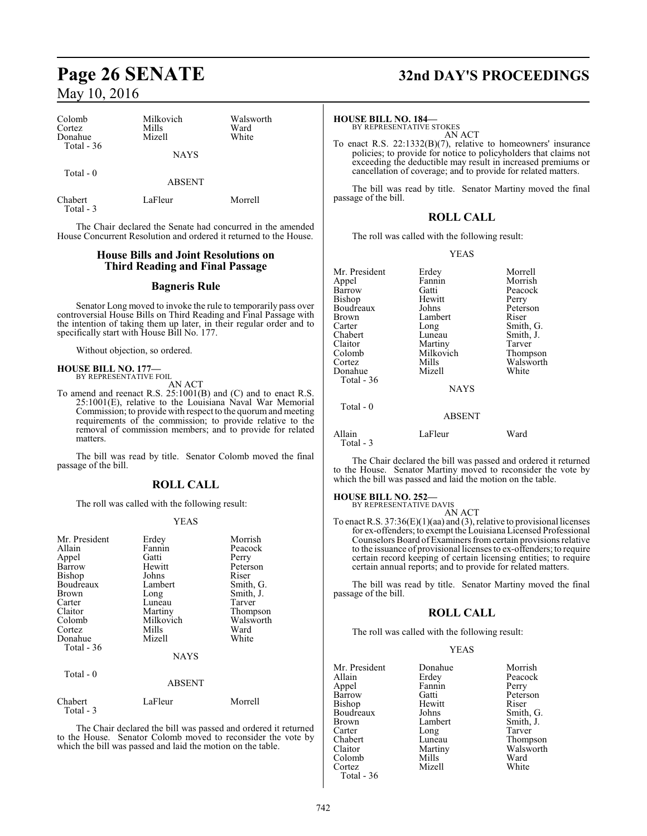| Colomb<br>Cortez<br>Donahue<br>Total - $36$ | Milkovich<br>Mills<br>Mizell | Walsworth<br>Ward<br>White |
|---------------------------------------------|------------------------------|----------------------------|
|                                             | <b>NAYS</b>                  |                            |
| Total $-0$                                  | <b>ABSENT</b>                |                            |
| Chabert<br>Total - 3                        | LaFleur                      | Morrell                    |

The Chair declared the Senate had concurred in the amended House Concurrent Resolution and ordered it returned to the House.

# **House Bills and Joint Resolutions on Third Reading and Final Passage**

# **Bagneris Rule**

Senator Long moved to invoke the rule to temporarily pass over controversial House Bills on Third Reading and Final Passage with the intention of taking them up later, in their regular order and to specifically start with House Bill No. 177.

Without objection, so ordered.

# **HOUSE BILL NO. 177—** BY REPRESENTATIVE FOIL

Total - 3

AN ACT

To amend and reenact R.S. 25:1001(B) and (C) and to enact R.S. 25:1001(E), relative to the Louisiana Naval War Memorial Commission; to provide with respect to the quorumand meeting requirements of the commission; to provide relative to the removal of commission members; and to provide for related matters.

The bill was read by title. Senator Colomb moved the final passage of the bill.

# **ROLL CALL**

The roll was called with the following result:

# YEAS

| Mr. President<br>Allain<br>Appel<br>Barrow<br>Bishop<br>Boudreaux<br>Brown<br>Carter<br>Claitor<br>Colomb<br>Cortez<br>Donahue<br>Total $-36$ | Erdey<br>Fannin<br>Gatti<br>Hewitt<br>Johns<br>Lambert<br>Long<br>Luneau<br>Martiny<br>Milkovich<br>Mills<br>Mizell | Morrish<br>Peacock<br>Perry<br>Peterson<br>Riser<br>Smith, G.<br>Smith, J.<br>Tarver<br>Thompson<br>Walsworth<br>Ward<br>White |
|-----------------------------------------------------------------------------------------------------------------------------------------------|---------------------------------------------------------------------------------------------------------------------|--------------------------------------------------------------------------------------------------------------------------------|
|                                                                                                                                               | <b>NAYS</b>                                                                                                         |                                                                                                                                |
| Total $-0$                                                                                                                                    | <b>ABSENT</b>                                                                                                       |                                                                                                                                |
| Chabert                                                                                                                                       | LaFleur                                                                                                             | Morrell                                                                                                                        |

The Chair declared the bill was passed and ordered it returned to the House. Senator Colomb moved to reconsider the vote by which the bill was passed and laid the motion on the table.

# **Page 26 SENATE 32nd DAY'S PROCEEDINGS**

**HOUSE BILL NO. 184—** BY REPRESENTATIVE STOKES AN ACT

To enact R.S. 22:1332(B)(7), relative to homeowners' insurance policies; to provide for notice to policyholders that claims not exceeding the deductible may result in increased premiums or cancellation of coverage; and to provide for related matters.

The bill was read by title. Senator Martiny moved the final passage of the bill.

# **ROLL CALL**

The roll was called with the following result:

## YEAS

| Mr. President       | Erdey         | Morrell   |
|---------------------|---------------|-----------|
| Appel               | Fannin        | Morrish   |
| Barrow              | Gatti         | Peacock   |
| Bishop              | Hewitt        | Perry     |
| Boudreaux           | Johns         | Peterson  |
| Brown               | Lambert       | Riser     |
| Carter              | Long          | Smith, G. |
| Chabert             | Luneau        | Smith, J. |
| Claitor             | Martiny       | Tarver    |
| Colomb              | Milkovich     | Thompson  |
| Cortez              | Mills         | Walsworth |
| Donahue             | Mizell        | White     |
| Total - 36          |               |           |
|                     | <b>NAYS</b>   |           |
| Total $-0$          |               |           |
|                     | <b>ABSENT</b> |           |
| Allain<br>Total - 3 | LaFleur       | Ward      |

The Chair declared the bill was passed and ordered it returned to the House. Senator Martiny moved to reconsider the vote by which the bill was passed and laid the motion on the table.

# **HOUSE BILL NO. 252—** BY REPRESENTATIVE DAVIS

AN ACT

To enact R.S.  $37:36(E)(1)(aa)$  and (3), relative to provisional licenses for ex-offenders; to exempt the Louisiana Licensed Professional Counselors Board ofExaminers fromcertain provisions relative to the issuance of provisional licenses to ex-offenders; to require certain record keeping of certain licensing entities; to require certain annual reports; and to provide for related matters.

The bill was read by title. Senator Martiny moved the final passage of the bill.

# **ROLL CALL**

The roll was called with the following result:

# YEAS

| Mr. President | Donahue | Morrish   |
|---------------|---------|-----------|
| Allain        | Erdey   | Peacock   |
| Appel         | Fannin  | Perry     |
| Barrow        | Gatti   | Peterson  |
| Bishop        | Hewitt  | Riser     |
| Boudreaux     | Johns   | Smith, G. |
| Brown         | Lambert | Smith, J. |
| Carter        | Long    | Tarver    |
| Chabert       | Luneau  | Thompson  |
| Claitor       | Martiny | Walsworth |
| Colomb        | Mills   | Ward      |
| Cortez        | Mizell  | White     |
| Total - 36    |         |           |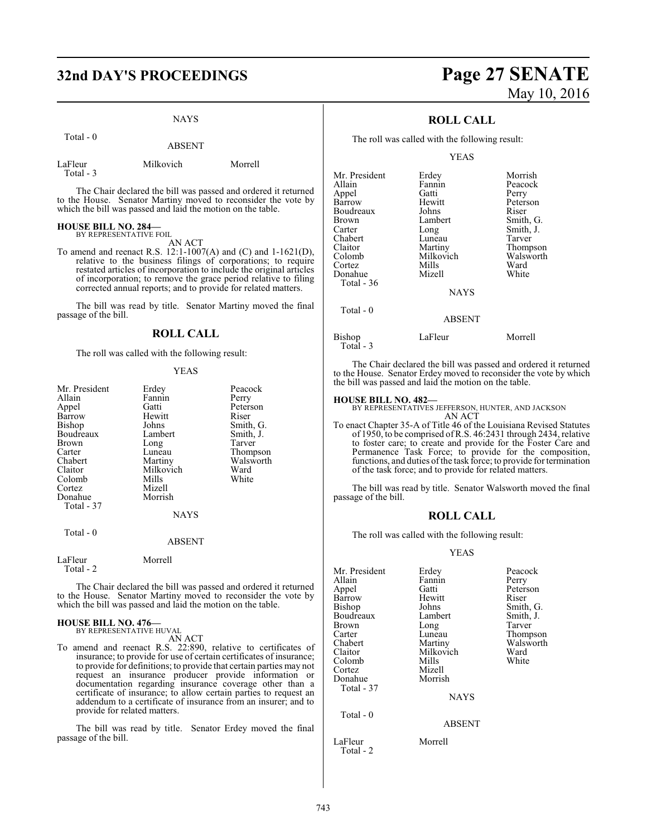# **32nd DAY'S PROCEEDINGS Page 27 SENATE**

# NAYS

Total - 0

ABSENT

| LaFleur   | Milkovich | Morrell |
|-----------|-----------|---------|
| Total - 3 |           |         |

The Chair declared the bill was passed and ordered it returned to the House. Senator Martiny moved to reconsider the vote by which the bill was passed and laid the motion on the table.

# **HOUSE BILL NO. 284—** BY REPRESENTATIVE FOIL

AN ACT

To amend and reenact R.S. 12:1-1007(A) and (C) and 1-1621(D), relative to the business filings of corporations; to require restated articles of incorporation to include the original articles of incorporation; to remove the grace period relative to filing corrected annual reports; and to provide for related matters.

The bill was read by title. Senator Martiny moved the final passage of the bill.

# **ROLL CALL**

The roll was called with the following result:

# YEAS

| Mr. President        | Erdey         | Peacock   |
|----------------------|---------------|-----------|
| Allain               | Fannin        | Perry     |
| Appel                | Gatti         | Peterson  |
| Barrow               | Hewitt        | Riser     |
| Bishop               | Johns         | Smith, G. |
| Boudreaux            | Lambert       | Smith, J. |
| Brown                | Long          | Tarver    |
| Carter               | Luneau        | Thompson  |
| Chabert              | Martiny       | Walsworth |
| Claitor              | Milkovich     | Ward      |
| Colomb               | Mills         | White     |
| Cortez               | Mizell        |           |
| Donahue              | Morrish       |           |
| Total - 37           |               |           |
|                      | <b>NAYS</b>   |           |
| Total - 0            |               |           |
|                      | <b>ABSENT</b> |           |
| LaFleur<br>Total - 2 | Morrell       |           |
|                      |               |           |

The Chair declared the bill was passed and ordered it returned to the House. Senator Martiny moved to reconsider the vote by which the bill was passed and laid the motion on the table.

## **HOUSE BILL NO. 476—** BY REPRESENTATIVE HUVAL

AN ACT

To amend and reenact R.S. 22:890, relative to certificates of insurance; to provide for use of certain certificates of insurance; to provide for definitions; to provide that certain parties may not request an insurance producer provide information or documentation regarding insurance coverage other than a certificate of insurance; to allow certain parties to request an addendum to a certificate of insurance from an insurer; and to provide for related matters.

The bill was read by title. Senator Erdey moved the final passage of the bill.

# May 10, 2016

# **ROLL CALL**

The roll was called with the following result:

YEAS

| Mr. President | Erdey       | Morrish   |
|---------------|-------------|-----------|
| Allain        | Fannin      | Peacock   |
| Appel         | Gatti       | Perry     |
| Barrow        | Hewitt      | Peterson  |
| Boudreaux     | Johns       | Riser     |
| Brown         | Lambert     | Smith, G. |
| Carter        | Long        | Smith, J. |
| Chabert       | Luneau      | Tarver    |
| Claitor       | Martiny     | Thompson  |
| Colomb        | Milkovich   | Walsworth |
| Cortez        | Mills       | Ward      |
| Donahue       | Mizell      | White     |
| Total - 36    |             |           |
|               | <b>NAYS</b> |           |
| Total $-0$    |             |           |
|               | ABSENT      |           |
| Bishop        | LaFleur     | Morrell   |

Total - 3

The Chair declared the bill was passed and ordered it returned to the House. Senator Erdey moved to reconsider the vote by which the bill was passed and laid the motion on the table.

# **HOUSE BILL NO. 482—**

BY REPRESENTATIVES JEFFERSON, HUNTER, AND JACKSON AN ACT

To enact Chapter 35-A of Title 46 of the Louisiana Revised Statutes of 1950, to be comprised ofR.S. 46:2431 through 2434, relative to foster care; to create and provide for the Foster Care and Permanence Task Force; to provide for the composition, functions, and duties ofthe task force; to provide for termination of the task force; and to provide for related matters.

The bill was read by title. Senator Walsworth moved the final passage of the bill.

# **ROLL CALL**

The roll was called with the following result:

# YEAS

| Mr. President<br>Allain<br>Appel<br>Barrow<br>Bishop<br>Boudreaux<br>Brown<br>Carter<br>Chabert<br>Claitor | Erdey<br>Fannin<br>Gatti<br>Hewitt<br>Johns<br>Lambert<br>Long<br>Luneau<br>Martiny<br>Milkovich | Peacock<br>Perry<br>Peterson<br>Riser<br>Smith, G.<br>Smith, J.<br>Tarver<br>Thompson<br>Walsworth<br>Ward |
|------------------------------------------------------------------------------------------------------------|--------------------------------------------------------------------------------------------------|------------------------------------------------------------------------------------------------------------|
| Colomb<br>Cortez                                                                                           | Mills<br>Mizell                                                                                  | White                                                                                                      |
| Donahue<br>Total - 37                                                                                      | Morrish<br><b>NAYS</b>                                                                           |                                                                                                            |
| Total $-0$                                                                                                 | <b>ABSENT</b>                                                                                    |                                                                                                            |
| LaFleur                                                                                                    | Morrell                                                                                          |                                                                                                            |

Total - 2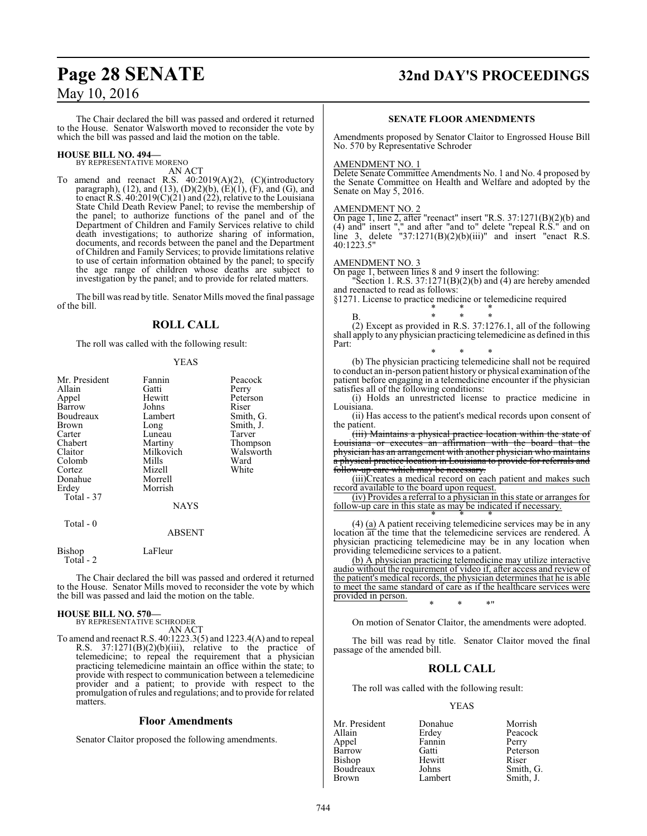# **Page 28 SENATE 32nd DAY'S PROCEEDINGS**

The Chair declared the bill was passed and ordered it returned to the House. Senator Walsworth moved to reconsider the vote by which the bill was passed and laid the motion on the table.

# **HOUSE BILL NO. 494—** BY REPRESENTATIVE MORENO

AN ACT

To amend and reenact R.S. 40:2019(A)(2), (C)(introductory paragraph),  $(12)$ , and  $(13)$ ,  $(D)(2)(b)$ ,  $(E)(1)$ ,  $(F)$ , and  $(G)$ , and to enact R.S. 40:2019(C)(21) and (22), relative to the Louisiana State Child Death Review Panel; to revise the membership of the panel; to authorize functions of the panel and of the Department of Children and Family Services relative to child death investigations; to authorize sharing of information, documents, and records between the panel and the Department of Children and Family Services; to provide limitations relative to use of certain information obtained by the panel; to specify the age range of children whose deaths are subject to investigation by the panel; and to provide for related matters.

The bill was read by title. Senator Mills moved the final passage of the bill.

# **ROLL CALL**

The roll was called with the following result:

# YEAS

| Mr. President       | Fannin        | Peacock   |
|---------------------|---------------|-----------|
| Allain              | Gatti         | Perry     |
| Appel               | Hewitt        | Peterson  |
| Barrow              | Johns         | Riser     |
| Boudreaux           | Lambert       | Smith, G. |
| Brown               | Long          | Smith, J. |
| Carter              | Luneau        | Tarver    |
| Chabert             | Martiny       | Thompson  |
| Claitor             | Milkovich     | Walsworth |
| Colomb              | Mills         | Ward      |
| Cortez              | Mizell        | White     |
| Donahue             | Morrell       |           |
| Erdey               | Morrish       |           |
| Total - 37          |               |           |
|                     | <b>NAYS</b>   |           |
| Total - 0           |               |           |
|                     | <b>ABSENT</b> |           |
| Bishop<br>Total - 2 | LaFleur       |           |

The Chair declared the bill was passed and ordered it returned to the House. Senator Mills moved to reconsider the vote by which the bill was passed and laid the motion on the table.

# **HOUSE BILL NO. 570—**

BY REPRESENTATIVE SCHRODER AN ACT

To amend and reenact R.S. 40:1223.3(5) and 1223.4(A) and to repeal R.S. 37:1271(B)(2)(b)(iii), relative to the practice of telemedicine; to repeal the requirement that a physician practicing telemedicine maintain an office within the state; to provide with respect to communication between a telemedicine provider and a patient; to provide with respect to the promulgation ofrules and regulations; and to provide for related matters.

# **Floor Amendments**

Senator Claitor proposed the following amendments.

# **SENATE FLOOR AMENDMENTS**

Amendments proposed by Senator Claitor to Engrossed House Bill No. 570 by Representative Schroder

# AMENDMENT NO. 1

Delete Senate Committee Amendments No. 1 and No. 4 proposed by the Senate Committee on Health and Welfare and adopted by the Senate on May 5, 2016.

# AMENDMENT NO. 2

On page 1, line 2, after "reenact" insert "R.S. 37:1271(B)(2)(b) and (4) and" insert "," and after "and to" delete "repeal R.S." and on line 3, delete  $"37:1271(B)(2)(b)(iii)"$  and insert "enact R.S. 40:1223.5"

# AMENDMENT NO. 3

On page 1, between lines 8 and 9 insert the following:

Section 1. R.S.  $37:1271(B)(2)(b)$  and (4) are hereby amended and reenacted to read as follows:

§1271. License to practice medicine or telemedicine required \* \* \*

B. \* \* \* (2) Except as provided in R.S. 37:1276.1, all of the following shall apply to any physician practicing telemedicine as defined in this Part:

\* \* \* (b) The physician practicing telemedicine shall not be required to conduct an in-person patient history or physical examination ofthe patient before engaging in a telemedicine encounter if the physician satisfies all of the following conditions:

(i) Holds an unrestricted license to practice medicine in Louisiana.

(ii) Has access to the patient's medical records upon consent of the patient.

(iii) Maintains a physical practice location within the state of Louisiana or executes an affirmation with the board that the physician has an arrangement with another physician who maintains a physical practice location in Louisiana to provide for referrals and follow-up care which may be necessary.

(iii)Creates a medical record on each patient and makes such record available to the board upon request.

(iv) Provides a referral to a physician in this state or arranges for follow-up care in this state as may be indicated if necessary. \* \* \*

 $(4)$   $(a)$  A patient receiving telemedicine services may be in any location at the time that the telemedicine services are rendered. A physician practicing telemedicine may be in any location when providing telemedicine services to a patient.

(b) A physician practicing telemedicine may utilize interactive audio without the requirement of video if, after access and review of the patient's medical records, the physician determines that he is able to meet the same standard of care as if the healthcare services were provided in person. \* \* \*"

On motion of Senator Claitor, the amendments were adopted.

The bill was read by title. Senator Claitor moved the final passage of the amended bill.

# **ROLL CALL**

The roll was called with the following result:

## YEAS

| Donahue | Morrish   |
|---------|-----------|
| Erdey   | Peacock   |
| Fannin  | Perry     |
| Gatti   | Peterson  |
| Hewitt  | Riser     |
| Johns   | Smith, G. |
| Lambert | Smith, J. |
|         |           |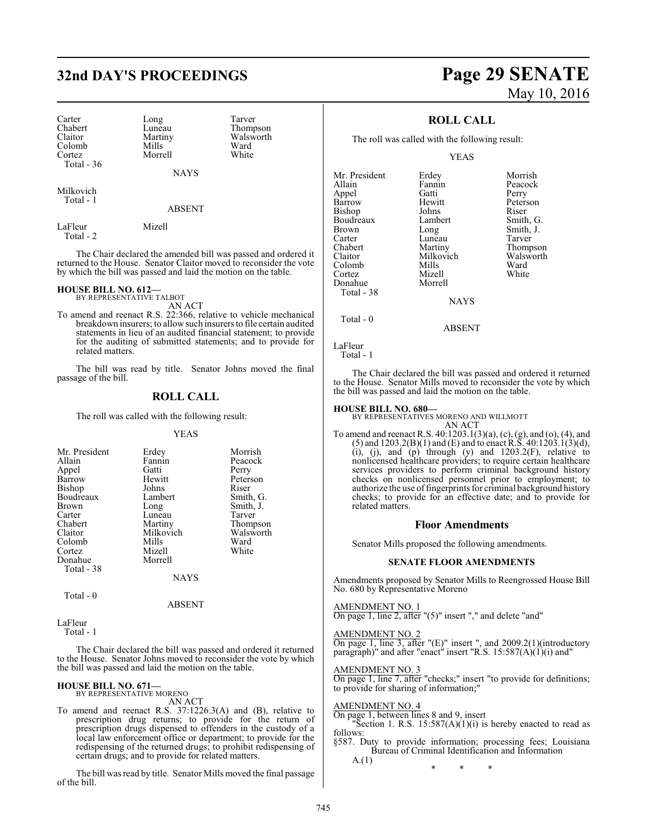# **32nd DAY'S PROCEEDINGS Page 29 SENATE**

Carter Long Tarver<br>
Chabert Luneau Thomp Chabert Luneau Thompson<br>Claitor Martiny Walsworth Colomb Mills Ward<br>Cortez Morrell White Total - 36

Martiny Walsworth<br>
Mills Ward Morrell

NAYS

ABSENT

Milkovich Total - 1

LaFleur Mizell

Total - 2

The Chair declared the amended bill was passed and ordered it returned to the House. Senator Claitor moved to reconsider the vote by which the bill was passed and laid the motion on the table.

# **HOUSE BILL NO. 612—**

BY REPRESENTATIVE TALBOT AN ACT

To amend and reenact R.S. 22:366, relative to vehicle mechanical breakdown insurers; to allow such insurers to file certain audited statements in lieu of an audited financial statement; to provide for the auditing of submitted statements; and to provide for related matters.

The bill was read by title. Senator Johns moved the final passage of the bill.

# **ROLL CALL**

The roll was called with the following result:

## YEAS

| Mr. President<br>Allain<br>Appel<br>Barrow<br><b>Bishop</b><br>Boudreaux<br><b>Brown</b><br>Carter<br>Chabert<br>Claitor<br>Colomb<br>Cortez | Erdey<br>Fannin<br>Gatti<br>Hewitt<br>Johns<br>Lambert<br>Long<br>Luneau<br>Martiny<br>Milkovich<br>Mills<br>Mizell | Morrish<br>Peacock<br>Perry<br>Peterson<br>Riser<br>Smith, G.<br>Smith, J.<br>Tarver<br>Thompson<br>Walsworth<br>Ward<br>White |
|----------------------------------------------------------------------------------------------------------------------------------------------|---------------------------------------------------------------------------------------------------------------------|--------------------------------------------------------------------------------------------------------------------------------|
| Donahue                                                                                                                                      | Morrell                                                                                                             |                                                                                                                                |
| Total - 38                                                                                                                                   | NAYS                                                                                                                |                                                                                                                                |

Total - 0

LaFleur

Total - 1

The Chair declared the bill was passed and ordered it returned to the House. Senator Johns moved to reconsider the vote by which the bill was passed and laid the motion on the table.

ABSENT

### **HOUSE BILL NO. 671—** BY REPRESENTATIVE MORENO

AN ACT

To amend and reenact R.S. 37:1226.3(A) and (B), relative to prescription drug returns; to provide for the return of prescription drugs dispensed to offenders in the custody of a local law enforcement office or department; to provide for the redispensing of the returned drugs; to prohibit redispensing of certain drugs; and to provide for related matters.

The bill was read by title. Senator Mills moved the final passage of the bill.

# May 10, 2016

# **ROLL CALL**

The roll was called with the following result:

YEAS

| Mr. President | Erdey       | Morrish   |
|---------------|-------------|-----------|
| Allain        | Fannin      | Peacock   |
| Appel         | Gatti       | Perry     |
| Barrow        | Hewitt      | Peterson  |
| <b>Bishop</b> | Johns       | Riser     |
| Boudreaux     | Lambert     | Smith, G. |
| <b>Brown</b>  | Long        | Smith, J. |
| Carter        | Luneau      | Tarver    |
| Chabert       | Martiny     | Thompson  |
| Claitor       | Milkovich   | Walsworth |
| Colomb        | Mills       | Ward      |
| Cortez        | Mizell      | White     |
| Donahue       | Morrell     |           |
| Total - 38    |             |           |
|               | <b>NAYS</b> |           |

Total - 0

LaFleur Total - 1

The Chair declared the bill was passed and ordered it returned to the House. Senator Mills moved to reconsider the vote by which the bill was passed and laid the motion on the table.

ABSENT

**HOUSE BILL NO. 680—** BY REPRESENTATIVES MORENO AND WILLMOTT

AN ACT To amend and reenact R.S. 40:1203.1(3)(a), (c), (g), and (o), (4), and  $(5)$  and  $1203.2(B)(1)$  and  $(E)$  and to enact R.S.  $40:1203.1(3)(d)$ ,  $(i)$ ,  $(j)$ , and  $(p)$  through  $(y)$  and  $1203.2(F)$ , relative to nonlicensed healthcare providers; to require certain healthcare services providers to perform criminal background history checks on nonlicensed personnel prior to employment; to authorize the use offingerprints for criminal background history checks; to provide for an effective date; and to provide for related matters.

# **Floor Amendments**

Senator Mills proposed the following amendments.

# **SENATE FLOOR AMENDMENTS**

Amendments proposed by Senator Mills to Reengrossed House Bill No. 680 by Representative Moreno

AMENDMENT NO. 1 On page 1, line 2, after "(5)" insert "," and delete "and"

AMENDMENT NO. 2 On page 1, line 3, after "(E)" insert ", and 2009.2(1)(introductory paragraph)" and after "enact" insert "R.S. 15:587(A)(1)(1) and"

AMENDMENT NO. 3

On page 1, line 7, after "checks;" insert "to provide for definitions; to provide for sharing of information;"

# AMENDMENT NO. 4

On page 1, between lines 8 and 9, insert "Section 1. R.S.  $15:587(A)(1)(i)$  is hereby enacted to read as follows:

§587. Duty to provide information; processing fees; Louisiana Bureau of Criminal Identification and Information  $A(1)$ 

\* \* \*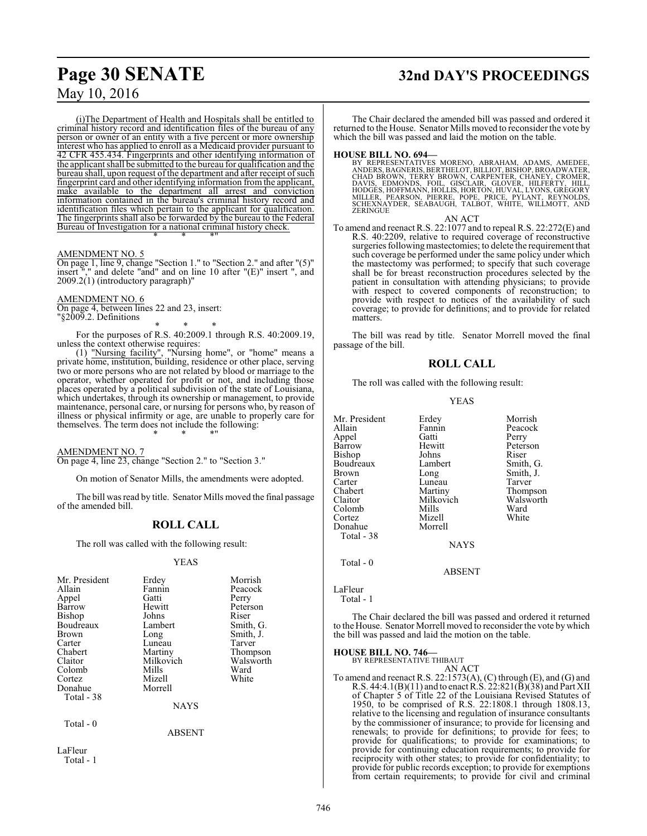(i)The Department of Health and Hospitals shall be entitled to criminal history record and identification files of the bureau of any person or owner of an entity with a five percent or more ownership interest who has applied to enroll as a Medicaid provider pursuant to 42 CFR 455.434. Fingerprints and other identifying information of the applicant shall be submitted to the bureau for qualification and the bureau shall, upon request of the department and after receipt of such fingerprint card and other identifying information fromthe applicant, make available to the department all arrest and conviction information contained in the bureau's criminal history record and identification files which pertain to the applicant for qualification. The fingerprints shall also be forwarded by the bureau to the Federal Bureau of Investigation for a national criminal history check.

## AMENDMENT NO. 5

On page 1, line 9, change "Section 1." to "Section 2." and after "(5)" insert "," and delete "and" and on line 10 after "(E)" insert ", and 2009.2(1) (introductory paragraph)"

\* \* \*"

## AMENDMENT NO. 6

On page 4, between lines 22 and 23, insert: "§2009.2. Definitions

\* \* \* For the purposes of R.S. 40:2009.1 through R.S. 40:2009.19,

unless the context otherwise requires: (1) "Nursing facility", "Nursing home", or "home" means a private home, institution, building, residence or other place, serving two or more persons who are not related by blood or marriage to the operator, whether operated for profit or not, and including those places operated by a political subdivision of the state of Louisiana, which undertakes, through its ownership or management, to provide maintenance, personal care, or nursing for persons who, by reason of illness or physical infirmity or age, are unable to properly care for themselves. The term does not include the following: \* \* \*"

AMENDMENT NO. 7

On page 4, line 23, change "Section 2." to "Section 3."

On motion of Senator Mills, the amendments were adopted.

The bill was read by title. Senator Mills moved the final passage of the amended bill.

# **ROLL CALL**

The roll was called with the following result:

## YEAS

| Mr. President<br>Allain<br>Appel<br>Barrow<br><b>Bishop</b><br>Boudreaux<br><b>Brown</b><br>Carter<br>Chabert<br>Claitor<br>Colomb<br>Cortez<br>Donahue<br>Total - 38 | Erdey<br>Fannin<br>Gatti<br>Hewitt<br>Johns<br>Lambert<br>Long<br>Luneau<br>Martiny<br>Milkovich<br>Mills<br>Mizell<br>Morrell | Morrish<br>Peacock<br>Perry<br>Peterson<br>Riser<br>Smith, G.<br>Smith, J.<br>Tarver<br>Thompson<br>Walsworth<br>Ward<br>White |
|-----------------------------------------------------------------------------------------------------------------------------------------------------------------------|--------------------------------------------------------------------------------------------------------------------------------|--------------------------------------------------------------------------------------------------------------------------------|
|                                                                                                                                                                       | <b>NAYS</b>                                                                                                                    |                                                                                                                                |
| Total - 0<br>LaFleur                                                                                                                                                  | <b>ABSENT</b>                                                                                                                  |                                                                                                                                |

Total - 1

# **Page 30 SENATE 32nd DAY'S PROCEEDINGS**

The Chair declared the amended bill was passed and ordered it returned to the House. Senator Mills moved to reconsider the vote by which the bill was passed and laid the motion on the table.

## **HOUSE BILL NO. 694—**

BY REPRESENTATIVES MORENO, ABRAHAM, ADAMS, AMEDEE,<br>ANDERS, BAGNERIS, BERTHELOT, BILLIOT, BISHOP, BROADWATER,<br>CHAD BROWN, TERRY BROWN, CARPENTER, CHANEY, CROMER, DAVIS, EDMONDS, FOIL, GISCLAIR, GLOVER, HILFERTY, HILL,<br>HODGES,HOFFMANN,HOLLIS,HORTON,HUVAL,LYONS,GREGORY<br>MILLER, PEARSON, PIERRE, POPE, PRICE, PYLANT, REYNOLDS,<br>SCHEXNAYDER, SEABAUGH, TALBOT, WHITE, WILLMOTT, AND<br>ZERINGUE

AN ACT

To amend and reenact R.S. 22:1077 and to repeal R.S. 22:272(E) and R.S. 40:2209, relative to required coverage of reconstructive surgeries following mastectomies; to delete the requirement that such coverage be performed under the same policy under which the mastectomy was performed; to specify that such coverage shall be for breast reconstruction procedures selected by the patient in consultation with attending physicians; to provide with respect to covered components of reconstruction; to provide with respect to notices of the availability of such coverage; to provide for definitions; and to provide for related matters.

The bill was read by title. Senator Morrell moved the final passage of the bill.

# **ROLL CALL**

The roll was called with the following result:

YEAS

| Mr. President | Erdey       | Morrish   |
|---------------|-------------|-----------|
|               |             |           |
| Allain        | Fannin      | Peacock   |
| Appel         | Gatti       | Perry     |
| Barrow        | Hewitt      | Peterson  |
| Bishop        | Johns       | Riser     |
| Boudreaux     | Lambert     | Smith, G. |
| <b>Brown</b>  | Long        | Smith, J. |
| Carter        | Luneau      | Tarver    |
| Chabert       | Martiny     | Thompson  |
| Claitor       | Milkovich   | Walsworth |
| Colomb        | Mills       | Ward      |
| Cortez        | Mizell      | White     |
| Donahue       | Morrell     |           |
| Total - 38    |             |           |
|               | <b>NAYS</b> |           |
| Total $-0$    |             |           |
|               | ABSENT      |           |

The Chair declared the bill was passed and ordered it returned to the House. Senator Morrell moved to reconsider the vote by which the bill was passed and laid the motion on the table.

LaFleur Total - 1

**HOUSE BILL NO. 746—** BY REPRESENTATIVE THIBAUT AN ACT

To amend and reenact R.S. 22:1573(A), (C) through (E), and (G) and R.S. 44:4.1(B)(11) and to enact R.S. 22:821(B)(38) and Part XII of Chapter 5 of Title 22 of the Louisiana Revised Statutes of 1950, to be comprised of R.S. 22:1808.1 through 1808.13, relative to the licensing and regulation of insurance consultants by the commissioner of insurance; to provide for licensing and renewals; to provide for definitions; to provide for fees; to provide for qualifications; to provide for examinations; to provide for continuing education requirements; to provide for reciprocity with other states; to provide for confidentiality; to provide for public records exception; to provide for exemptions from certain requirements; to provide for civil and criminal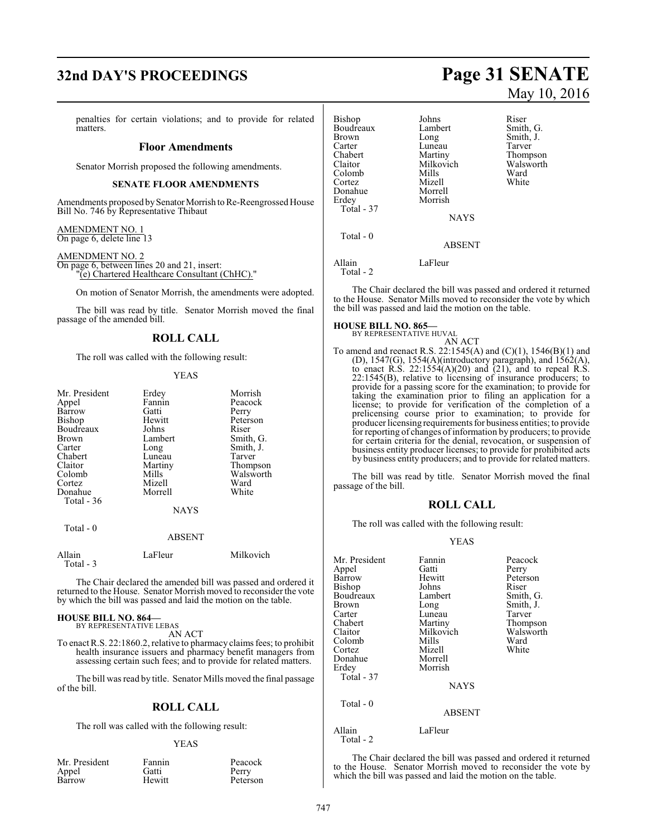# **32nd DAY'S PROCEEDINGS Page 31 SENATE**

penalties for certain violations; and to provide for related matters.

# **Floor Amendments**

Senator Morrish proposed the following amendments.

# **SENATE FLOOR AMENDMENTS**

Amendments proposed by Senator Morrish to Re-Reengrossed House Bill No. 746 by Representative Thibaut

AMENDMENT NO. 1 On page 6, delete line 13

AMENDMENT NO. 2 On page 6, between lines 20 and 21, insert: "(e) Chartered Healthcare Consultant (ChHC)."

On motion of Senator Morrish, the amendments were adopted.

The bill was read by title. Senator Morrish moved the final passage of the amended bill.

# **ROLL CALL**

The roll was called with the following result:

## YEAS

| Mr. President<br>Appel<br>Barrow | Erdey<br>Fannin<br>Gatti | Morrish<br>Peacock<br>Perry |
|----------------------------------|--------------------------|-----------------------------|
| Bishop                           | Hewitt                   | Peterson                    |
| Boudreaux                        | Johns                    | Riser                       |
| <b>Brown</b>                     | Lambert                  | Smith, G.                   |
| Carter                           | Long                     | Smith, J.                   |
| Chabert                          | Luneau                   | Tarver                      |
| Claitor                          | Martiny                  | Thompson                    |
| Colomb                           | Mills                    | Walsworth                   |
| Cortez                           | Mizell                   | Ward                        |
| Donahue                          | Morrell                  | White                       |
| Total - 36                       |                          |                             |
|                                  | <b>NAYS</b>              |                             |

Total - 0

# ABSENT

Allain LaFleur Milkovich Total - 3

The Chair declared the amended bill was passed and ordered it returned to the House. Senator Morrish moved to reconsider the vote by which the bill was passed and laid the motion on the table.

# **HOUSE BILL NO. 864—** BY REPRESENTATIVE LEBAS

AN ACT

To enact R.S. 22:1860.2, relative to pharmacy claims fees; to prohibit health insurance issuers and pharmacy benefit managers from assessing certain such fees; and to provide for related matters.

The bill was read by title. Senator Mills moved the final passage of the bill.

# **ROLL CALL**

The roll was called with the following result:

## YEAS

| Mr. President | Fannin | Peaco |
|---------------|--------|-------|
| Appel         | Gatti  | Perry |
| Barrow        | Hewitt | Peter |

Fannin Peacock<br>Gatti Perry Hewitt Peterson

| <b>Bishop</b><br>Boudreaux<br><b>Brown</b><br>Carter<br>Chabert<br>Claitor<br>Colomb<br>Cortez<br>Donahue<br>Erdey<br>Total - 37 | Johns<br>Lambert<br>Long<br>Luneau<br>Martiny<br>Milkovich<br>Mills<br>Mizell<br>Morrell<br>Morrish<br><b>NAYS</b> | Riser<br>Smith<br>Smith<br>Tarver<br>Thom<br>Walsy<br>Ward<br>White |
|----------------------------------------------------------------------------------------------------------------------------------|--------------------------------------------------------------------------------------------------------------------|---------------------------------------------------------------------|
| Total - 0                                                                                                                        | <b>ABSENT</b>                                                                                                      |                                                                     |
| Allain<br>Total - 2                                                                                                              | LaFleur                                                                                                            |                                                                     |

The Chair declared the bill was passed and ordered it returned to the House. Senator Mills moved to reconsider the vote by which the bill was passed and laid the motion on the table.

# **HOUSE BILL NO. 865—**

BY REPRESENTATIVE HUVAL

AN ACT To amend and reenact R.S. 22:1545(A) and (C)(1), 1546(B)(1) and (D), 1547(G), 1554(A)(introductory paragraph), and 1562(A), to enact  $R.S. 22:1554(A)(20)$  and  $(21)$ , and to repeal  $R.S.$ 22:1545(B), relative to licensing of insurance producers; to provide for a passing score for the examination; to provide for taking the examination prior to filing an application for a license; to provide for verification of the completion of a prelicensing course prior to examination; to provide for producer licensing requirements for business entities; to provide for reporting of changes of information by producers; to provide for certain criteria for the denial, revocation, or suspension of business entity producer licenses; to provide for prohibited acts by business entity producers; and to provide for related matters.

The bill was read by title. Senator Morrish moved the final passage of the bill.

# **ROLL CALL**

The roll was called with the following result:

# YEAS

| Mr. President       | Fannin        | Peacock   |
|---------------------|---------------|-----------|
| Appel               | Gatti         | Perry     |
| Barrow              | Hewitt        | Peterson  |
| Bishop              | Johns         | Riser     |
| Boudreaux           | Lambert       | Smith, G. |
| Brown               | Long          | Smith, J. |
| Carter              | Luneau        | Tarver    |
| Chabert             | Martiny       | Thompson  |
| Claitor             | Milkovich     | Walsworth |
| Colomb              | Mills         | Ward      |
| Cortez              | Mizell        | White     |
| Donahue             | Morrell       |           |
| Erdey               | Morrish       |           |
| Total - 37          |               |           |
|                     | <b>NAYS</b>   |           |
| Total - 0           |               |           |
|                     | <b>ABSENT</b> |           |
| Allain<br>Total - 2 | LaFleur       |           |

The Chair declared the bill was passed and ordered it returned to the House. Senator Morrish moved to reconsider the vote by which the bill was passed and laid the motion on the table.

# May 10, 2016

Smith, G. Smith, J. Tarver Thompson Walsworth<br>Ward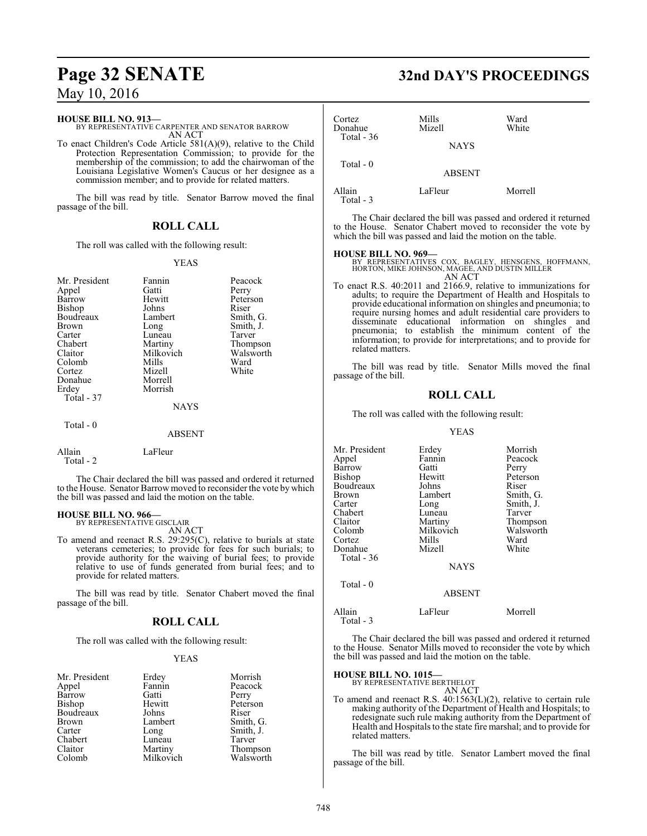# **HOUSE BILL NO. 913—**

BY REPRESENTATIVE CARPENTER AND SENATOR BARROW AN ACT

To enact Children's Code Article 581(A)(9), relative to the Child Protection Representation Commission; to provide for the membership of the commission; to add the chairwoman of the Louisiana Legislative Women's Caucus or her designee as a commission member; and to provide for related matters.

The bill was read by title. Senator Barrow moved the final passage of the bill.

# **ROLL CALL**

The roll was called with the following result:

# YEAS

| Morrish<br>Erdey<br>Total - 37<br>NAYS<br>Total $-0$<br><b>ABSENT</b> | Mr. President<br>Appel<br>Barrow<br>Bishop<br>Boudreaux<br>Brown<br>Carter<br>Chabert<br>Claitor<br>Colomb<br>Cortez<br>Donahue | Fannin<br>Gatti<br>Hewitt<br>Johns<br>Lambert<br>Long<br>Luneau<br>Martiny<br>Milkovich<br>Mills<br>Mizell<br>Morrell | Peacock<br>Perry<br>Peterson<br>Riser<br>Smith, G.<br>Smith, J.<br>Tarver<br>Thompson<br>Walsworth<br>Ward<br>White |
|-----------------------------------------------------------------------|---------------------------------------------------------------------------------------------------------------------------------|-----------------------------------------------------------------------------------------------------------------------|---------------------------------------------------------------------------------------------------------------------|
|                                                                       |                                                                                                                                 |                                                                                                                       |                                                                                                                     |
|                                                                       | $\cdot$ $\cdot$ $\cdot$                                                                                                         | __                                                                                                                    |                                                                                                                     |

| Allain    | LaFleur |
|-----------|---------|
| Total - 2 |         |

The Chair declared the bill was passed and ordered it returned to the House. Senator Barrow moved to reconsider the vote by which the bill was passed and laid the motion on the table.

# **HOUSE BILL NO. 966—**

BY REPRESENTATIVE GISCLAIR AN ACT

To amend and reenact R.S. 29:295(C), relative to burials at state veterans cemeteries; to provide for fees for such burials; to provide authority for the waiving of burial fees; to provide relative to use of funds generated from burial fees; and to provide for related matters.

The bill was read by title. Senator Chabert moved the final passage of the bill.

# **ROLL CALL**

The roll was called with the following result:

# YEAS

| Mr. President | Erdey     | Morrish               |
|---------------|-----------|-----------------------|
| Appel         | Fannin    | Peacock               |
| Barrow        | Gatti     | Perry                 |
| Bishop        | Hewitt    | Peterson              |
| Boudreaux     | Johns     | Riser                 |
| <b>Brown</b>  | Lambert   | Smith, G.             |
| Carter        | Long      | Smith, J.             |
| Chabert       | Luneau    | Tarver                |
| Claitor       | Martiny   | Thompson<br>Walsworth |
| Colomb        | Milkovich |                       |

# **Page 32 SENATE 32nd DAY'S PROCEEDINGS**

| Cortez<br>Donahue   | Mills<br>Mizell | Ward<br>White |
|---------------------|-----------------|---------------|
| Total $-36$         | <b>NAYS</b>     |               |
| Total $-0$          | <b>ABSENT</b>   |               |
| Allain<br>Total - 3 | LaFleur         | Morrell       |

The Chair declared the bill was passed and ordered it returned to the House. Senator Chabert moved to reconsider the vote by which the bill was passed and laid the motion on the table.

# **HOUSE BILL NO. 969—**

BY REPRESENTATIVES COX, BAGLEY, HENSGENS, HOFFMANN, HORTON, MIKE JOHNSON, MAGEE, AND DUSTIN MILLER AN ACT

To enact R.S. 40:2011 and 2166.9, relative to immunizations for adults; to require the Department of Health and Hospitals to provide educational information on shingles and pneumonia; to require nursing homes and adult residential care providers to disseminate educational information on shingles and pneumonia; to establish the minimum content of the information; to provide for interpretations; and to provide for related matters.

The bill was read by title. Senator Mills moved the final passage of the bill.

# **ROLL CALL**

The roll was called with the following result:

# YEAS

| Mr. President | Erdey         | Morrish   |
|---------------|---------------|-----------|
| Appel         | Fannin        | Peacock   |
| Barrow        | Gatti         | Perry     |
| Bishop        | Hewitt        | Peterson  |
| Boudreaux     | Johns         | Riser     |
| Brown         | Lambert       | Smith, G. |
| Carter        | Long          | Smith, J. |
| Chabert       | Luneau        | Tarver    |
| Claitor       | Martiny       | Thompson  |
| Colomb        | Milkovich     | Walsworth |
| Cortez        | Mills         | Ward      |
| Donahue       | Mizell        | White     |
| Total $-36$   |               |           |
|               | <b>NAYS</b>   |           |
| Total $-0$    |               |           |
|               | <b>ABSENT</b> |           |
|               |               |           |

Allain LaFleur Morrell Total - 3

The Chair declared the bill was passed and ordered it returned to the House. Senator Mills moved to reconsider the vote by which

# **HOUSE BILL NO. 1015—**

BY REPRESENTATIVE BERTHELOT AN ACT

the bill was passed and laid the motion on the table.

To amend and reenact R.S. 40:1563(L)(2), relative to certain rule making authority of the Department of Health and Hospitals; to redesignate such rule making authority from the Department of Health and Hospitals to the state fire marshal; and to provide for related matters.

The bill was read by title. Senator Lambert moved the final passage of the bill.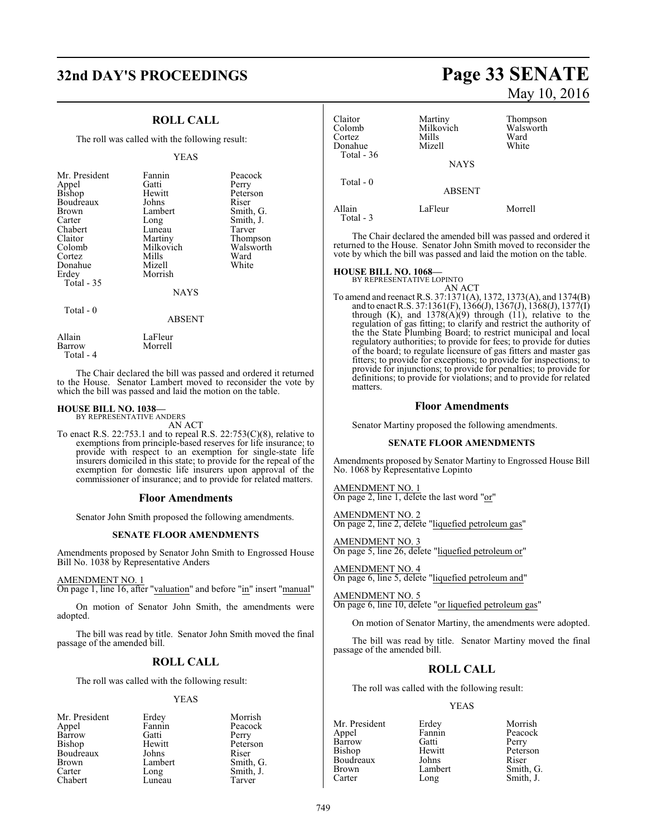# **32nd DAY'S PROCEEDINGS Page 33 SENATE**

# **ROLL CALL**

The roll was called with the following result:

## YEAS

| Mr. President<br>Appel<br><b>Bishop</b><br>Boudreaux<br><b>Brown</b><br>Carter<br>Chabert<br>Claitor<br>Colomb<br>Cortez<br>Donahue<br>Erdey<br>Total $-35$ | Fannin<br>Gatti<br>Hewitt<br>Johns<br>Lambert<br>Long<br>Luneau<br>Martiny<br>Milkovich<br>Mills<br>Mizell<br>Morrish<br><b>NAYS</b> | Peacock<br>Perry<br>Peterson<br>Riser<br>Smith, G.<br>Smith, J.<br>Tarver<br>Thompson<br>Walsworth<br>Ward<br>White |
|-------------------------------------------------------------------------------------------------------------------------------------------------------------|--------------------------------------------------------------------------------------------------------------------------------------|---------------------------------------------------------------------------------------------------------------------|
|                                                                                                                                                             |                                                                                                                                      |                                                                                                                     |
| Total $-0$                                                                                                                                                  | ABSENT                                                                                                                               |                                                                                                                     |

Allain LaFleur<br>Barrow Morrell

Total - 4

The Chair declared the bill was passed and ordered it returned to the House. Senator Lambert moved to reconsider the vote by which the bill was passed and laid the motion on the table.

# **HOUSE BILL NO. 1038—** BY REPRESENTATIVE ANDERS

AN ACT

Morrell

To enact R.S. 22:753.1 and to repeal R.S. 22:753(C)(8), relative to exemptions from principle-based reserves for life insurance; to provide with respect to an exemption for single-state life insurers domiciled in this state; to provide for the repeal of the exemption for domestic life insurers upon approval of the commissioner of insurance; and to provide for related matters.

# **Floor Amendments**

Senator John Smith proposed the following amendments.

# **SENATE FLOOR AMENDMENTS**

Amendments proposed by Senator John Smith to Engrossed House Bill No. 1038 by Representative Anders

# AMENDMENT NO. 1

On page 1, line 16, after "valuation" and before "in" insert "manual"

On motion of Senator John Smith, the amendments were adopted.

The bill was read by title. Senator John Smith moved the final passage of the amended bill.

# **ROLL CALL**

The roll was called with the following result:

# YEAS

| Erdey   | Morrish   |
|---------|-----------|
| Fannin  | Peacock   |
| Gatti   | Perry     |
| Hewitt  | Peterson  |
| Johns   | Riser     |
| Lambert | Smith, G. |
| Long    | Smith, J. |
| Luneau  | Tarver    |
|         |           |

# May 10, 2016

| Claitor<br>Colomb<br>Cortez<br>Donahue<br>Total - 36 | Martiny<br>Milkovich<br>Mills<br>Mizell<br><b>NAYS</b> | Thompson<br>Walsworth<br>Ward<br>White |
|------------------------------------------------------|--------------------------------------------------------|----------------------------------------|
| Total $-0$                                           | <b>ABSENT</b>                                          |                                        |
| Allain<br>Total $-3$                                 | LaFleur                                                | Morrell                                |

The Chair declared the amended bill was passed and ordered it returned to the House. Senator John Smith moved to reconsider the vote by which the bill was passed and laid the motion on the table.

# **HOUSE BILL NO. 1068—** BY REPRESENTATIVE LOPINTO

AN ACT To amend and reenact R.S. 37:1371(A), 1372, 1373(A), and 1374(B) and to enact R.S. 37:1361(F), 1366(J), 1367(J), 1368(J), 1377(I) through  $(K)$ , and  $1378(A)(9)$  through  $(11)$ , relative to the regulation of gas fitting; to clarify and restrict the authority of the the State Plumbing Board; to restrict municipal and local regulatory authorities; to provide for fees; to provide for duties of the board; to regulate licensure of gas fitters and master gas fitters; to provide for exceptions; to provide for inspections; to provide for injunctions; to provide for penalties; to provide for definitions; to provide for violations; and to provide for related matters.

# **Floor Amendments**

Senator Martiny proposed the following amendments.

# **SENATE FLOOR AMENDMENTS**

Amendments proposed by Senator Martiny to Engrossed House Bill No. 1068 by Representative Lopinto

AMENDMENT NO. 1 On page 2, line 1, delete the last word "or"

AMENDMENT NO. 2 On page 2, line 2, delete "liquefied petroleum gas"

AMENDMENT NO. 3 On page 5, line 26, delete "liquefied petroleum or"

AMENDMENT NO. 4 On page 6, line 5, delete "liquefied petroleum and"

AMENDMENT NO. 5 On page 6, line 10, delete "or liquefied petroleum gas"

On motion of Senator Martiny, the amendments were adopted.

The bill was read by title. Senator Martiny moved the final passage of the amended bill.

# **ROLL CALL**

The roll was called with the following result:

## YEAS

Barrow Gatti<br>Bishop Hewitt Boudreaux Johns<br>Brown Lambert

Mr. President Erdey Morrish<br>
Appel Fannin Peacock Fannin Peacock<br>Gatti Perry Hewitt Peterson<br>Johns Riser Brown Lambert Smith, G.<br>
Carter Long Smith, J. Long Smith, J.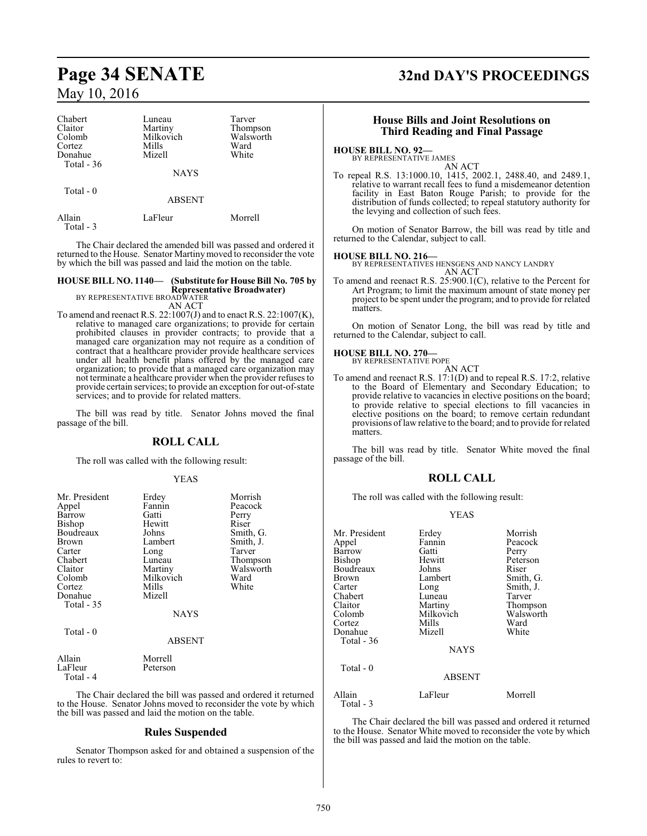| Chabert     | Luneau        | Tarver    |
|-------------|---------------|-----------|
| Claitor     | Martiny       | Thompson  |
| Colomb      | Milkovich     | Walsworth |
| Cortez      | Mills         | Ward      |
| Donahue     | Mizell        | White     |
| Total $-36$ |               |           |
|             | <b>NAYS</b>   |           |
| Total - 0   |               |           |
|             | <b>ABSENT</b> |           |
| Allain      | LaFleur       | Morrell   |

Total - 3

The Chair declared the amended bill was passed and ordered it returned to the House. Senator Martinymoved to reconsider the vote by which the bill was passed and laid the motion on the table.

# **HOUSE BILL NO. 1140— (Substitute for House Bill No. 705 by Representative Broadwater)** BY REPRESENTATIVE BROADWATER

AN ACT

To amend and reenact R.S.  $22:1007(J)$  and to enact R.S.  $22:1007(K)$ , relative to managed care organizations; to provide for certain prohibited clauses in provider contracts; to provide that a managed care organization may not require as a condition of contract that a healthcare provider provide healthcare services under all health benefit plans offered by the managed care organization; to provide that a managed care organization may not terminate a healthcare provider when the provider refuses to provide certain services; to provide an exception for out-of-state services; and to provide for related matters.

The bill was read by title. Senator Johns moved the final passage of the bill.

# **ROLL CALL**

The roll was called with the following result:

# YEAS

| Mr. President<br>Appel<br>Barrow<br>Bishop<br>Boudreaux<br>Brown<br>Carter<br>Chabert<br>Claitor<br>Colomb<br>Cortez<br>Donahue | Erdey<br>Fannin<br>Gatti<br>Hewitt<br>Johns<br>Lambert<br>Long<br>Luneau<br>Martiny<br>Milkovich<br>Mills<br>Mizell | Morrish<br>Peacock<br>Perry<br>Riser<br>Smith, G.<br>Smith, J.<br>Tarver<br>Thompson<br>Walsworth<br>Ward<br>White |
|---------------------------------------------------------------------------------------------------------------------------------|---------------------------------------------------------------------------------------------------------------------|--------------------------------------------------------------------------------------------------------------------|
| Total - 35                                                                                                                      | <b>NAYS</b>                                                                                                         |                                                                                                                    |
| Total - 0                                                                                                                       | <b>ABSENT</b>                                                                                                       |                                                                                                                    |
| Allain<br>LaFleur                                                                                                               | Morrell<br>Peterson                                                                                                 |                                                                                                                    |

Total - 4

The Chair declared the bill was passed and ordered it returned to the House. Senator Johns moved to reconsider the vote by which the bill was passed and laid the motion on the table.

# **Rules Suspended**

Senator Thompson asked for and obtained a suspension of the rules to revert to:

# **Page 34 SENATE 32nd DAY'S PROCEEDINGS**

# **House Bills and Joint Resolutions on Third Reading and Final Passage**

# **HOUSE BILL NO. 92—**

BY REPRESENTATIVE JAMES

AN ACT To repeal R.S. 13:1000.10, 1415, 2002.1, 2488.40, and 2489.1, relative to warrant recall fees to fund a misdemeanor detention facility in East Baton Rouge Parish; to provide for the distribution of funds collected; to repeal statutory authority for the levying and collection of such fees.

On motion of Senator Barrow, the bill was read by title and returned to the Calendar, subject to call.

# **HOUSE BILL NO. 216—**

BY REPRESENTATIVES HENSGENS AND NANCY LANDRY AN ACT

To amend and reenact R.S. 25:900.1(C), relative to the Percent for Art Program; to limit the maximum amount of state money per project to be spent under the program; and to provide for related matters.

On motion of Senator Long, the bill was read by title and returned to the Calendar, subject to call.

# **HOUSE BILL NO. 270—** BY REPRESENTATIVE POPE

AN ACT To amend and reenact R.S. 17:1(D) and to repeal R.S. 17:2, relative to the Board of Elementary and Secondary Education; to provide relative to vacancies in elective positions on the board; to provide relative to special elections to fill vacancies in elective positions on the board; to remove certain redundant provisions oflaw relative to the board; and to provide for related matters.

The bill was read by title. Senator White moved the final passage of the bill.

# **ROLL CALL**

The roll was called with the following result:

# YEAS

| Mr. President       | Erdey         | Morrish   |
|---------------------|---------------|-----------|
| Appel               | Fannin        | Peacock   |
| Barrow              | Gatti         | Perry     |
| Bishop              | Hewitt        | Peterson  |
| Boudreaux           | Johns         | Riser     |
| <b>Brown</b>        | Lambert       | Smith, G. |
| Carter              | Long          | Smith, J. |
| Chabert             | Luneau        | Tarver    |
| Claitor             | Martiny       | Thompson  |
| Colomb              | Milkovich     | Walsworth |
| Cortez              | Mills         | Ward      |
| Donahue             | Mizell        | White     |
| Total $-36$         |               |           |
|                     | <b>NAYS</b>   |           |
| $Total - 0$         |               |           |
|                     | <b>ABSENT</b> |           |
| Allain<br>Total - 3 | LaFleur       | Morrell   |

The Chair declared the bill was passed and ordered it returned to the House. Senator White moved to reconsider the vote by which the bill was passed and laid the motion on the table.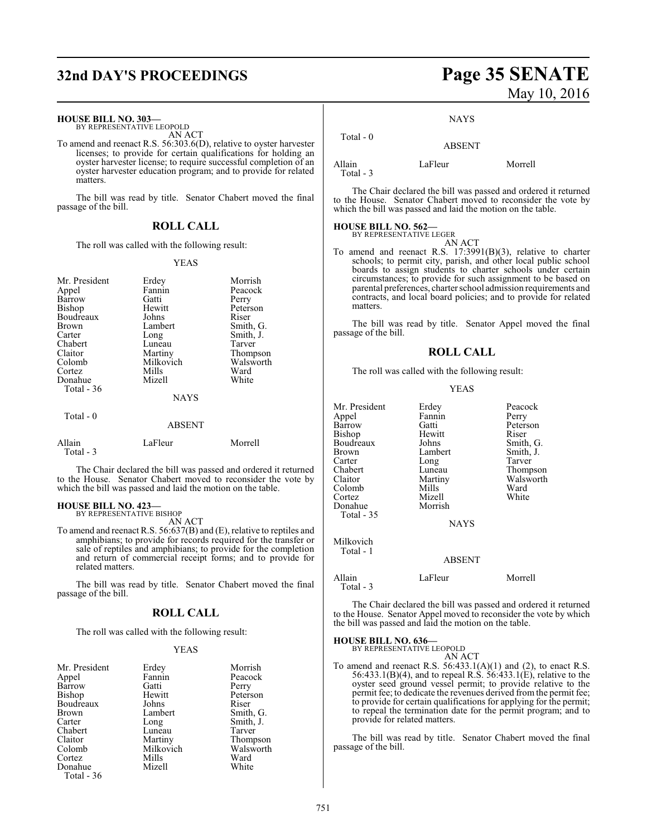# **32nd DAY'S PROCEEDINGS Page 35 SENATE**

## **HOUSE BILL NO. 303—**

BY REPRESENTATIVE LEOPOLD AN ACT

To amend and reenact R.S. 56:303.6(D), relative to oyster harvester licenses; to provide for certain qualifications for holding an oyster harvester license; to require successful completion of an oyster harvester education program; and to provide for related matters.

The bill was read by title. Senator Chabert moved the final passage of the bill.

# **ROLL CALL**

The roll was called with the following result:

## YEAS

| Mr. President<br>Appel<br>Barrow<br>Bishop<br>Boudreaux<br>Brown<br>Carter<br>Chabert<br>Claitor<br>Colomb<br>Cortez<br>Donahue<br>Total - 36<br>Total $-0$ | Erdey<br>Fannin<br>Gatti<br>Hewitt<br>Johns<br>Lambert<br>Long<br>Luneau<br>Martiny<br>Milkovich<br>Mills<br>Mizell<br><b>NAYS</b> | Morrish<br>Peacock<br>Perry<br>Peterson<br>Riser<br>Smith, G.<br>Smith, J.<br>Tarver<br>Thompson<br>Walsworth<br>Ward<br>White |
|-------------------------------------------------------------------------------------------------------------------------------------------------------------|------------------------------------------------------------------------------------------------------------------------------------|--------------------------------------------------------------------------------------------------------------------------------|
|                                                                                                                                                             | <b>ABSENT</b>                                                                                                                      |                                                                                                                                |
| Allain<br>Total - 3                                                                                                                                         | LaFleur                                                                                                                            | Morrell                                                                                                                        |

The Chair declared the bill was passed and ordered it returned to the House. Senator Chabert moved to reconsider the vote by which the bill was passed and laid the motion on the table.

# **HOUSE BILL NO. 423—** BY REPRESENTATIVE BISHOP

AN ACT

To amend and reenact R.S. 56:637(B) and (E), relative to reptiles and amphibians; to provide for records required for the transfer or sale of reptiles and amphibians; to provide for the completion and return of commercial receipt forms; and to provide for related matters.

The bill was read by title. Senator Chabert moved the final passage of the bill.

# **ROLL CALL**

The roll was called with the following result:

## YEAS

| Mr. President | Erdey     | Morrish   |
|---------------|-----------|-----------|
| Appel         | Fannin    | Peacock   |
| Barrow        | Gatti     | Perry     |
| <b>Bishop</b> | Hewitt    | Peterson  |
| Boudreaux     | Johns     | Riser     |
| <b>Brown</b>  | Lambert   | Smith, G. |
| Carter        | Long      | Smith, J. |
| Chabert       | Luneau    | Tarver    |
| Claitor       | Martiny   | Thompson  |
| Colomb        | Milkovich | Walsworth |
| Cortez        | Mills     | Ward      |
| Donahue       | Mizell    | White     |
| Total - 36    |           |           |

# May 10, 2016

# **NAYS**

 Total - 0 ABSENT

Allain LaFleur Morrell

Total - 3

The Chair declared the bill was passed and ordered it returned to the House. Senator Chabert moved to reconsider the vote by which the bill was passed and laid the motion on the table.

# **HOUSE BILL NO. 562—** BY REPRESENTATIVE LEGER

AN ACT

To amend and reenact R.S. 17:3991(B)(3), relative to charter schools; to permit city, parish, and other local public school boards to assign students to charter schools under certain circumstances; to provide for such assignment to be based on parental preferences, charter school admission requirements and contracts, and local board policies; and to provide for related matters.

The bill was read by title. Senator Appel moved the final passage of the bill.

# **ROLL CALL**

The roll was called with the following result:

## YEAS

| Mr. President | Erdey         | Peacock   |
|---------------|---------------|-----------|
| Appel         | Fannin        | Perry     |
| Barrow        | Gatti         | Peterson  |
| Bishop        | Hewitt        | Riser     |
| Boudreaux     | Johns         | Smith, G. |
| Brown         | Lambert       | Smith, J. |
| Carter        | Long          | Tarver    |
| Chabert       | Luneau        | Thompson  |
| Claitor       | Martiny       | Walsworth |
| Colomb        | Mills         | Ward      |
| Cortez        | Mizell        | White     |
| Donahue       | Morrish       |           |
| Total - 35    |               |           |
|               | <b>NAYS</b>   |           |
| Milkovich     |               |           |
| Total - 1     |               |           |
|               | <b>ABSENT</b> |           |
| Allain        | LaFleur       | Morrell   |

The Chair declared the bill was passed and ordered it returned to the House. Senator Appel moved to reconsider the vote by which the bill was passed and laid the motion on the table.

Total - 3

**HOUSE BILL NO. 636—** BY REPRESENTATIVE LEOPOLD AN ACT

To amend and reenact R.S.  $56:433.1(A)(1)$  and (2), to enact R.S. 56:433.1(B)(4), and to repeal R.S. 56:433.1(E), relative to the oyster seed ground vessel permit; to provide relative to the permit fee; to dedicate the revenues derived from the permit fee; to provide for certain qualifications for applying for the permit; to repeal the termination date for the permit program; and to provide for related matters.

The bill was read by title. Senator Chabert moved the final passage of the bill.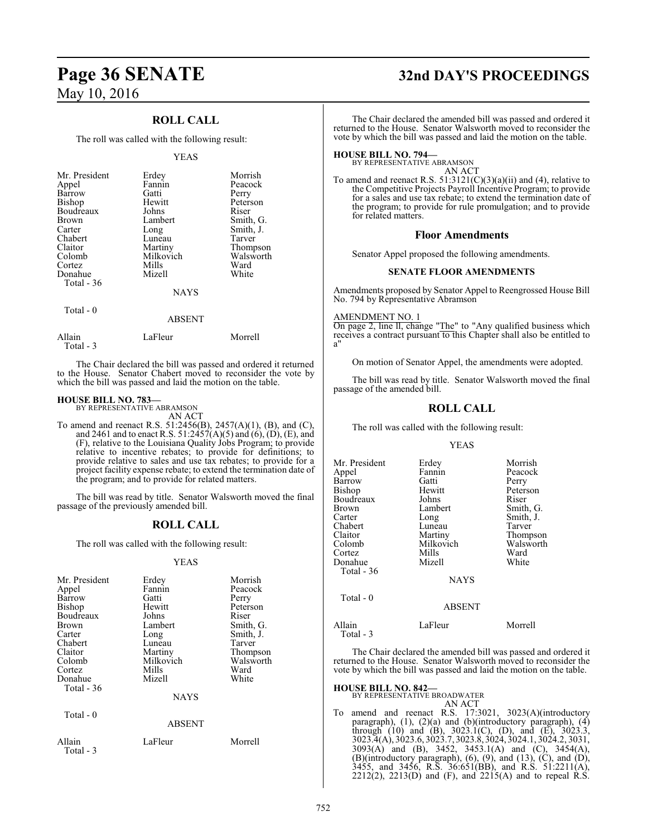# **ROLL CALL**

The roll was called with the following result:

## YEAS

| Mr. President<br>Appel<br>Barrow<br><b>Bishop</b><br>Boudreaux<br>Brown<br>Carter | Erdey<br>Fannin<br>Gatti<br>Hewitt<br>Johns<br>Lambert<br>Long | Morrish<br>Peacock<br>Perry<br>Peterson<br>Riser<br>Smith, G.<br>Smith, J. |
|-----------------------------------------------------------------------------------|----------------------------------------------------------------|----------------------------------------------------------------------------|
| Chabert                                                                           | Luneau                                                         | Tarver                                                                     |
| Claitor                                                                           | Martiny                                                        | Thompson                                                                   |
| Colomb                                                                            | Milkovich                                                      | Walsworth                                                                  |
| Cortez                                                                            | Mills                                                          | Ward                                                                       |
| Donahue                                                                           | Mizell                                                         | White                                                                      |
| Total $-36$                                                                       |                                                                |                                                                            |
|                                                                                   | <b>NAYS</b>                                                    |                                                                            |
| Total - 0                                                                         |                                                                |                                                                            |

| .                    | <b>ABSENT</b> |         |
|----------------------|---------------|---------|
| Allain<br>Total $-3$ | LaFleur       | Morrell |

The Chair declared the bill was passed and ordered it returned to the House. Senator Chabert moved to reconsider the vote by which the bill was passed and laid the motion on the table.

## **HOUSE BILL NO. 783—**

BY REPRESENTATIVE ABRAMSON AN ACT

To amend and reenact R.S. 51:2456(B), 2457(A)(1), (B), and (C), and 2461 and to enact R.S. 51:2457(A)(5) and (6), (D), (E), and (F), relative to the Louisiana Quality Jobs Program; to provide relative to incentive rebates; to provide for definitions; to provide relative to sales and use tax rebates; to provide for a project facility expense rebate; to extend the termination date of the program; and to provide for related matters.

The bill was read by title. Senator Walsworth moved the final passage of the previously amended bill.

# **ROLL CALL**

The roll was called with the following result:

## YEAS

| Mr. President<br>Appel<br>Barrow<br>Bishop<br>Boudreaux<br>Brown<br>Carter<br>Chabert<br>Claitor<br>Colomb<br>Cortez<br>Donahue<br>Total $-36$ | Erdey<br>Fannin<br>Gatti<br>Hewitt<br>Johns<br>Lambert<br>Long<br>Luneau<br>Martiny<br>Milkovich<br>Mills<br>Mizell<br><b>NAYS</b> | Morrish<br>Peacock<br>Perry<br>Peterson<br>Riser<br>Smith, G.<br>Smith, J.<br>Tarver<br>Thompson<br>Walsworth<br>Ward<br>White |
|------------------------------------------------------------------------------------------------------------------------------------------------|------------------------------------------------------------------------------------------------------------------------------------|--------------------------------------------------------------------------------------------------------------------------------|
| Total - 0                                                                                                                                      | <b>ABSENT</b>                                                                                                                      |                                                                                                                                |
| Allain<br>Total - 3                                                                                                                            | LaFleur                                                                                                                            | Morrell                                                                                                                        |

# **Page 36 SENATE 32nd DAY'S PROCEEDINGS**

The Chair declared the amended bill was passed and ordered it returned to the House. Senator Walsworth moved to reconsider the vote by which the bill was passed and laid the motion on the table.

**HOUSE BILL NO. 794—** BY REPRESENTATIVE ABRAMSON AN ACT

To amend and reenact R.S.  $51:3121(C)(3)(a)(ii)$  and (4), relative to the Competitive Projects Payroll Incentive Program; to provide for a sales and use tax rebate; to extend the termination date of the program; to provide for rule promulgation; and to provide for related matters.

## **Floor Amendments**

Senator Appel proposed the following amendments.

# **SENATE FLOOR AMENDMENTS**

Amendments proposed by Senator Appel to Reengrossed House Bill No. 794 by Representative Abramson

## AMENDMENT NO. 1

On page 2, line ll, change "The" to "Any qualified business which receives a contract pursuant to this Chapter shall also be entitled to a"

On motion of Senator Appel, the amendments were adopted.

The bill was read by title. Senator Walsworth moved the final passage of the amended bill.

# **ROLL CALL**

The roll was called with the following result:

# YEAS

| Mr. President | Erdey         | Morrish   |
|---------------|---------------|-----------|
| Appel         | Fannin        | Peacock   |
| <b>Barrow</b> | Gatti         | Perry     |
| Bishop        | Hewitt        | Peterson  |
| Boudreaux     | Johns         | Riser     |
| Brown         | Lambert       | Smith, G. |
| Carter        | Long          | Smith, J. |
| Chabert       | Luneau        | Tarver    |
| Claitor       | Martiny       | Thompson  |
| Colomb        | Milkovich     | Walsworth |
| Cortez        | Mills         | Ward      |
| Donahue       | Mizell        | White     |
| Total - 36    |               |           |
|               | <b>NAYS</b>   |           |
| Total $-0$    |               |           |
|               | <b>ABSENT</b> |           |
|               |               |           |

Allain LaFleur Morrell

The Chair declared the amended bill was passed and ordered it returned to the House. Senator Walsworth moved to reconsider the vote by which the bill was passed and laid the motion on the table.

# **HOUSE BILL NO. 842—**

Total - 3

BY REPRESENTATIVE BROADWATER AN ACT To amend and reenact R.S. 17:3021, 3023(A)(introductory paragraph), (1), (2)(a) and (b)(introductory paragraph), (4) through (10) and (B),  $3023.1$ (C), (D), and (E),  $3023.3$ , 3023.4(A), 3023.6, 3023.7, 3023.8, 3024, 3024.1, 3024.2, 3031, 3093(A) and (B), 3452, 3453.1(A) and (C), 3454(A),  $(B)$ (introductory paragraph),  $(6)$ ,  $(9)$ , and  $(13)$ ,  $(C)$ , and  $(D)$ , 3455, and 3456, R.S. 36:651(BB), and R.S. 51:2211(A),  $2212(2)$ ,  $2213(D)$  and (F), and  $2215(A)$  and to repeal R.S.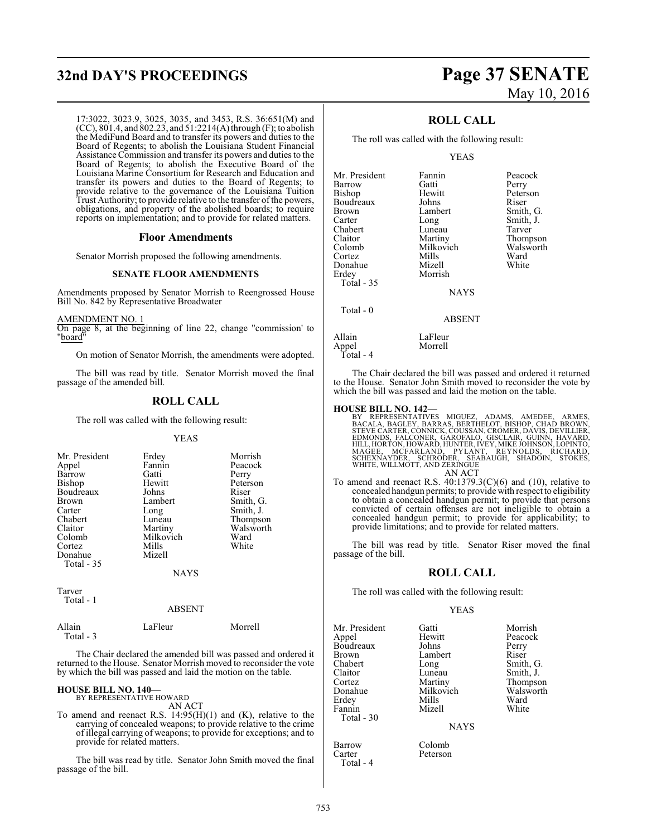# **32nd DAY'S PROCEEDINGS Page 37 SENATE**

17:3022, 3023.9, 3025, 3035, and 3453, R.S. 36:651(M) and (CC),  $801.4$ , and  $802.23$ , and  $51:2214(A)$  through (F); to abolish the MediFund Board and to transfer its powers and duties to the Board of Regents; to abolish the Louisiana Student Financial Assistance Commission and transfer its powers and duties to the Board of Regents; to abolish the Executive Board of the Louisiana Marine Consortium for Research and Education and transfer its powers and duties to the Board of Regents; to provide relative to the governance of the Louisiana Tuition Trust Authority; to provide relative to the transfer of the powers, obligations, and property of the abolished boards; to require reports on implementation; and to provide for related matters.

# **Floor Amendments**

Senator Morrish proposed the following amendments.

# **SENATE FLOOR AMENDMENTS**

Amendments proposed by Senator Morrish to Reengrossed House Bill No. 842 by Representative Broadwater

AMENDMENT NO. 1

On page 8, at the beginning of line 22, change "commission' to "board"

On motion of Senator Morrish, the amendments were adopted.

The bill was read by title. Senator Morrish moved the final passage of the amended bill.

# **ROLL CALL**

The roll was called with the following result:

### YEAS

| Mr. President<br>Appel<br>Barrow<br><b>Bishop</b><br>Boudreaux<br><b>Brown</b><br>Carter<br>Chabert<br>Claitor<br>Colomb<br>Cortez<br>Donahue<br>Total - 35 | Erdey<br>Fannin<br>Gatti<br>Hewitt<br>Johns<br>Lambert<br>Long<br>Luneau<br>Martiny<br>Milkovich<br>Mills<br>Mizell<br><b>NAYS</b> | Morrish<br>Peacock<br>Perry<br>Peterson<br>Riser<br>Smith, G.<br>Smith, J.<br>Thompson<br>Walsworth<br>Ward<br>White |
|-------------------------------------------------------------------------------------------------------------------------------------------------------------|------------------------------------------------------------------------------------------------------------------------------------|----------------------------------------------------------------------------------------------------------------------|
|                                                                                                                                                             |                                                                                                                                    |                                                                                                                      |

Tarver Total - 1

ABSENT

 Total - 3 The Chair declared the amended bill was passed and ordered it returned to the House. Senator Morrish moved to reconsider the vote

by which the bill was passed and laid the motion on the table.

Allain LaFleur Morrell

**HOUSE BILL NO. 140—**

BY REPRESENTATIVE HOWARD AN ACT

To amend and reenact R.S. 14:95(H)(1) and (K), relative to the carrying of concealed weapons; to provide relative to the crime of illegal carrying of weapons; to provide for exceptions; and to provide for related matters.

The bill was read by title. Senator John Smith moved the final passage of the bill.

# May 10, 2016

Peacock Perry Peterson<br>Riser

Smith, G. Smith, J. Tarver Thompson Walsworth<br>Ward

# **ROLL CALL**

The roll was called with the following result:

## YEAS

| Mr. President | Fannin        | Peaco  |
|---------------|---------------|--------|
| Barrow        | Gatti         | Perry  |
| Bishop        | Hewitt        | Peters |
| Boudreaux     | Johns         | Riser  |
| Brown         | Lambert       | Smith  |
| Carter        | Long          | Smith  |
| Chabert       | Luneau        | Tarver |
| Claitor       | Martiny       | Thom   |
| Colomb        | Milkovich     | Walsw  |
| Cortez        | Mills         | Ward   |
| Donahue       | Mizell        | White  |
| Erdey         | Morrish       |        |
| Total - 35    |               |        |
|               | <b>NAYS</b>   |        |
| Total - 0     |               |        |
|               | <b>ABSENT</b> |        |
| Allain        | LaFleur       |        |
| Appel         | Morrell       |        |
|               |               |        |

Total - 4

The Chair declared the bill was passed and ordered it returned to the House. Senator John Smith moved to reconsider the vote by which the bill was passed and laid the motion on the table.

HOUSE BILL NO. 142—<br>BY REPRESENTATIVES MIGUEZ, ADAMS, AMEDEE, ARMES, BACALA, BAGLEY, BARRAS, BERTHELOT, BISHOP, CHAD BROWN,<br>STEVE CARTER, CÓNNICK, COUSSAN, CROMER, DAVIS, DEVILLIER,<br>EDMONDS, FALCONER, GAROFALO, GISCLAIR, G AN ACT

To amend and reenact R.S.  $40:1379.3(C)(6)$  and  $(10)$ , relative to concealed handgun permits; to provide with respect to eligibility to obtain a concealed handgun permit; to provide that persons convicted of certain offenses are not ineligible to obtain a concealed handgun permit; to provide for applicability; to provide limitations; and to provide for related matters.

The bill was read by title. Senator Riser moved the final passage of the bill.

# **ROLL CALL**

The roll was called with the following result:

Peterson

# YEAS

Mr. President Gatti Morrish<br>
Appel Hewitt Peacock Boudreaux Johns Perry<br>Brown Lambert Riser Brown Lambert<br>Chabert Long Chabert Long Smith, G. Claitor Luneau<br>Cortez Martiny Cortez **Martiny** Thompson<br>
Donahue Milkovich Walsworth Donahue Milkovich Walsv<br>Erdev Mills Ward Erdey Mills Ward Fannin Mizell White Total - 30

Barrow Colomb<br>Carter Peterson Total - 4

Hewitt Peacock<br>Johns Perry

**NAYS**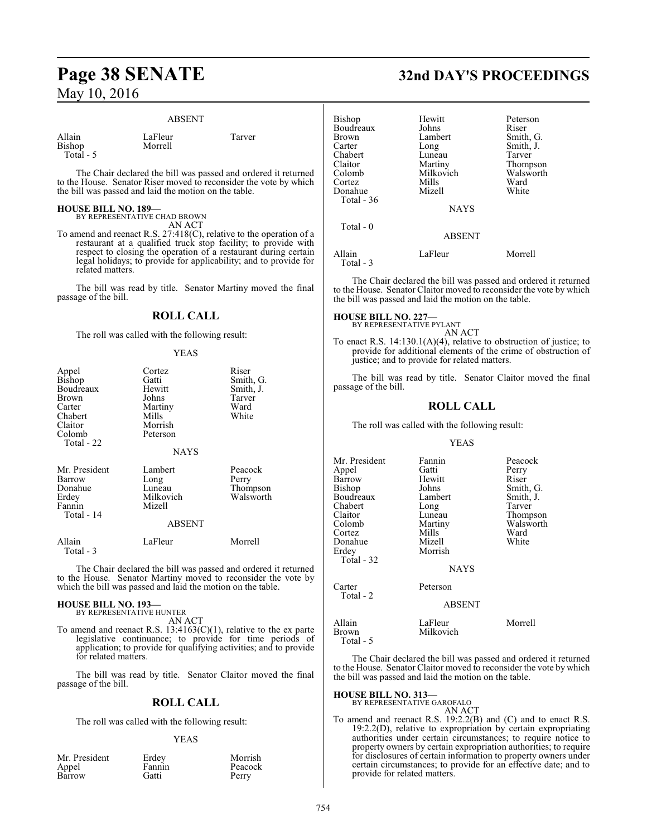# ABSENT

LaFleur Tarver

| Allain        |  |
|---------------|--|
| <b>Bishop</b> |  |
| Total         |  |

Morrell

The Chair declared the bill was passed and ordered it returned to the House. Senator Riser moved to reconsider the vote by which the bill was passed and laid the motion on the table.

# **HOUSE BILL NO. 189—**

BY REPRESENTATIVE CHAD BROWN AN ACT

To amend and reenact R.S. 27:418(C), relative to the operation of a restaurant at a qualified truck stop facility; to provide with respect to closing the operation of a restaurant during certain legal holidays; to provide for applicability; and to provide for related matters.

The bill was read by title. Senator Martiny moved the final passage of the bill.

# **ROLL CALL**

The roll was called with the following result:

# YEAS

| Appel<br>Bishop<br>Boudreaux<br>Brown<br>Carter<br>Chabert<br>Claitor<br>Colomb<br>Total - 22 | Cortez<br>Gatti<br>Hewitt<br>Johns<br>Martiny<br>Mills<br>Morrish<br>Peterson<br>NAYS | Riser<br>Smith, G.<br>Smith, J.<br>Tarver<br>Ward<br>White |
|-----------------------------------------------------------------------------------------------|---------------------------------------------------------------------------------------|------------------------------------------------------------|
| Mr. President<br>Barrow<br>Donahue<br>Erdey<br>Fannin<br>Total - 14                           | Lambert<br>Long<br>Luneau<br>Milkovich<br>Mizell<br><b>ABSENT</b>                     | Peacock<br>Perry<br>Thompson<br>Walsworth                  |
| Allain<br>Total - 3                                                                           | LaFleur                                                                               | Morrell                                                    |

The Chair declared the bill was passed and ordered it returned to the House. Senator Martiny moved to reconsider the vote by which the bill was passed and laid the motion on the table.

# **HOUSE BILL NO. 193—**

BY REPRESENTATIVE HUNTER AN ACT

To amend and reenact R.S.  $13:4163(C)(1)$ , relative to the ex parte legislative continuance; to provide for time periods of application; to provide for qualifying activities; and to provide for related matters.

The bill was read by title. Senator Claitor moved the final passage of the bill.

# **ROLL CALL**

The roll was called with the following result:

## YEAS

| Mr. President | Erdey  | Morrish |
|---------------|--------|---------|
| Appel         | Fannin | Peacock |
| Barrow        | Gatti  | Perry   |

# **Page 38 SENATE 32nd DAY'S PROCEEDINGS**

| Bishop              | Hewitt        | Peterson  |
|---------------------|---------------|-----------|
| Boudreaux           | Johns         | Riser     |
| <b>Brown</b>        | Lambert       | Smith, G. |
| Carter              | Long          | Smith, J. |
| Chabert             | Luneau        | Tarver    |
| Claitor             | Martiny       | Thompson  |
| Colomb              | Milkovich     | Walsworth |
| Cortez              | Mills         | Ward      |
| Donahue             | Mizell        | White     |
| Total - 36          |               |           |
|                     | <b>NAYS</b>   |           |
| Total $-0$          |               |           |
|                     | <b>ABSENT</b> |           |
| Allain<br>Total - 3 | LaFleur       | Morrell   |
|                     |               |           |

The Chair declared the bill was passed and ordered it returned to the House. Senator Claitor moved to reconsider the vote by which the bill was passed and laid the motion on the table.

# **HOUSE BILL NO. 227—** BY REPRESENTATIVE PYLANT

AN ACT To enact R.S. 14:130.1(A)(4), relative to obstruction of justice; to provide for additional elements of the crime of obstruction of justice; and to provide for related matters.

The bill was read by title. Senator Claitor moved the final passage of the bill.

# **ROLL CALL**

The roll was called with the following result:

# YEAS

| Mr. President<br>Appel<br>Barrow<br>Bishop<br>Boudreaux<br>Chabert<br>Claitor<br>Colomb<br>Cortez<br>Donahue<br>Erdev<br>Total - 32 | Fannin<br>Gatti<br>Hewitt<br>Johns<br>Lambert<br>Long<br>Luneau<br>Martiny<br>Mills<br>Mizell<br>Morrish | Peacock<br>Perry<br>Riser<br>Smith, G.<br>Smith, J.<br>Tarver<br>Thompson<br>Walsworth<br>Ward<br>White |
|-------------------------------------------------------------------------------------------------------------------------------------|----------------------------------------------------------------------------------------------------------|---------------------------------------------------------------------------------------------------------|
|                                                                                                                                     | <b>NAYS</b>                                                                                              |                                                                                                         |
| Carter                                                                                                                              | Peterson                                                                                                 |                                                                                                         |
| Total - 2                                                                                                                           | <b>ABSENT</b>                                                                                            |                                                                                                         |
| Allain                                                                                                                              | LaFleur                                                                                                  | Morrell                                                                                                 |

| Allain    | LaFleur   | Morre |
|-----------|-----------|-------|
| Brown     | Milkovich |       |
| Total - 5 |           |       |

The Chair declared the bill was passed and ordered it returned to the House. Senator Claitor moved to reconsider the vote by which the bill was passed and laid the motion on the table.

# **HOUSE BILL NO. 313—** BY REPRESENTATIVE GAROFALO

AN ACT

To amend and reenact R.S. 19:2.2(B) and (C) and to enact R.S. 19:2.2(D), relative to expropriation by certain expropriating authorities under certain circumstances; to require notice to property owners by certain expropriation authorities; to require for disclosures of certain information to property owners under certain circumstances; to provide for an effective date; and to provide for related matters.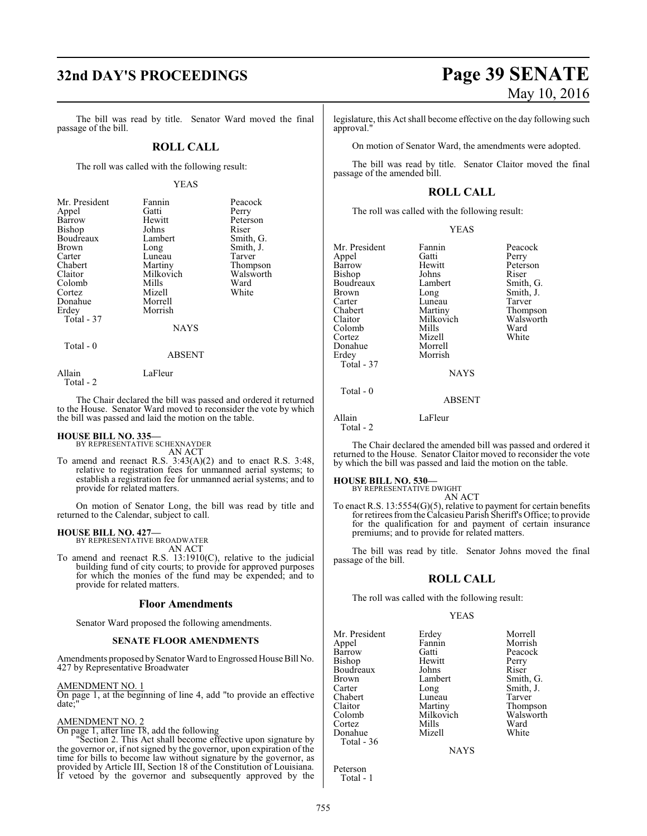# **32nd DAY'S PROCEEDINGS Page 39 SENATE**

The bill was read by title. Senator Ward moved the final passage of the bill.

# **ROLL CALL**

The roll was called with the following result:

## YEAS

| Mr. President | Fannin      | Peacock   |
|---------------|-------------|-----------|
| Appel         | Gatti       | Perry     |
| Barrow        | Hewitt      | Peterson  |
| Bishop        | Johns       | Riser     |
| Boudreaux     | Lambert     | Smith, G. |
| <b>Brown</b>  | Long        | Smith, J. |
| Carter        | Luneau      | Tarver    |
| Chabert       | Martiny     | Thompson  |
| Claitor       | Milkovich   | Walsworth |
| Colomb        | Mills       | Ward      |
| Cortez        | Mizell      | White     |
| Donahue       | Morrell     |           |
| Erdey         | Morrish     |           |
| Total - 37    |             |           |
|               | <b>NAYS</b> |           |
| $Total - 0$   |             |           |

### ABSENT

Allain LaFleur Total - 2

The Chair declared the bill was passed and ordered it returned to the House. Senator Ward moved to reconsider the vote by which the bill was passed and laid the motion on the table.

**HOUSE BILL NO. 335—** BY REPRESENTATIVE SCHEXNAYDER AN ACT

To amend and reenact R.S. 3:43(A)(2) and to enact R.S. 3:48, relative to registration fees for unmanned aerial systems; to establish a registration fee for unmanned aerial systems; and to provide for related matters.

On motion of Senator Long, the bill was read by title and returned to the Calendar, subject to call.

# **HOUSE BILL NO. 427—**

BY REPRESENTATIVE BROADWATER AN ACT

To amend and reenact R.S. 13:1910(C), relative to the judicial building fund of city courts; to provide for approved purposes for which the monies of the fund may be expended; and to provide for related matters.

# **Floor Amendments**

Senator Ward proposed the following amendments.

# **SENATE FLOOR AMENDMENTS**

Amendments proposed bySenator Ward to Engrossed House Bill No. 427 by Representative Broadwater

# AMENDMENT NO. 1

On page 1, at the beginning of line 4, add "to provide an effective date:

## AMENDMENT NO. 2

On page 1, after line 18, add the following

"Section 2. This Act shall become effective upon signature by the governor or, if not signed by the governor, upon expiration of the time for bills to become law without signature by the governor, as provided by Article III, Section 18 of the Constitution of Louisiana. If vetoed by the governor and subsequently approved by the

# May 10, 2016

legislature, this Act shall become effective on the day following such approval."

On motion of Senator Ward, the amendments were adopted.

The bill was read by title. Senator Claitor moved the final passage of the amended bill.

# **ROLL CALL**

The roll was called with the following result:

| Mr. President | Fannin      | Peacock   |
|---------------|-------------|-----------|
|               |             |           |
| Appel         | Gatti       | Perry     |
| <b>Barrow</b> | Hewitt      | Peterson  |
| Bishop        | Johns       | Riser     |
| Boudreaux     | Lambert     | Smith, G. |
| Brown         | Long        | Smith, J. |
| Carter        | Luneau      | Tarver    |
| Chabert       | Martiny     | Thompson  |
| Claitor       | Milkovich   | Walsworth |
| Colomb        | Mills       | Ward      |
| Cortez        | Mizell      | White     |
| Donahue       | Morrell     |           |
| Erdey         | Morrish     |           |
| Total - 37    |             |           |
|               | <b>NAYS</b> |           |
| Total - 0     |             |           |

ABSENT

Allain LaFleur Total - 2

The Chair declared the amended bill was passed and ordered it returned to the House. Senator Claitor moved to reconsider the vote by which the bill was passed and laid the motion on the table.

# **HOUSE BILL NO. 530—**

BY REPRESENTATIVE DWIGHT AN ACT

To enact R.S. 13:5554(G)(5), relative to payment for certain benefits for retirees fromthe Calcasieu Parish Sheriff's Office; to provide for the qualification for and payment of certain insurance premiums; and to provide for related matters.

The bill was read by title. Senator Johns moved the final passage of the bill.

# **ROLL CALL**

The roll was called with the following result:

# YEAS

Mr. President Erdey Morrell<br>
Appel Fannin Morrish Appel Fannin Morrish Bishop Hewitt Perry<br>Boudreaux Johns Riser Boudreaux Johns<br>Brown Lambert Brown Lambert Smith, G.<br>
Carter Long Smith, J. Chabert Luneau<br>Claitor Martiny Claitor Martiny Thompson Cortez Mills Ward<br>
Mizell White<br>
Mizell White Donahue Total - 36

Gatti Peacock<br>
Hewitt Perry Long Smith, J.<br>
Luneau Tarver Milkovich Walsworth<br>
Mills Ward

**NAYS** 

Peterson Total - 1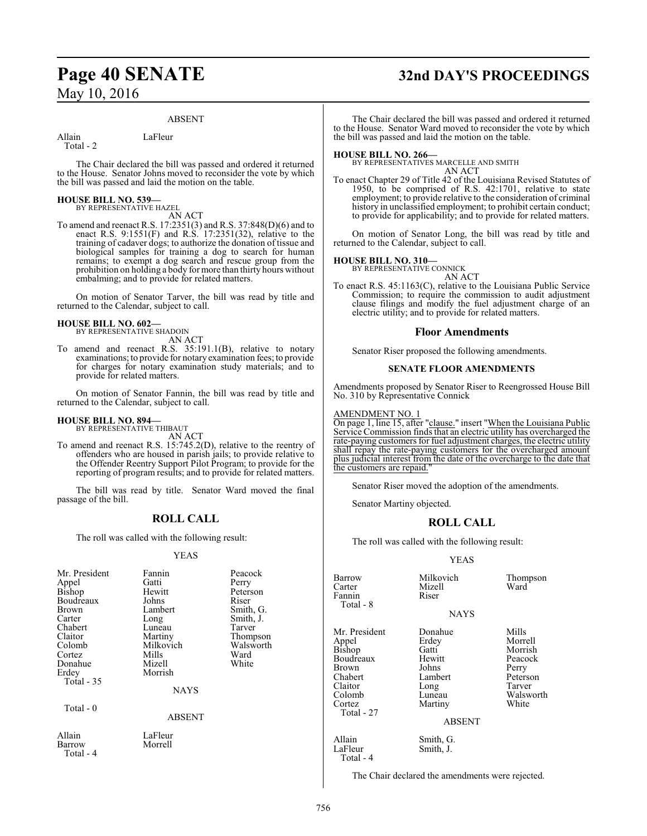# ABSENT

Total - 2

Allain LaFleur

The Chair declared the bill was passed and ordered it returned to the House. Senator Johns moved to reconsider the vote by which the bill was passed and laid the motion on the table.

## **HOUSE BILL NO. 539—** BY REPRESENTATIVE HAZEL

AN ACT

To amend and reenact R.S. 17:2351(3) and R.S. 37:848(D)(6) and to enact R.S. 9:1551(F) and R.S. 17:2351(32), relative to the training of cadaver dogs; to authorize the donation of tissue and biological samples for training a dog to search for human remains; to exempt a dog search and rescue group from the prohibition on holding a body for more than thirty hours without embalming; and to provide for related matters.

On motion of Senator Tarver, the bill was read by title and returned to the Calendar, subject to call.

## **HOUSE BILL NO. 602—** BY REPRESENTATIVE SHADOIN

AN ACT

To amend and reenact R.S. 35:191.1(B), relative to notary examinations; to provide for notary examination fees; to provide for charges for notary examination study materials; and to provide for related matters.

On motion of Senator Fannin, the bill was read by title and returned to the Calendar, subject to call.

# **HOUSE BILL NO. 894—**

BY REPRESENTATIVE THIBAUT

AN ACT To amend and reenact R.S. 15:745.2(D), relative to the reentry of offenders who are housed in parish jails; to provide relative to the Offender Reentry Support Pilot Program; to provide for the reporting of program results; and to provide for related matters.

The bill was read by title. Senator Ward moved the final passage of the bill.

# **ROLL CALL**

The roll was called with the following result:

# YEAS

| Mr. President<br>Appel<br><b>Bishop</b><br>Boudreaux<br><b>Brown</b><br>Carter<br>Chabert<br>Claitor<br>Colomb<br>Cortez<br>Donahue<br>Erdey<br>Total - 35 | Fannin<br>Gatti<br>Hewitt<br>Johns<br>Lambert<br>Long<br>Luneau<br>Martiny<br>Milkovich<br>Mills<br>Mizell<br>Morrish<br><b>NAYS</b> | Peacock<br>Perry<br>Peterson<br>Riser<br>Smith, G.<br>Smith, J.<br>Tarver<br>Thompson<br>Walsworth<br>Ward<br>White |
|------------------------------------------------------------------------------------------------------------------------------------------------------------|--------------------------------------------------------------------------------------------------------------------------------------|---------------------------------------------------------------------------------------------------------------------|
| Total - 0                                                                                                                                                  | <b>ABSENT</b>                                                                                                                        |                                                                                                                     |
| Allain<br>Barrow<br>Total - 4                                                                                                                              | LaFleur<br>Morrell                                                                                                                   |                                                                                                                     |

**Page 40 SENATE 32nd DAY'S PROCEEDINGS**

The Chair declared the bill was passed and ordered it returned to the House. Senator Ward moved to reconsider the vote by which the bill was passed and laid the motion on the table.

**HOUSE BILL NO. 266—** BY REPRESENTATIVES MARCELLE AND SMITH AN ACT

To enact Chapter 29 of Title 42 of the Louisiana Revised Statutes of 1950, to be comprised of R.S. 42:1701, relative to state employment; to provide relative to the consideration of criminal history in unclassified employment; to prohibit certain conduct; to provide for applicability; and to provide for related matters.

On motion of Senator Long, the bill was read by title and returned to the Calendar, subject to call.

**HOUSE BILL NO. 310—** BY REPRESENTATIVE CONNICK AN ACT

To enact R.S. 45:1163(C), relative to the Louisiana Public Service Commission; to require the commission to audit adjustment clause filings and modify the fuel adjustment charge of an electric utility; and to provide for related matters.

# **Floor Amendments**

Senator Riser proposed the following amendments.

# **SENATE FLOOR AMENDMENTS**

Amendments proposed by Senator Riser to Reengrossed House Bill No. 310 by Representative Connick

# AMENDMENT NO. 1

On page 1, line 15, after "clause." insert "When the Louisiana Public Service Commission finds that an electric utility has overcharged the rate-paying customers for fuel adjustment charges, the electric utility shall repay the rate-paying customers for the overcharged amount plus judicial interest from the date of the overcharge to the date that the customers are repaid."

Senator Riser moved the adoption of the amendments.

Senator Martiny objected.

# **ROLL CALL**

The roll was called with the following result:

# YEAS

| Barrow<br>Carter<br>Fannin<br>Total - 8                                                                        | Milkovich<br>Mizell<br>Riser                                                                          | Thompson<br>Ward                                                                            |
|----------------------------------------------------------------------------------------------------------------|-------------------------------------------------------------------------------------------------------|---------------------------------------------------------------------------------------------|
|                                                                                                                | <b>NAYS</b>                                                                                           |                                                                                             |
| Mr. President<br>Appel<br>Bishop<br>Boudreaux<br>Brown<br>Chabert<br>Claitor<br>Colomb<br>Cortez<br>Total - 27 | Donahue<br>Erdey<br>Gatti<br>Hewitt<br>Johns<br>Lambert<br>Long<br>Luneau<br>Martiny<br><b>ABSENT</b> | Mills<br>Morrell<br>Morrish<br>Peacock<br>Perry<br>Peterson<br>Tarver<br>Walsworth<br>White |
| Allain<br>LaFleur                                                                                              | Smith, G.<br>Smith, J.                                                                                |                                                                                             |

The Chair declared the amendments were rejected.

Total - 4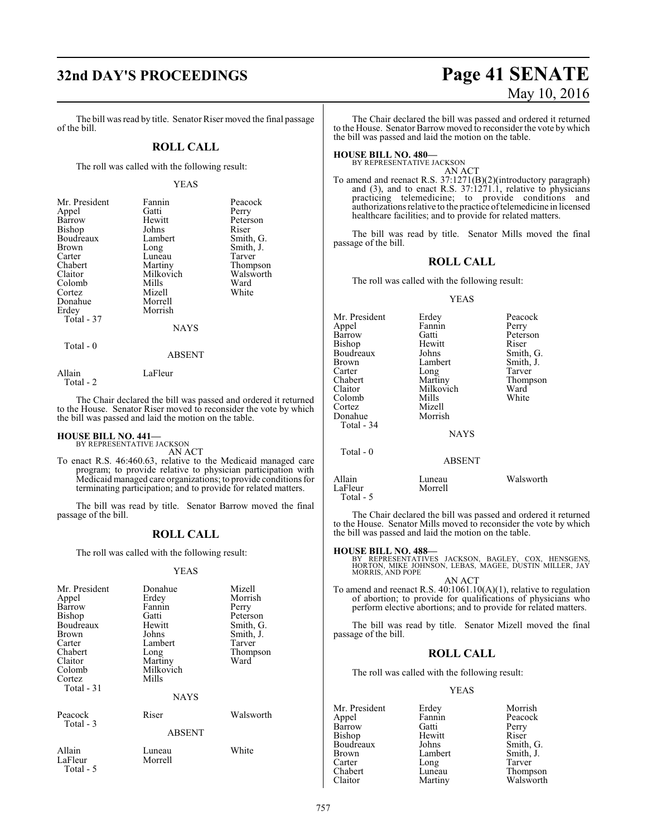The bill was read by title. Senator Riser moved the final passage of the bill.

# **ROLL CALL**

The roll was called with the following result:

## YEAS

| Mr. President | Fannin      | Peacock   |
|---------------|-------------|-----------|
| Appel         | Gatti       | Perry     |
| Barrow        | Hewitt      | Peterson  |
| Bishop        | Johns       | Riser     |
| Boudreaux     | Lambert     | Smith, G. |
| Brown         | Long        | Smith, J. |
| Carter        | Luneau      | Tarver    |
| Chabert       | Martiny     | Thompson  |
| Claitor       | Milkovich   | Walsworth |
| Colomb        | Mills       | Ward      |
| Cortez        | Mizell      | White     |
| Donahue       | Morrell     |           |
| Erdey         | Morrish     |           |
| Total - 37    |             |           |
|               | <b>NAYS</b> |           |
| Total - 0     |             |           |

## ABSENT

Allain LaFleur Total - 2

the bill was passed and laid the motion on the table.

The Chair declared the bill was passed and ordered it returned to the House. Senator Riser moved to reconsider the vote by which

# **HOUSE BILL NO. 441—** BY REPRESENTATIVE JACKSON

AN ACT

To enact R.S. 46:460.63, relative to the Medicaid managed care program; to provide relative to physician participation with Medicaid managed care organizations; to provide conditions for terminating participation; and to provide for related matters.

The bill was read by title. Senator Barrow moved the final passage of the bill.

# **ROLL CALL**

The roll was called with the following result:

# YEAS

| Mr. President<br>Appel<br>Barrow<br>Bishop<br>Boudreaux<br><b>Brown</b><br>Carter<br>Chabert<br>Claitor<br>Colomb<br>Cortez<br>Total $-31$ | Donahue<br>Erdey<br>Fannin<br>Gatti<br>Hewitt<br>Johns<br>Lambert<br>Long<br>Martiny<br>Milkovich<br>Mills<br>NAYS | Mizell<br>Morrish<br>Perry<br>Peterson<br>Smith, G.<br>Smith, J.<br>Tarver<br>Thompson<br>Ward |
|--------------------------------------------------------------------------------------------------------------------------------------------|--------------------------------------------------------------------------------------------------------------------|------------------------------------------------------------------------------------------------|
| Peacock<br>Total - 3                                                                                                                       | Riser<br><b>ABSENT</b>                                                                                             | Walsworth                                                                                      |
| Allain<br>LaFleur<br>Total - 5                                                                                                             | Luneau<br>Morrell                                                                                                  | White                                                                                          |

# **32nd DAY'S PROCEEDINGS Page 41 SENATE** May 10, 2016

The Chair declared the bill was passed and ordered it returned to the House. Senator Barrow moved to reconsider the vote by which the bill was passed and laid the motion on the table.

# **HOUSE BILL NO. 480—**

BY REPRESENTATIVE JACKSON AN ACT

To amend and reenact R.S. 37:1271(B)(2)(introductory paragraph) and (3), and to enact R.S. 37:1271.1, relative to physicians practicing telemedicine; to provide conditions and authorizations relative to the practice oftelemedicine in licensed healthcare facilities; and to provide for related matters.

The bill was read by title. Senator Mills moved the final passage of the bill.

# **ROLL CALL**

The roll was called with the following result:

### YEAS

| Mr. President | Erdey         | Peacock   |
|---------------|---------------|-----------|
| Appel         | Fannin        | Perry     |
| Barrow        | Gatti         | Peterson  |
| Bishop        | Hewitt        | Riser     |
| Boudreaux     | Johns         | Smith, G. |
| Brown         | Lambert       | Smith, J. |
| Carter        | Long          | Tarver    |
| Chabert       | Martiny       | Thompson  |
| Claitor       | Milkovich     | Ward      |
| Colomb        | Mills         | White     |
| Cortez        | Mizell        |           |
| Donahue       | Morrish       |           |
| Total - 34    |               |           |
|               | <b>NAYS</b>   |           |
| Total $-0$    |               |           |
|               | <b>ABSENT</b> |           |
| Allain        | Luneau        | Walsworth |
| LaFleur       | Morrell       |           |

The Chair declared the bill was passed and ordered it returned to the House. Senator Mills moved to reconsider the vote by which the bill was passed and laid the motion on the table.

Total - 5

**HOUSE BILL NO. 488—** BY REPRESENTATIVES JACKSON, BAGLEY, COX, HENSGENS, HORTON, MIKE JOHNSON, LEBAS, MAGEE, DUSTIN MILLER, JAY MORRIS, AND POPE

AN ACT

To amend and reenact R.S. 40:1061.10(A)(1), relative to regulation of abortion; to provide for qualifications of physicians who perform elective abortions; and to provide for related matters.

The bill was read by title. Senator Mizell moved the final passage of the bill.

# **ROLL CALL**

The roll was called with the following result:

## YEAS

Mr. President Erdey Morrish<br>
Appel Fannin Peacock Fannin Peacock<br>Gatti Perry Barrow Gatti Perry<br>Bishop Hewitt Riser Hewitt Riser<br>Johns Smith, G. Boudreaux Johns<br>Brown Lambert Brown Lambert Smith, J.<br>
Carter Long Tarver Carter Long<br>Chabert Luneau Chabert Luneau Thompson<br>Claitor Martiny Walsworth Walsworth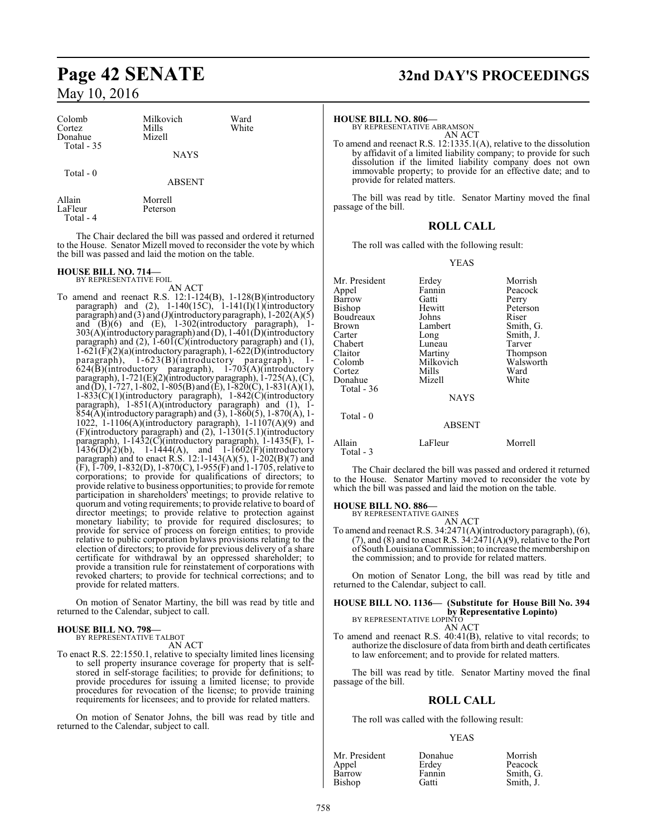| Colomb<br>Cortez<br>Donahue<br>Total $-35$ | Milkovich<br>Mills<br>Mizell | Ward<br>White |  |
|--------------------------------------------|------------------------------|---------------|--|
|                                            | <b>NAYS</b>                  |               |  |
| Total $-0$                                 | <b>ABSENT</b>                |               |  |
| Allain<br>LaFleur                          | Morrell<br>Peterson          |               |  |

Total - 4

The Chair declared the bill was passed and ordered it returned to the House. Senator Mizell moved to reconsider the vote by which the bill was passed and laid the motion on the table.

# **HOUSE BILL NO. 714—** BY REPRESENTATIVE FOIL

AN ACT

To amend and reenact R.S. 12:1-124(B), 1-128(B)(introductory paragraph) and  $(2)$ , 1-140 $(15C)$ , 1-141 $(I)(1)($ introductory paragraph) and (3) and (J)(introductory paragraph), 1-202(A)(5) and (B)(6) and (E), 1-302(introductory paragraph), 1- 303(A)(introductory paragraph) and (D), 1-401(D)(introductory paragraph) and (2), 1-601(C)(introductory paragraph) and (1),  $1-621(F)(2)(a)$ (introductory paragraph),  $1-622(D)$ (introductory paragraph), 1-623(B)(introductory paragraph), 1-  $624(\overline{B})$ (introductory paragraph), 1-703(A)(introductory paragraph), 1-721(E)(2)(introductoryparagraph), 1-725(A), (C), and (D), 1-727, 1-802, 1-805(B) and (E), 1-820(C), 1-831(A)(1), 1-833(C)(1)(introductory paragraph), 1-842(C)(introductory paragraph), 1-851(A)(introductory paragraph) and (1), 1-  $854(A)$ (introductory paragraph) and (3),  $1-860(5)$ ,  $1-870(A)$ ,  $1-$ 1022, 1-1106(A)(introductory paragraph), 1-1107(A)(9) and (F)(introductory paragraph) and (2), 1-1301(5.1)(introductory paragraph), 1-1432(C)(introductory paragraph), 1-1435(F), 1-  $1436(D)(2)(b)$ ,  $1-1444(A)$ , and  $1-1602(F)(introducing$ paragraph) and to enact R.S. 12:1-143(A)(5),  $1-202(B)(7)$  and  $(F)$ , I-709, 1-832(D), 1-870(C), 1-955(F) and 1-1705, relative to corporations; to provide for qualifications of directors; to provide relative to business opportunities; to provide for remote participation in shareholders' meetings; to provide relative to quorum and voting requirements; to provide relative to board of director meetings; to provide relative to protection against monetary liability; to provide for required disclosures; to provide for service of process on foreign entities; to provide relative to public corporation bylaws provisions relating to the election of directors; to provide for previous delivery of a share certificate for withdrawal by an oppressed shareholder; to provide a transition rule for reinstatement of corporations with revoked charters; to provide for technical corrections; and to provide for related matters.

On motion of Senator Martiny, the bill was read by title and returned to the Calendar, subject to call.

# **HOUSE BILL NO. 798—** BY REPRESENTATIVE TALBOT

AN ACT

To enact R.S. 22:1550.1, relative to specialty limited lines licensing to sell property insurance coverage for property that is selfstored in self-storage facilities; to provide for definitions; to provide procedures for issuing a limited license; to provide procedures for revocation of the license; to provide training requirements for licensees; and to provide for related matters.

On motion of Senator Johns, the bill was read by title and returned to the Calendar, subject to call.

# **Page 42 SENATE 32nd DAY'S PROCEEDINGS**

# **HOUSE BILL NO. 806—**

BY REPRESENTATIVE ABRAMSON AN ACT

To amend and reenact R.S. 12:1335.1(A), relative to the dissolution by affidavit of a limited liability company; to provide for such dissolution if the limited liability company does not own immovable property; to provide for an effective date; and to provide for related matters.

The bill was read by title. Senator Martiny moved the final passage of the bill.

# **ROLL CALL**

The roll was called with the following result:

YEAS

| Mr. President<br>Appel<br>Barrow | Erdey<br>Fannin<br>Gatti | Morrish<br>Peacock<br>Perry |
|----------------------------------|--------------------------|-----------------------------|
| Bishop                           | Hewitt                   | Peterson                    |
| Boudreaux                        | Johns                    | Riser                       |
| Brown                            | Lambert                  | Smith, G.                   |
| Carter                           | Long                     | Smith, J.                   |
| Chabert                          | Luneau                   | Tarver                      |
| Claitor                          | Martiny                  | Thompson                    |
| Colomb                           | Milkovich                | Walsworth                   |
| Cortez                           | Mills                    | Ward                        |
| Donahue                          | Mizell                   | White                       |
| Total $-36$                      |                          |                             |
|                                  | <b>NAYS</b>              |                             |
| Total - 0                        |                          |                             |
|                                  | <b>ABSENT</b>            |                             |
| Allain                           | LaFleur                  | Morrell                     |

The Chair declared the bill was passed and ordered it returned

to the House. Senator Martiny moved to reconsider the vote by which the bill was passed and laid the motion on the table.

**HOUSE BILL NO. 886—** BY REPRESENTATIVE GAINES

Total - 3

AN ACT To amend and reenact R.S. 34:2471(A)(introductory paragraph), (6), (7), and (8) and to enact R.S.  $3\overline{4}$ : $\overline{2}\overline{4}$ 71(A)(9), relative to the Port of South LouisianaCommission; to increase the membership on the commission; and to provide for related matters.

On motion of Senator Long, the bill was read by title and returned to the Calendar, subject to call.

# **HOUSE BILL NO. 1136— (Substitute for House Bill No. 394 by Representative Lopinto)**<br>BY REPRESENTATIVE LOPINTO

# AN ACT

To amend and reenact R.S. 40:41(B), relative to vital records; to authorize the disclosure of data from birth and death certificates to law enforcement; and to provide for related matters.

The bill was read by title. Senator Martiny moved the final passage of the bill.

# **ROLL CALL**

The roll was called with the following result:

# YEAS

| Mr. President | Donahue | Morrish   |
|---------------|---------|-----------|
| Appel         | Erdey   | Peacock   |
| Barrow        | Fannin  | Smith, G. |
| Bishop        | Gatti   | Smith, J. |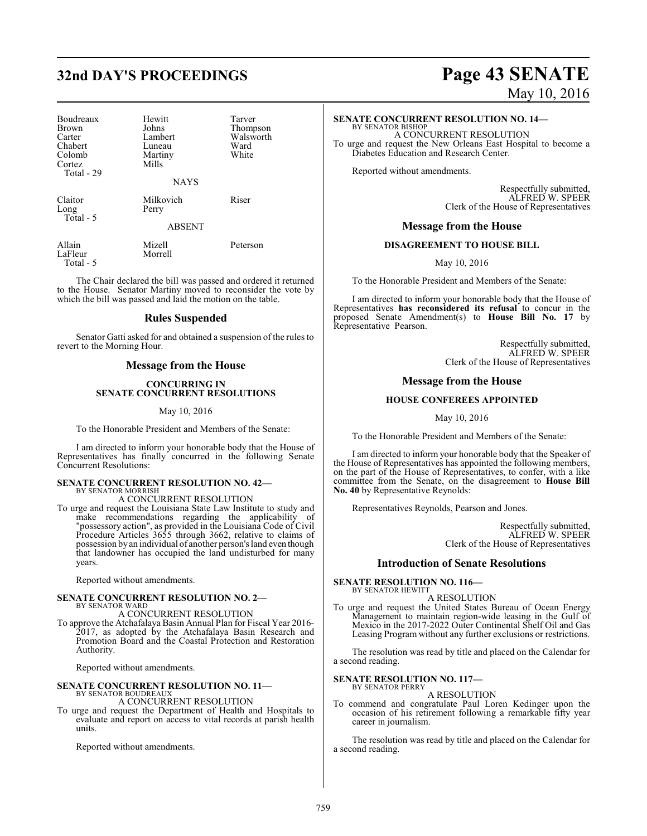# **32nd DAY'S PROCEEDINGS Page 43 SENATE**

| Boudreaux<br>Brown<br>Carter<br>Chabert<br>Colomb<br>Cortez<br>Total - 29 | Hewitt<br>Johns<br>Lambert<br>Luneau<br>Martiny<br>Mills | Tarver<br>Thompson<br>Walsworth<br>Ward<br>White |
|---------------------------------------------------------------------------|----------------------------------------------------------|--------------------------------------------------|
|                                                                           | <b>NAYS</b>                                              |                                                  |
| Claitor<br>Long<br>Total - 5                                              | Milkovich<br>Perry                                       | Riser                                            |
|                                                                           | <b>ABSENT</b>                                            |                                                  |
| Allain<br>LaFleur<br>Total - 5                                            | Mizell<br>Morrell                                        | Peterson                                         |

The Chair declared the bill was passed and ordered it returned to the House. Senator Martiny moved to reconsider the vote by which the bill was passed and laid the motion on the table.

# **Rules Suspended**

Senator Gatti asked for and obtained a suspension of the rules to revert to the Morning Hour.

# **Message from the House**

# **CONCURRING IN SENATE CONCURRENT RESOLUTIONS**

## May 10, 2016

To the Honorable President and Members of the Senate:

I am directed to inform your honorable body that the House of Representatives has finally concurred in the following Senate Concurrent Resolutions:

### **SENATE CONCURRENT RESOLUTION NO. 42—** BY SENATOR MORRISH

A CONCURRENT RESOLUTION

To urge and request the Louisiana State Law Institute to study and make recommendations regarding the applicability of "possessory action", as provided in the Louisiana Code of Civil Procedure Articles 3655 through 3662, relative to claims of possession byan individual of another person's land even though that landowner has occupied the land undisturbed for many years.

Reported without amendments.

## **SENATE CONCURRENT RESOLUTION NO. 2—** BY SENATOR WARD

A CONCURRENT RESOLUTION

To approve the Atchafalaya Basin Annual Plan for Fiscal Year 2016- 2017, as adopted by the Atchafalaya Basin Research and Promotion Board and the Coastal Protection and Restoration Authority.

Reported without amendments.

## **SENATE CONCURRENT RESOLUTION NO. 11—** BY SENATOR BOUDREAUX

A CONCURRENT RESOLUTION

To urge and request the Department of Health and Hospitals to evaluate and report on access to vital records at parish health units.

Reported without amendments.

# May 10, 2016

# **SENATE CONCURRENT RESOLUTION NO. 14—**

BY SENATOR BISHOP A CONCURRENT RESOLUTION To urge and request the New Orleans East Hospital to become a Diabetes Education and Research Center.

Reported without amendments.

Respectfully submitted, ALFRED W. SPEER Clerk of the House of Representatives

# **Message from the House**

# **DISAGREEMENT TO HOUSE BILL**

May 10, 2016

To the Honorable President and Members of the Senate:

I am directed to inform your honorable body that the House of Representatives **has reconsidered its refusal** to concur in the proposed Senate Amendment(s) to **House Bill No. 17** by Representative Pearson.

> Respectfully submitted, ALFRED W. SPEER Clerk of the House of Representatives

# **Message from the House**

# **HOUSE CONFEREES APPOINTED**

May 10, 2016

To the Honorable President and Members of the Senate:

I am directed to inform your honorable body that the Speaker of the House of Representatives has appointed the following members, on the part of the House of Representatives, to confer, with a like committee from the Senate, on the disagreement to **House Bill No. 40** by Representative Reynolds:

Representatives Reynolds, Pearson and Jones.

Respectfully submitted, ALFRED W. SPEER Clerk of the House of Representatives

# **Introduction of Senate Resolutions**

**SENATE RESOLUTION NO. 116—** BY SENATOR HEWITT

# A RESOLUTION

To urge and request the United States Bureau of Ocean Energy Management to maintain region-wide leasing in the Gulf of Mexico in the 2017-2022 Outer Continental Shelf Oil and Gas Leasing Program without any further exclusions or restrictions.

The resolution was read by title and placed on the Calendar for a second reading.

### **SENATE RESOLUTION NO. 117—** BY SENATOR PERRY

A RESOLUTION

To commend and congratulate Paul Loren Kedinger upon the occasion of his retirement following a remarkable fifty year career in journalism.

The resolution was read by title and placed on the Calendar for a second reading.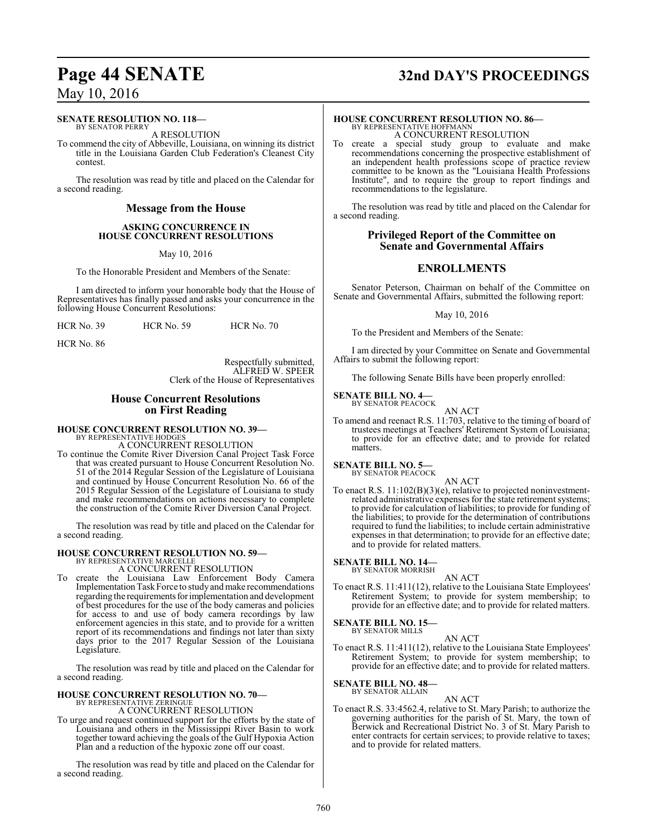# **SENATE RESOLUTION NO. 118—**

BY SENATOR PERRY A RESOLUTION

To commend the city of Abbeville, Louisiana, on winning its district title in the Louisiana Garden Club Federation's Cleanest City contest.

The resolution was read by title and placed on the Calendar for a second reading.

# **Message from the House**

# **ASKING CONCURRENCE IN HOUSE CONCURRENT RESOLUTIONS**

May 10, 2016

To the Honorable President and Members of the Senate:

I am directed to inform your honorable body that the House of Representatives has finally passed and asks your concurrence in the following House Concurrent Resolutions:

HCR No. 86

Respectfully submitted, ALFRED W. SPEER Clerk of the House of Representatives

# **House Concurrent Resolutions on First Reading**

# **HOUSE CONCURRENT RESOLUTION NO. 39—**

BY REPRESENTATIVE HODGES A CONCURRENT RESOLUTION

To continue the Comite River Diversion Canal Project Task Force that was created pursuant to House Concurrent Resolution No. 51 of the 2014 Regular Session of the Legislature of Louisiana and continued by House Concurrent Resolution No. 66 of the 2015 Regular Session of the Legislature of Louisiana to study and make recommendations on actions necessary to complete the construction of the Comite River Diversion Canal Project.

The resolution was read by title and placed on the Calendar for a second reading.

# **HOUSE CONCURRENT RESOLUTION NO. 59—** BY REPRESENTATIVE MARCELLE

A CONCURRENT RESOLUTION

To create the Louisiana Law Enforcement Body Camera Implementation Task Force to study and make recommendations regarding the requirements for implementation and development of best procedures for the use of the body cameras and policies for access to and use of body camera recordings by law enforcement agencies in this state, and to provide for a written report of its recommendations and findings not later than sixty days prior to the 2017 Regular Session of the Louisiana Legislature.

The resolution was read by title and placed on the Calendar for a second reading.

# **HOUSE CONCURRENT RESOLUTION NO. 70—** BY REPRESENTATIVE ZERINGUE

A CONCURRENT RESOLUTION

To urge and request continued support for the efforts by the state of Louisiana and others in the Mississippi River Basin to work together toward achieving the goals of the Gulf Hypoxia Action Plan and a reduction of the hypoxic zone off our coast.

The resolution was read by title and placed on the Calendar for a second reading.

# **Page 44 SENATE 32nd DAY'S PROCEEDINGS**

# **HOUSE CONCURRENT RESOLUTION NO. 86—**

BY REPRESENTATIVE HOFFMANN A CONCURRENT RESOLUTION

To create a special study group to evaluate and make recommendations concerning the prospective establishment of an independent health professions scope of practice review committee to be known as the "Louisiana Health Professions Institute", and to require the group to report findings and recommendations to the legislature.

The resolution was read by title and placed on the Calendar for a second reading.

# **Privileged Report of the Committee on Senate and Governmental Affairs**

# **ENROLLMENTS**

Senator Peterson, Chairman on behalf of the Committee on Senate and Governmental Affairs, submitted the following report:

May 10, 2016

To the President and Members of the Senate:

I am directed by your Committee on Senate and Governmental Affairs to submit the following report:

The following Senate Bills have been properly enrolled:

### **SENATE BILL NO. 4—** BY SENATOR PEACOCK

AN ACT

To amend and reenact R.S. 11:703, relative to the timing of board of trustees meetings at Teachers' Retirement System of Louisiana; to provide for an effective date; and to provide for related matters.

### **SENATE BILL NO. 5—** BY SENATOR PEACOCK

AN ACT

To enact R.S. 11:102(B)(3)(e), relative to projected noninvestmentrelated administrative expenses for the state retirement systems; to provide for calculation of liabilities; to provide for funding of the liabilities; to provide for the determination of contributions required to fund the liabilities; to include certain administrative expenses in that determination; to provide for an effective date; and to provide for related matters.

**SENATE BILL NO. 14—** BY SENATOR MORRISH

AN ACT

To enact R.S. 11:411(12), relative to the Louisiana State Employees' Retirement System; to provide for system membership; to provide for an effective date; and to provide for related matters.

# **SENATE BILL NO. 15—**

BY SENATOR MILLS

AN ACT To enact R.S. 11:411(12), relative to the Louisiana State Employees' Retirement System; to provide for system membership; to provide for an effective date; and to provide for related matters.

**SENATE BILL NO. 48—** BY SENATOR ALLAIN

AN ACT

To enact R.S. 33:4562.4, relative to St. Mary Parish; to authorize the governing authorities for the parish of St. Mary, the town of Berwick and Recreational District No. 3 of St. Mary Parish to enter contracts for certain services; to provide relative to taxes; and to provide for related matters.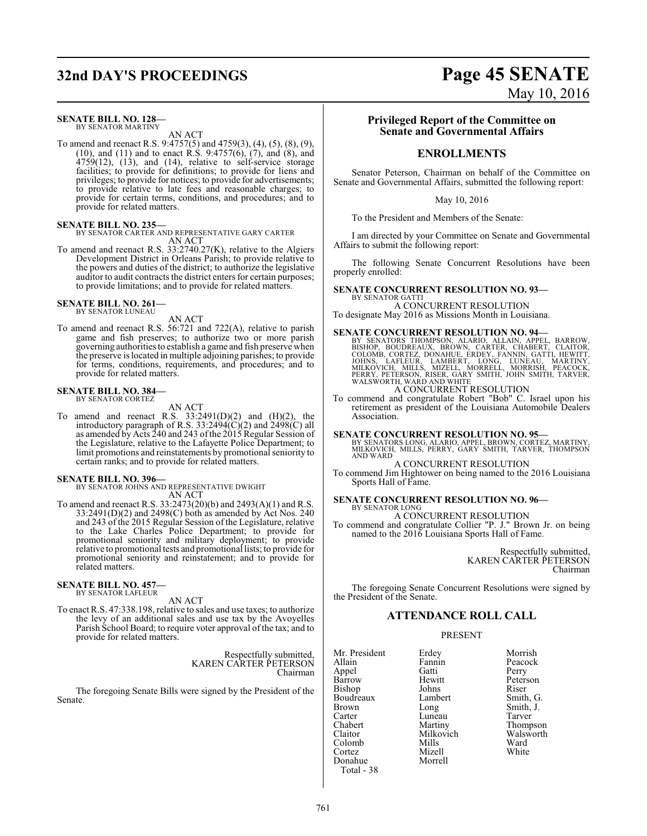# **32nd DAY'S PROCEEDINGS Page 45 SENATE**

# **SENATE BILL NO. 128—**

BY SENATOR MARTINY AN ACT

To amend and reenact R.S. 9:4757(5) and 4759(3), (4), (5), (8), (9), (10), and (11) and to enact R.S. 9:4757(6),  $(7)$ , and  $(8)$ , and 4759(12), (13), and (14), relative to self-service storage facilities; to provide for definitions; to provide for liens and privileges; to provide for notices; to provide for advertisements; to provide relative to late fees and reasonable charges; to provide for certain terms, conditions, and procedures; and to provide for related matters.

# **SENATE BILL NO. 235—**

BY SENATOR CARTER AND REPRESENTATIVE GARY CARTER AN ACT

To amend and reenact R.S. 33:2740.27(K), relative to the Algiers Development District in Orleans Parish; to provide relative to the powers and duties of the district; to authorize the legislative auditor to audit contracts the district enters for certain purposes; to provide limitations; and to provide for related matters.

### **SENATE BILL NO. 261—** BY SENATOR LUNEAU

# AN ACT

To amend and reenact R.S. 56:721 and 722(A), relative to parish game and fish preserves; to authorize two or more parish governing authorities to establish a game and fish preserve when the preserve is located in multiple adjoining parishes; to provide for terms, conditions, requirements, and procedures; and to provide for related matters.

### **SENATE BILL NO. 384—** BY SENATOR CORTEZ

AN ACT

To amend and reenact R.S.  $33:2491(D)(2)$  and  $(H)(2)$ , the introductory paragraph of R.S. 33:2494 $\widetilde{\text{C}}(2)$  and 2498 $\widetilde{\text{C}}$  all as amended by Acts 240 and 243 ofthe 2015 Regular Session of the Legislature, relative to the Lafayette Police Department; to limit promotions and reinstatements by promotional seniority to certain ranks; and to provide for related matters.

**SENATE BILL NO. 396—** BY SENATOR JOHNS AND REPRESENTATIVE DWIGHT AN ACT

To amend and reenact R.S. 33:2473(20)(b) and 2493(A)(1) and R.S.  $33:2491(D)(2)$  and  $2498(C)$  both as amended by Act Nos. 240 and 243 of the 2015 Regular Session of the Legislature, relative to the Lake Charles Police Department; to provide for promotional seniority and military deployment; to provide relative to promotional tests and promotional lists; to provide for promotional seniority and reinstatement; and to provide for related matters.

## **SENATE BILL NO. 457—** BY SENATOR LAFLEUR

# AN ACT

To enact R.S. 47:338.198, relative to sales and use taxes; to authorize the levy of an additional sales and use tax by the Avoyelles Parish School Board; to require voter approval of the tax; and to provide for related matters.

> Respectfully submitted, KAREN CARTER PETERSON Chairman

The foregoing Senate Bills were signed by the President of the Senate.

# **Privileged Report of the Committee on Senate and Governmental Affairs**

# **ENROLLMENTS**

Senator Peterson, Chairman on behalf of the Committee on Senate and Governmental Affairs, submitted the following report:

## May 10, 2016

To the President and Members of the Senate:

I am directed by your Committee on Senate and Governmental Affairs to submit the following report:

The following Senate Concurrent Resolutions have been properly enrolled:

# **SENATE CONCURRENT RESOLUTION NO. 93—**

BY SENATOR GATTI A CONCURRENT RESOLUTION To designate May 2016 as Missions Month in Louisiana.

**SENATE CONCURRENT RESOLUTION NO. 94**<br>BY SENATORS THOMPSON, ALARIO, ALLAIN, APPEL, BARROW, BISHOP, BOUDREAUX, BROWN, CARTER, CHABERT, CLAITOR,<br>COLOMB, CORTEZ, DONAHUE, ERDEY, FANNIN, GATTI, HEWITT,<br>JOHNS, LAFLEUR, LAMBERT, A CONCURRENT RESOLUTION

To commend and congratulate Robert "Bob" C. Israel upon his retirement as president of the Louisiana Automobile Dealers Association.

# **SENATE CONCURRENT RESOLUTION NO. 95—**

BY SENATORS LONG, ALARIO, APPEL, BROWN, CORTEZ, MARTINY, MILKOVICH, MILLS, PERRY, GARY SMITH, TARVER, THOMPSON AND WARD A CONCURRENT RESOLUTION

To commend Jim Hightower on being named to the 2016 Louisiana Sports Hall of Fame.

## **SENATE CONCURRENT RESOLUTION NO. 96—** BY SENATOR LONG

A CONCURRENT RESOLUTION

To commend and congratulate Collier "P. J." Brown Jr. on being named to the 2016 Louisiana Sports Hall of Fame.

> Respectfully submitted, KAREN CARTER PETERSON Chairman

The foregoing Senate Concurrent Resolutions were signed by the President of the Senate.

# **ATTENDANCE ROLL CALL**

## PRESENT

Mr. President Erdey Morrish<br>Allain Fannin Peacock Appel Gatti<br>Barrow Hewitt Bishop Johns Riser<br>Boudreaux Lambert Smith, G. Boudreaux Lamb<br>Brown Long Brown Long Smith, J.<br>
Carter Luneau Tarver Carter Luneau<br>Chabert Martiny Claitor Milkovich Walsworth<br>Colomb Mills Ward Colomb Mills Ward<br>Cortez Mizell White Cortez Mizell White Donahue Morrell Total - 38

Fannin Peacock<br>Gatti Perry Hewitt Peterson<br>Johns Riser Martiny Thompson<br>
Milkovich Walsworth

# May 10, 2016